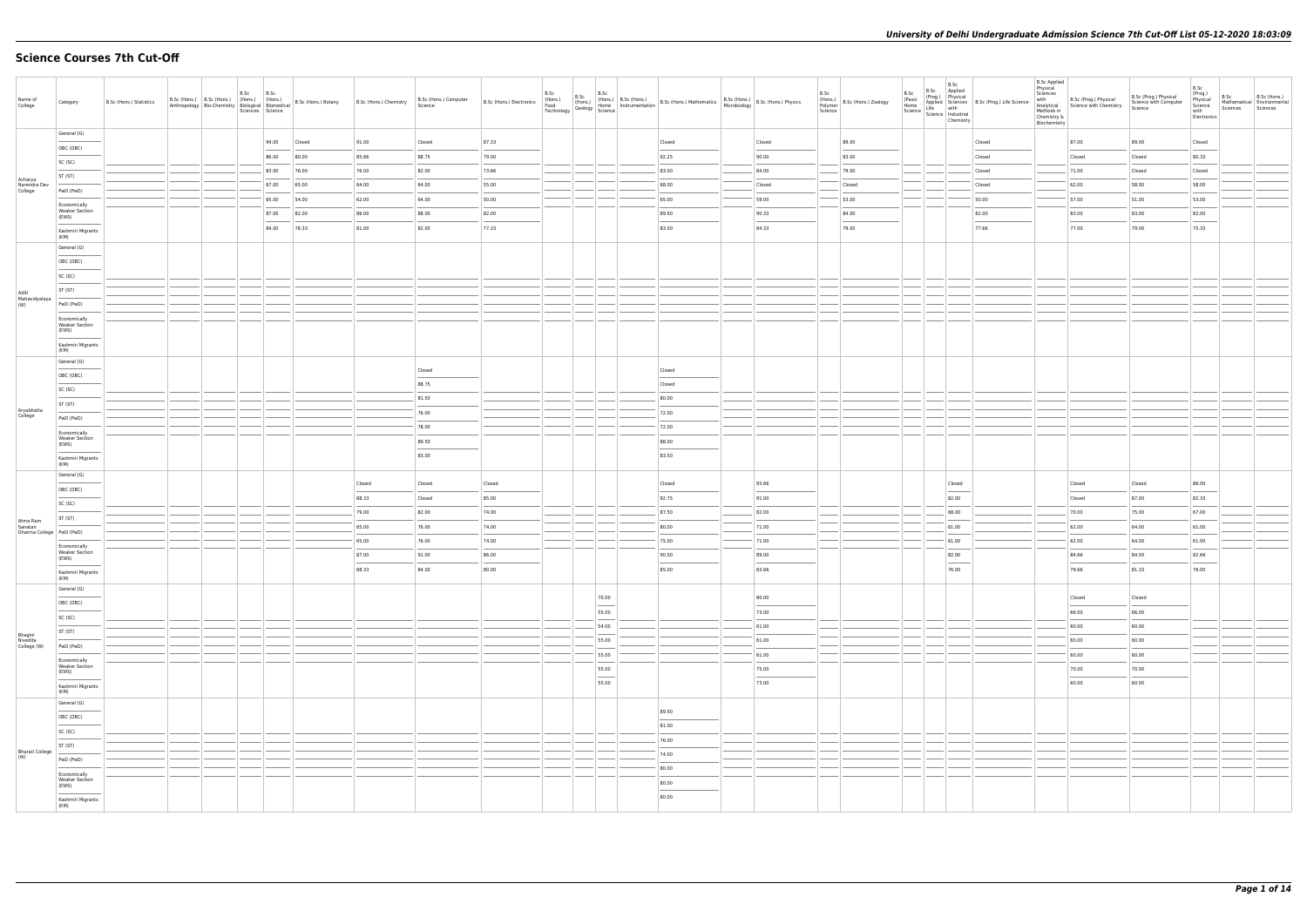# **Science Courses 7th Cut-Off**

| Name of<br>College                                | Category                                       | B.Sc (Hons.) Statistics |  | B.Sc | B.Sc<br>Sciences Science |        |        | B.Sc (Hons.) Computer<br>Science | <b>B.Sc (Hons.) Electronics</b> | B.Sc | B.Sc                                                                                                                                                                                                                                                                                                                                                                                                                                                                                         | B.Sc B.Sc (Hons.)<br>(Hons.) B.Sc (Hons.) B.Sc (Hons.) B.Sc (Hons.) Mathematics B.Sc (Hons.) B.Sc (Hons.) Physics<br>Technology Geology Science<br>Technology Science                                                                                                                                                                                                                                                                                                               |                | B.Sc<br>Polymer<br>Science | (Hons.)<br>B.Sc (Hons.) Zoology | B.Sc<br>B.Sc Applied<br>B.Sc<br>B.St.<br>(Pass) Applied Sciences<br>Home Life Science Hotel<br>Science Bildustrial<br>Chemistr<br>Chemistry | (Prog.) Physical<br>Applied Sciences B.Sc (Prog.) Life Science | <b>B.Sc Applied</b><br>Physical<br>Sciences<br>with<br>Methods in<br>Chemistry &<br>Biochemistry | B.Sc (Prog.) Physical<br>Analytical Science with Chemistry | B.Sc (Prog.) Physical<br>Science with Computer<br>Science | B.Sc<br>(Prog.)<br>Physical<br>Science<br>with<br>Electronics | B.Sc<br>Mathematical Environmental<br>Sciences | B.Sc (Hons.)<br>Sciences |
|---------------------------------------------------|------------------------------------------------|-------------------------|--|------|--------------------------|--------|--------|----------------------------------|---------------------------------|------|----------------------------------------------------------------------------------------------------------------------------------------------------------------------------------------------------------------------------------------------------------------------------------------------------------------------------------------------------------------------------------------------------------------------------------------------------------------------------------------------|-------------------------------------------------------------------------------------------------------------------------------------------------------------------------------------------------------------------------------------------------------------------------------------------------------------------------------------------------------------------------------------------------------------------------------------------------------------------------------------|----------------|----------------------------|---------------------------------|---------------------------------------------------------------------------------------------------------------------------------------------|----------------------------------------------------------------|--------------------------------------------------------------------------------------------------|------------------------------------------------------------|-----------------------------------------------------------|---------------------------------------------------------------|------------------------------------------------|--------------------------|
|                                                   | General (G)                                    |                         |  |      | 94.00                    | Closed | 91.00  | Closed                           | 87.33                           |      |                                                                                                                                                                                                                                                                                                                                                                                                                                                                                              | Closed                                                                                                                                                                                                                                                                                                                                                                                                                                                                              | Closed         |                            | 89.00                           |                                                                                                                                             | Closed                                                         |                                                                                                  | 87.00                                                      | 89.00                                                     | Closed                                                        |                                                |                          |
|                                                   | OBC (OBC)                                      |                         |  |      | 86.00                    | 80.00  | 85.66  | 88.75                            | 79.00                           |      |                                                                                                                                                                                                                                                                                                                                                                                                                                                                                              | 92.25                                                                                                                                                                                                                                                                                                                                                                                                                                                                               | 90.00          |                            | 83.00                           |                                                                                                                                             | Closed                                                         |                                                                                                  | Closed                                                     | Closed                                                    | 80.33                                                         |                                                |                          |
|                                                   | SC (SC)                                        |                         |  |      | 83.00                    | 76.00  | 76.00  | 82.00                            | 73.66                           |      |                                                                                                                                                                                                                                                                                                                                                                                                                                                                                              | 83.00                                                                                                                                                                                                                                                                                                                                                                                                                                                                               | 84.00          |                            | 79.00                           |                                                                                                                                             | Closed                                                         |                                                                                                  | 71.00                                                      | Closed                                                    | Closed                                                        |                                                |                          |
| Acharya<br>Narendra Dev                           | ST (ST)                                        |                         |  |      | 67.00                    | 65.00  | 64.00  | 64.00                            | 55.00                           |      |                                                                                                                                                                                                                                                                                                                                                                                                                                                                                              | 68.00                                                                                                                                                                                                                                                                                                                                                                                                                                                                               | Closed         |                            | Closed                          |                                                                                                                                             | Closed                                                         |                                                                                                  | 62.00                                                      | 58.00                                                     | 58.00                                                         |                                                |                          |
| College                                           | PwD (PwD)                                      |                         |  |      | 65.00                    | 54.00  | 62.00  | 64.00                            | 50.00                           |      |                                                                                                                                                                                                                                                                                                                                                                                                                                                                                              | 65.00                                                                                                                                                                                                                                                                                                                                                                                                                                                                               | 59.00          |                            | 53.00                           |                                                                                                                                             | 50.00                                                          |                                                                                                  | 57.00                                                      | 51.00                                                     | 53.00                                                         |                                                |                          |
|                                                   | Economically<br><b>Weaker Section</b><br>(EWS) |                         |  |      | 87.00                    | 82.00  | 86.00  | 88.00                            | 82.00                           |      |                                                                                                                                                                                                                                                                                                                                                                                                                                                                                              | 89.50                                                                                                                                                                                                                                                                                                                                                                                                                                                                               | 90.33          |                            | 84.00                           |                                                                                                                                             | 82.00                                                          |                                                                                                  | 83.00                                                      | 83.00                                                     | 82.00                                                         |                                                |                          |
|                                                   | Kashmiri Migrants                              |                         |  |      | 84.00                    | 78.33  | 81.00  | 82.00                            | 77.33                           |      |                                                                                                                                                                                                                                                                                                                                                                                                                                                                                              | 83.00                                                                                                                                                                                                                                                                                                                                                                                                                                                                               | 84.33          |                            | 79.00                           |                                                                                                                                             | 77.66                                                          |                                                                                                  | 77.00                                                      | 79.00                                                     | 75.33                                                         |                                                |                          |
|                                                   | (KM)<br>General (G)                            |                         |  |      |                          |        |        |                                  |                                 |      |                                                                                                                                                                                                                                                                                                                                                                                                                                                                                              |                                                                                                                                                                                                                                                                                                                                                                                                                                                                                     |                |                            |                                 |                                                                                                                                             |                                                                |                                                                                                  |                                                            |                                                           |                                                               |                                                |                          |
|                                                   | OBC (OBC)                                      |                         |  |      |                          |        |        |                                  |                                 |      |                                                                                                                                                                                                                                                                                                                                                                                                                                                                                              |                                                                                                                                                                                                                                                                                                                                                                                                                                                                                     |                |                            |                                 |                                                                                                                                             |                                                                |                                                                                                  |                                                            |                                                           |                                                               |                                                |                          |
|                                                   | SC (SC)                                        |                         |  |      |                          |        |        |                                  |                                 |      |                                                                                                                                                                                                                                                                                                                                                                                                                                                                                              |                                                                                                                                                                                                                                                                                                                                                                                                                                                                                     |                |                            |                                 |                                                                                                                                             |                                                                |                                                                                                  |                                                            |                                                           |                                                               |                                                |                          |
|                                                   | ST (ST)                                        |                         |  |      |                          |        |        |                                  |                                 |      |                                                                                                                                                                                                                                                                                                                                                                                                                                                                                              |                                                                                                                                                                                                                                                                                                                                                                                                                                                                                     |                |                            |                                 |                                                                                                                                             |                                                                |                                                                                                  |                                                            |                                                           |                                                               |                                                |                          |
| Aditi<br>Mahavidyalaya<br>(W)                     | PwD (PwD)                                      |                         |  |      |                          |        |        |                                  |                                 |      |                                                                                                                                                                                                                                                                                                                                                                                                                                                                                              |                                                                                                                                                                                                                                                                                                                                                                                                                                                                                     |                |                            |                                 |                                                                                                                                             |                                                                |                                                                                                  |                                                            |                                                           |                                                               |                                                |                          |
|                                                   | Economically                                   |                         |  |      |                          |        |        |                                  |                                 |      |                                                                                                                                                                                                                                                                                                                                                                                                                                                                                              |                                                                                                                                                                                                                                                                                                                                                                                                                                                                                     |                |                            |                                 |                                                                                                                                             |                                                                |                                                                                                  |                                                            |                                                           |                                                               |                                                |                          |
|                                                   | <b>Weaker Section</b><br>(EWS)                 |                         |  |      |                          |        |        |                                  |                                 |      |                                                                                                                                                                                                                                                                                                                                                                                                                                                                                              |                                                                                                                                                                                                                                                                                                                                                                                                                                                                                     |                |                            |                                 |                                                                                                                                             |                                                                |                                                                                                  |                                                            |                                                           |                                                               |                                                |                          |
|                                                   | Kashmiri Migrants<br>(KM)                      |                         |  |      |                          |        |        |                                  |                                 |      |                                                                                                                                                                                                                                                                                                                                                                                                                                                                                              |                                                                                                                                                                                                                                                                                                                                                                                                                                                                                     |                |                            |                                 |                                                                                                                                             |                                                                |                                                                                                  |                                                            |                                                           |                                                               |                                                |                          |
|                                                   | General (G)                                    |                         |  |      |                          |        |        |                                  |                                 |      |                                                                                                                                                                                                                                                                                                                                                                                                                                                                                              |                                                                                                                                                                                                                                                                                                                                                                                                                                                                                     |                |                            |                                 |                                                                                                                                             |                                                                |                                                                                                  |                                                            |                                                           |                                                               |                                                |                          |
|                                                   | OBC (OBC)                                      |                         |  |      |                          |        |        | Closed                           |                                 |      |                                                                                                                                                                                                                                                                                                                                                                                                                                                                                              | Closed                                                                                                                                                                                                                                                                                                                                                                                                                                                                              |                |                            |                                 |                                                                                                                                             |                                                                |                                                                                                  |                                                            |                                                           |                                                               |                                                |                          |
|                                                   | SC (SC)                                        |                         |  |      |                          |        |        | 88.75                            |                                 |      |                                                                                                                                                                                                                                                                                                                                                                                                                                                                                              | Closed                                                                                                                                                                                                                                                                                                                                                                                                                                                                              |                |                            |                                 |                                                                                                                                             |                                                                |                                                                                                  |                                                            |                                                           |                                                               |                                                |                          |
| Aryabhatta                                        | ST (ST)                                        |                         |  |      |                          |        |        | 81.50<br>76.00                   |                                 |      |                                                                                                                                                                                                                                                                                                                                                                                                                                                                                              | 80.00<br>72.00                                                                                                                                                                                                                                                                                                                                                                                                                                                                      |                |                            |                                 |                                                                                                                                             |                                                                |                                                                                                  |                                                            |                                                           |                                                               |                                                |                          |
| College                                           | PwD (PwD)                                      |                         |  |      |                          |        |        | 78.00                            |                                 |      |                                                                                                                                                                                                                                                                                                                                                                                                                                                                                              | 72.00                                                                                                                                                                                                                                                                                                                                                                                                                                                                               |                |                            |                                 |                                                                                                                                             |                                                                |                                                                                                  |                                                            |                                                           |                                                               |                                                |                          |
|                                                   | Economically<br><b>Weaker Section</b>          |                         |  |      |                          |        |        | 89.50                            |                                 |      |                                                                                                                                                                                                                                                                                                                                                                                                                                                                                              | 88.00                                                                                                                                                                                                                                                                                                                                                                                                                                                                               |                |                            |                                 |                                                                                                                                             |                                                                |                                                                                                  |                                                            |                                                           |                                                               |                                                |                          |
|                                                   | (EWS)<br>Kashmiri Migrants                     |                         |  |      |                          |        |        | 83.00                            |                                 |      |                                                                                                                                                                                                                                                                                                                                                                                                                                                                                              | 83.50                                                                                                                                                                                                                                                                                                                                                                                                                                                                               |                |                            |                                 |                                                                                                                                             |                                                                |                                                                                                  |                                                            |                                                           |                                                               |                                                |                          |
|                                                   | (KM)                                           |                         |  |      |                          |        |        |                                  |                                 |      |                                                                                                                                                                                                                                                                                                                                                                                                                                                                                              |                                                                                                                                                                                                                                                                                                                                                                                                                                                                                     |                |                            |                                 |                                                                                                                                             |                                                                |                                                                                                  |                                                            |                                                           |                                                               |                                                |                          |
|                                                   | General (G)                                    |                         |  |      |                          |        | Closed | Closed                           | Closed                          |      |                                                                                                                                                                                                                                                                                                                                                                                                                                                                                              | Closed                                                                                                                                                                                                                                                                                                                                                                                                                                                                              | 93.66          |                            |                                 | Closed                                                                                                                                      |                                                                |                                                                                                  | Closed                                                     | Closed                                                    | 86.00                                                         |                                                |                          |
|                                                   | OBC (OBC)<br>SC (SC)                           |                         |  |      |                          |        | 88.33  | Closed                           | 85.00                           |      |                                                                                                                                                                                                                                                                                                                                                                                                                                                                                              | 92.75                                                                                                                                                                                                                                                                                                                                                                                                                                                                               | 91.00          |                            |                                 | 82.00                                                                                                                                       |                                                                |                                                                                                  | Closed                                                     | 87.00                                                     | 82.33                                                         |                                                |                          |
|                                                   | ST (ST)                                        |                         |  |      |                          |        | 79.00  | 82.00                            | 74.00                           |      |                                                                                                                                                                                                                                                                                                                                                                                                                                                                                              | 87.50                                                                                                                                                                                                                                                                                                                                                                                                                                                                               | 82.00          |                            |                                 | 68.00                                                                                                                                       |                                                                |                                                                                                  | 70.00                                                      | 75.00                                                     | 67.00                                                         |                                                |                          |
| Atma Ram<br>Sanatan<br>Dharma College   PwD (PwD) |                                                |                         |  |      |                          |        | 65.00  | 76.00                            | 74.00                           |      |                                                                                                                                                                                                                                                                                                                                                                                                                                                                                              | 80.00                                                                                                                                                                                                                                                                                                                                                                                                                                                                               | 71.00          |                            |                                 | 61.00                                                                                                                                       |                                                                |                                                                                                  | 62.00                                                      | 64.00                                                     | 61.00                                                         |                                                |                          |
|                                                   | Economically                                   |                         |  |      |                          |        | 65.00  | 76.00                            | 74.00                           |      |                                                                                                                                                                                                                                                                                                                                                                                                                                                                                              | 75.00                                                                                                                                                                                                                                                                                                                                                                                                                                                                               | 71.00          |                            |                                 | 61.00                                                                                                                                       |                                                                |                                                                                                  | 62.00                                                      | 64.00                                                     | 61.00                                                         |                                                |                          |
|                                                   | <b>Weaker Section</b><br>(EWS)                 |                         |  |      |                          |        | 87.00  | 91.00                            | 86.00                           |      |                                                                                                                                                                                                                                                                                                                                                                                                                                                                                              | 90.50                                                                                                                                                                                                                                                                                                                                                                                                                                                                               | 89.00          |                            |                                 | 82.00                                                                                                                                       |                                                                |                                                                                                  | 84.66                                                      | 84.00                                                     | 82.66                                                         |                                                |                          |
|                                                   | Kashmiri Migrants<br>(KM)                      |                         |  |      |                          |        | 88.33  | 84.00                            | 80.00                           |      |                                                                                                                                                                                                                                                                                                                                                                                                                                                                                              | 85.00                                                                                                                                                                                                                                                                                                                                                                                                                                                                               | 83.66          |                            |                                 | 76.00                                                                                                                                       |                                                                |                                                                                                  | 79.66                                                      | 81.33                                                     | 76.00                                                         |                                                |                          |
|                                                   | General (G)                                    |                         |  |      |                          |        |        |                                  |                                 |      |                                                                                                                                                                                                                                                                                                                                                                                                                                                                                              |                                                                                                                                                                                                                                                                                                                                                                                                                                                                                     |                |                            |                                 |                                                                                                                                             |                                                                |                                                                                                  |                                                            |                                                           |                                                               |                                                |                          |
|                                                   | OBC (OBC)                                      |                         |  |      |                          |        |        |                                  |                                 |      | 70.00                                                                                                                                                                                                                                                                                                                                                                                                                                                                                        |                                                                                                                                                                                                                                                                                                                                                                                                                                                                                     | 80.00          |                            |                                 |                                                                                                                                             |                                                                |                                                                                                  | Closed                                                     | Closed                                                    |                                                               |                                                |                          |
|                                                   | SC (SC)                                        |                         |  |      |                          |        |        |                                  |                                 |      | 55.00                                                                                                                                                                                                                                                                                                                                                                                                                                                                                        |                                                                                                                                                                                                                                                                                                                                                                                                                                                                                     | 73.00          |                            |                                 |                                                                                                                                             |                                                                |                                                                                                  | 66.00                                                      | 66.00                                                     |                                                               |                                                |                          |
| Bhagini<br>Nivedita                               | ST (ST)                                        |                         |  |      |                          |        |        |                                  |                                 |      | 54.00                                                                                                                                                                                                                                                                                                                                                                                                                                                                                        |                                                                                                                                                                                                                                                                                                                                                                                                                                                                                     | 61.00          |                            |                                 |                                                                                                                                             |                                                                |                                                                                                  | 60.00                                                      | 60.00                                                     |                                                               |                                                |                          |
| College (W)                                       | PwD (PwD)                                      |                         |  |      |                          |        |        |                                  |                                 |      | 55.00                                                                                                                                                                                                                                                                                                                                                                                                                                                                                        |                                                                                                                                                                                                                                                                                                                                                                                                                                                                                     | 61.00          |                            |                                 |                                                                                                                                             |                                                                |                                                                                                  | 60.00                                                      | 60.00                                                     |                                                               |                                                |                          |
|                                                   | Economically<br><b>Weaker Section</b>          |                         |  |      |                          |        |        |                                  |                                 |      | 55.00                                                                                                                                                                                                                                                                                                                                                                                                                                                                                        |                                                                                                                                                                                                                                                                                                                                                                                                                                                                                     | 61.00          |                            |                                 |                                                                                                                                             |                                                                |                                                                                                  | 60.00                                                      | 60.00                                                     |                                                               |                                                |                          |
|                                                   | (EWS)                                          |                         |  |      |                          |        |        |                                  |                                 |      | 55.00<br>$\frac{1}{2} \left( \frac{1}{2} \right) \left( \frac{1}{2} \right) \left( \frac{1}{2} \right) \left( \frac{1}{2} \right) \left( \frac{1}{2} \right) \left( \frac{1}{2} \right) \left( \frac{1}{2} \right) \left( \frac{1}{2} \right) \left( \frac{1}{2} \right) \left( \frac{1}{2} \right) \left( \frac{1}{2} \right) \left( \frac{1}{2} \right) \left( \frac{1}{2} \right) \left( \frac{1}{2} \right) \left( \frac{1}{2} \right) \left( \frac{1}{2} \right) \left( \frac$<br>55.00 |                                                                                                                                                                                                                                                                                                                                                                                                                                                                                     | 75.00<br>73.00 |                            |                                 |                                                                                                                                             |                                                                |                                                                                                  | 70.00<br>60.00                                             | 70.00<br>60.00                                            |                                                               |                                                |                          |
|                                                   | Kashmiri Migrants<br>(KM)                      |                         |  |      |                          |        |        |                                  |                                 |      |                                                                                                                                                                                                                                                                                                                                                                                                                                                                                              |                                                                                                                                                                                                                                                                                                                                                                                                                                                                                     |                |                            |                                 |                                                                                                                                             |                                                                |                                                                                                  |                                                            |                                                           |                                                               |                                                |                          |
|                                                   | General (G)                                    |                         |  |      |                          |        |        |                                  |                                 |      |                                                                                                                                                                                                                                                                                                                                                                                                                                                                                              | 89.50                                                                                                                                                                                                                                                                                                                                                                                                                                                                               |                |                            |                                 |                                                                                                                                             |                                                                |                                                                                                  |                                                            |                                                           |                                                               |                                                |                          |
|                                                   | OBC (OBC)                                      |                         |  |      |                          |        |        |                                  |                                 |      |                                                                                                                                                                                                                                                                                                                                                                                                                                                                                              | $\frac{1}{2} \left( \frac{1}{2} \right) \left( \frac{1}{2} \right) \left( \frac{1}{2} \right) \left( \frac{1}{2} \right) \left( \frac{1}{2} \right) \left( \frac{1}{2} \right) \left( \frac{1}{2} \right) \left( \frac{1}{2} \right) \left( \frac{1}{2} \right) \left( \frac{1}{2} \right) \left( \frac{1}{2} \right) \left( \frac{1}{2} \right) \left( \frac{1}{2} \right) \left( \frac{1}{2} \right) \left( \frac{1}{2} \right) \left( \frac{1}{2} \right) \left( \frac$<br>81.00 |                |                            |                                 |                                                                                                                                             |                                                                |                                                                                                  |                                                            |                                                           |                                                               |                                                |                          |
|                                                   | SC (SC)                                        |                         |  |      |                          |        |        |                                  |                                 |      |                                                                                                                                                                                                                                                                                                                                                                                                                                                                                              | 76.00                                                                                                                                                                                                                                                                                                                                                                                                                                                                               |                |                            |                                 |                                                                                                                                             |                                                                |                                                                                                  |                                                            |                                                           |                                                               |                                                |                          |
| <b>Bharati College</b><br>(W)                     | ST (ST)                                        |                         |  |      |                          |        |        |                                  |                                 |      |                                                                                                                                                                                                                                                                                                                                                                                                                                                                                              | 74.00                                                                                                                                                                                                                                                                                                                                                                                                                                                                               |                |                            |                                 |                                                                                                                                             |                                                                |                                                                                                  |                                                            |                                                           |                                                               |                                                |                          |
|                                                   | PwD (PwD)                                      |                         |  |      |                          |        |        |                                  |                                 |      |                                                                                                                                                                                                                                                                                                                                                                                                                                                                                              | 80.00                                                                                                                                                                                                                                                                                                                                                                                                                                                                               |                |                            |                                 |                                                                                                                                             |                                                                |                                                                                                  |                                                            |                                                           |                                                               |                                                |                          |
|                                                   | Economically<br>Weaker Section<br>(EWS)        |                         |  |      |                          |        |        |                                  |                                 |      |                                                                                                                                                                                                                                                                                                                                                                                                                                                                                              | 80.00                                                                                                                                                                                                                                                                                                                                                                                                                                                                               |                |                            |                                 |                                                                                                                                             |                                                                |                                                                                                  |                                                            |                                                           |                                                               |                                                |                          |
|                                                   | Kashmiri Migrants                              |                         |  |      |                          |        |        |                                  |                                 |      |                                                                                                                                                                                                                                                                                                                                                                                                                                                                                              | 80.00                                                                                                                                                                                                                                                                                                                                                                                                                                                                               |                |                            |                                 |                                                                                                                                             |                                                                |                                                                                                  |                                                            |                                                           |                                                               |                                                |                          |
|                                                   | (KM)                                           |                         |  |      |                          |        |        |                                  |                                 |      |                                                                                                                                                                                                                                                                                                                                                                                                                                                                                              |                                                                                                                                                                                                                                                                                                                                                                                                                                                                                     |                |                            |                                 |                                                                                                                                             |                                                                |                                                                                                  |                                                            |                                                           |                                                               |                                                |                          |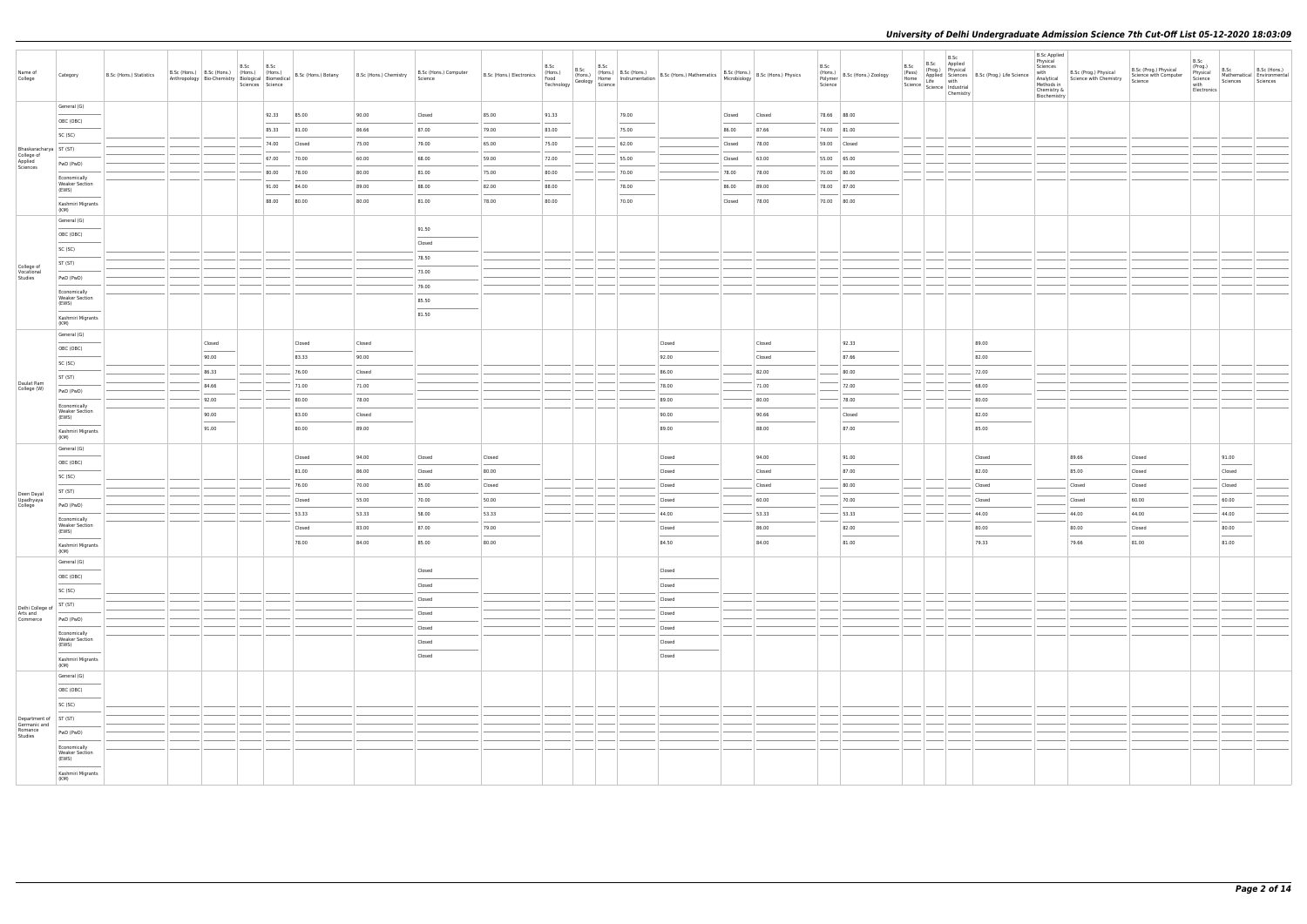| Name of<br>College                                          | Category                                               | B.Sc (Hons.) Statistics | B.Sc (Hons.) B.Sc (Hons.) (Hons.) |        | B.Sc | B.Sc<br>(Hons.)<br>Anthropology Bio-Chemistry Biological Biomedical<br>Sciences Science |        | B.Sc (Hons.) Botany B.Sc (Hons.) Chemistry | B.Sc (Hons.) Computer<br>Science | B.Sc (Hons.) Electronics |       |       | B.Sc (Hons.) B.Sc (Hons.) B.Sc (Hons.) B.Sc (Hons.) B.Sc (Hons.) B.Sc (Hons.) B.Sc (Hons.) Physics Food (Hons.) Because instrumentation B.Sc (Hons.) Analthematics B.Sc (Hons.) Physics Technology (Geology Science |        |        | B.Sc<br>(Hons.)<br>Polymer<br>Science | B.Sc (Hons.) Zoology | B.Sc<br>B.Sc Applied<br>B.Sc<br>(Pass)<br>Home<br>Home<br>Science Life with<br>Science Industrial<br>Chemistry | (Prog.) Physical<br>Applied Sciences B.Sc (Prog.) Life Science | <b>B.Sc Applied</b><br>Physical<br>Sciences<br>with<br>Analytical<br>Methods in<br>Chemistry &<br>Biochemistry | B.Sc (Prog.) Physical<br>Science with Chemistry | B.Sc (Prog.) Physical<br>Science with Computer<br>Science | B.Sc<br>(Prog.)<br>Physical<br>Science<br>with<br>Electronics | B.Sc<br>Sciences | B.Sc (Hons.)<br>Mathematical Environmental<br>Sciences |
|-------------------------------------------------------------|--------------------------------------------------------|-------------------------|-----------------------------------|--------|------|-----------------------------------------------------------------------------------------|--------|--------------------------------------------|----------------------------------|--------------------------|-------|-------|---------------------------------------------------------------------------------------------------------------------------------------------------------------------------------------------------------------------|--------|--------|---------------------------------------|----------------------|----------------------------------------------------------------------------------------------------------------|----------------------------------------------------------------|----------------------------------------------------------------------------------------------------------------|-------------------------------------------------|-----------------------------------------------------------|---------------------------------------------------------------|------------------|--------------------------------------------------------|
|                                                             | General (G)                                            |                         |                                   |        |      | 92.33                                                                                   | 85.00  | 90.00                                      | Closed                           | 85.00                    | 91.33 | 79.00 |                                                                                                                                                                                                                     | Closed | Closed |                                       | 78.66 88.00          |                                                                                                                |                                                                |                                                                                                                |                                                 |                                                           |                                                               |                  |                                                        |
|                                                             | OBC (OBC)                                              |                         |                                   |        |      | 85.33                                                                                   | 81.00  | 86.66                                      | 87.00                            | 79.00                    | 83.00 | 75.00 |                                                                                                                                                                                                                     | 86.00  | 87.66  |                                       | 74.00 81.00          |                                                                                                                |                                                                |                                                                                                                |                                                 |                                                           |                                                               |                  |                                                        |
|                                                             | SC (SC)                                                |                         |                                   |        |      | 74.00                                                                                   | Closed | 75.00                                      | 79.00                            | 65.00                    | 75.00 | 62.00 |                                                                                                                                                                                                                     | Closed | 78.00  |                                       | 59.00 Closed         |                                                                                                                |                                                                |                                                                                                                |                                                 |                                                           |                                                               |                  |                                                        |
| Bhaskaracharya ST (ST)<br>College of<br>Applied<br>Sciences |                                                        |                         |                                   |        |      | 67.00                                                                                   | 70.00  | 60.00                                      | 68.00                            | 59.00                    | 72.00 | 55.00 |                                                                                                                                                                                                                     | Closed | 63.00  | 55.00 65.00                           |                      |                                                                                                                |                                                                |                                                                                                                |                                                 |                                                           |                                                               |                  |                                                        |
|                                                             | PwD (PwD)                                              |                         |                                   |        |      | 80.00                                                                                   | 78.00  | 80.00                                      | 81.00                            | 75.00                    | 80.00 | 70.00 |                                                                                                                                                                                                                     | 78.00  | 78.00  |                                       | 70.00 80.00          |                                                                                                                |                                                                |                                                                                                                |                                                 |                                                           |                                                               |                  |                                                        |
|                                                             | Economically<br><b>Weaker Section</b><br>(EWS)         |                         |                                   |        |      | 91.00                                                                                   | 84.00  | 89.00                                      | 88.00                            | 82.00                    | 88.00 | 78.00 |                                                                                                                                                                                                                     | 86.00  | 89.00  |                                       | 78.00 87.00          |                                                                                                                |                                                                |                                                                                                                |                                                 |                                                           |                                                               |                  |                                                        |
|                                                             | Kashmiri Migrants                                      |                         |                                   |        |      | 88.00                                                                                   | 80.00  | 80.00                                      | 81.00                            | 78.00                    | 80.00 | 70.00 |                                                                                                                                                                                                                     | Closed | 78.00  | 70.00 80.00                           |                      |                                                                                                                |                                                                |                                                                                                                |                                                 |                                                           |                                                               |                  |                                                        |
|                                                             | (KM)                                                   |                         |                                   |        |      |                                                                                         |        |                                            |                                  |                          |       |       |                                                                                                                                                                                                                     |        |        |                                       |                      |                                                                                                                |                                                                |                                                                                                                |                                                 |                                                           |                                                               |                  |                                                        |
|                                                             | General (G)                                            |                         |                                   |        |      |                                                                                         |        |                                            | 91.50                            |                          |       |       |                                                                                                                                                                                                                     |        |        |                                       |                      |                                                                                                                |                                                                |                                                                                                                |                                                 |                                                           |                                                               |                  |                                                        |
|                                                             | OBC (OBC)                                              |                         |                                   |        |      |                                                                                         |        |                                            | Closed                           |                          |       |       |                                                                                                                                                                                                                     |        |        |                                       |                      |                                                                                                                |                                                                |                                                                                                                |                                                 |                                                           |                                                               |                  |                                                        |
|                                                             | SC (SC)                                                |                         |                                   |        |      |                                                                                         |        |                                            | 78.50                            |                          |       |       |                                                                                                                                                                                                                     |        |        |                                       |                      |                                                                                                                |                                                                |                                                                                                                |                                                 |                                                           |                                                               |                  |                                                        |
| College of<br>Vocational                                    | ST (ST)                                                |                         |                                   |        |      |                                                                                         |        |                                            | 73.00                            |                          |       |       |                                                                                                                                                                                                                     |        |        |                                       |                      |                                                                                                                |                                                                |                                                                                                                |                                                 |                                                           |                                                               |                  |                                                        |
| Studies                                                     | PwD (PwD)                                              |                         |                                   |        |      |                                                                                         |        |                                            | 79.00                            |                          |       |       |                                                                                                                                                                                                                     |        |        |                                       |                      |                                                                                                                |                                                                |                                                                                                                |                                                 |                                                           |                                                               |                  |                                                        |
|                                                             | Economically<br><b>Weaker Section</b><br>(EWS)         |                         |                                   |        |      |                                                                                         |        |                                            | 85.50                            |                          |       |       |                                                                                                                                                                                                                     |        |        |                                       |                      |                                                                                                                |                                                                |                                                                                                                |                                                 |                                                           |                                                               |                  |                                                        |
|                                                             | Kashmiri Migrants<br>(KM)                              |                         |                                   |        |      |                                                                                         |        |                                            | 81.50                            |                          |       |       |                                                                                                                                                                                                                     |        |        |                                       |                      |                                                                                                                |                                                                |                                                                                                                |                                                 |                                                           |                                                               |                  |                                                        |
|                                                             | General (G)                                            |                         |                                   | Closed |      |                                                                                         | Closed | Closed                                     |                                  |                          |       |       | Closed                                                                                                                                                                                                              |        | Closed |                                       | 92.33                |                                                                                                                | 89.00                                                          |                                                                                                                |                                                 |                                                           |                                                               |                  |                                                        |
|                                                             | OBC (OBC)                                              |                         |                                   | 90.00  |      |                                                                                         | 83.33  | 90.00                                      |                                  |                          |       |       | 92.00                                                                                                                                                                                                               |        | Closed |                                       | 87.66                |                                                                                                                | 82.00                                                          |                                                                                                                |                                                 |                                                           |                                                               |                  |                                                        |
|                                                             | SC (SC)                                                |                         |                                   | 86.33  |      |                                                                                         | 76.00  | Closed                                     |                                  |                          |       |       | 86.00                                                                                                                                                                                                               |        | 82.00  |                                       | 80.00                |                                                                                                                | 72.00                                                          |                                                                                                                |                                                 |                                                           |                                                               |                  |                                                        |
| Daulat Ram<br>College (W)                                   | ST (ST)                                                |                         |                                   | 84.66  |      |                                                                                         | 71.00  | 71.00                                      |                                  |                          |       |       | 78.00                                                                                                                                                                                                               |        | 71.00  |                                       | 72.00                |                                                                                                                | 68.00                                                          |                                                                                                                |                                                 |                                                           |                                                               |                  |                                                        |
|                                                             | PwD (PwD)                                              |                         |                                   | 92.00  |      |                                                                                         | 80.00  | 78.00                                      |                                  |                          |       |       | 89.00                                                                                                                                                                                                               |        | 80.00  |                                       | 78.00                |                                                                                                                | 80.00                                                          |                                                                                                                |                                                 |                                                           |                                                               |                  |                                                        |
|                                                             | Economically<br><b>Weaker Section</b>                  |                         |                                   | 90.00  |      |                                                                                         | 83.00  | Closed                                     |                                  |                          |       |       | 90.00                                                                                                                                                                                                               |        | 90.66  |                                       | Closed               |                                                                                                                | 82.00                                                          |                                                                                                                |                                                 |                                                           |                                                               |                  |                                                        |
|                                                             | (EWS)<br>Kashmiri Migrants                             |                         |                                   | 91.00  |      |                                                                                         | 80.00  | 89.00                                      |                                  |                          |       |       | 89.00                                                                                                                                                                                                               |        | 88.00  |                                       | 87.00                |                                                                                                                | 85.00                                                          |                                                                                                                |                                                 |                                                           |                                                               |                  |                                                        |
|                                                             | (KM)                                                   |                         |                                   |        |      |                                                                                         |        |                                            |                                  |                          |       |       |                                                                                                                                                                                                                     |        |        |                                       |                      |                                                                                                                |                                                                |                                                                                                                |                                                 |                                                           |                                                               |                  |                                                        |
|                                                             | General (G)                                            |                         |                                   |        |      |                                                                                         | Closed | 94.00                                      | Closed                           | Closed                   |       |       | Closed                                                                                                                                                                                                              |        | 94.00  |                                       | 91.00                |                                                                                                                | Closed                                                         |                                                                                                                | 89.66                                           | Closed                                                    |                                                               | 91.00            |                                                        |
|                                                             | OBC (OBC)                                              |                         |                                   |        |      |                                                                                         | 81.00  | 86.00                                      | Closed                           | 80.00                    |       |       | Closed                                                                                                                                                                                                              |        | Closed |                                       | 87.00                |                                                                                                                | 82.00                                                          |                                                                                                                | 85.00                                           | Closed                                                    |                                                               | --<br>Closed     |                                                        |
|                                                             | SC (SC)                                                |                         |                                   |        |      |                                                                                         | 76.00  | 70.00                                      | 85.00                            | Closed                   |       |       | Closed                                                                                                                                                                                                              |        | Closed |                                       | 80.00                |                                                                                                                | Closed                                                         |                                                                                                                | Closed                                          | Closed                                                    |                                                               | Closed           |                                                        |
| Deen Dayal<br>Upadhyaya<br>College                          | ST (ST)<br>PwD (PwD)                                   |                         |                                   |        |      |                                                                                         | Closed | 55.00                                      | 70.00                            | 50.00                    |       |       | Closed                                                                                                                                                                                                              |        | 60.00  |                                       | 70.00                |                                                                                                                | Closed                                                         |                                                                                                                | Closed                                          | 60.00                                                     |                                                               | 60.00            |                                                        |
|                                                             | Economically                                           |                         |                                   |        |      |                                                                                         | 53.33  | 53.33                                      | 58.00                            | 53.33                    |       |       | 44.00                                                                                                                                                                                                               |        | 53.33  |                                       | 53.33                |                                                                                                                | 44.00                                                          |                                                                                                                | 44.00                                           | 44.00                                                     |                                                               | 44.00            |                                                        |
|                                                             | <b>Weaker Section</b><br>(EWS)                         |                         |                                   |        |      |                                                                                         | Closed | 83.00                                      | 87.00                            | 79.00                    |       |       | Closed                                                                                                                                                                                                              |        | 86.00  |                                       | 82.00                |                                                                                                                | 80.00                                                          |                                                                                                                | 80.00                                           | Closed                                                    |                                                               | 80.00            |                                                        |
|                                                             | Kashmiri Migrants<br>(KM)                              |                         |                                   |        |      |                                                                                         | 78.00  | 84.00                                      | 85.00                            | 80.00                    |       |       | 84.50                                                                                                                                                                                                               |        | 84.00  |                                       | 81.00                |                                                                                                                | 79.33                                                          |                                                                                                                | 79.66                                           | 81.00                                                     |                                                               | 81.00            |                                                        |
|                                                             | General (G)                                            |                         |                                   |        |      |                                                                                         |        |                                            |                                  |                          |       |       |                                                                                                                                                                                                                     |        |        |                                       |                      |                                                                                                                |                                                                |                                                                                                                |                                                 |                                                           |                                                               |                  |                                                        |
|                                                             | OBC (OBC)                                              |                         |                                   |        |      |                                                                                         |        |                                            | Closed                           |                          |       |       | Closed                                                                                                                                                                                                              |        |        |                                       |                      |                                                                                                                |                                                                |                                                                                                                |                                                 |                                                           |                                                               |                  |                                                        |
|                                                             | SC (SC)                                                |                         |                                   |        |      |                                                                                         |        |                                            | Closed                           |                          |       |       | Closed                                                                                                                                                                                                              |        |        |                                       |                      |                                                                                                                |                                                                |                                                                                                                |                                                 |                                                           |                                                               |                  |                                                        |
|                                                             | ST(ST)                                                 |                         |                                   |        |      |                                                                                         |        |                                            | Closed                           |                          |       |       | Closed                                                                                                                                                                                                              |        |        |                                       |                      |                                                                                                                |                                                                |                                                                                                                |                                                 |                                                           |                                                               |                  |                                                        |
| Delhi College of<br>Arts and<br>Commerce                    | PwD (PwD)                                              |                         |                                   |        |      |                                                                                         |        |                                            | Closed                           |                          |       |       | Closed                                                                                                                                                                                                              |        |        |                                       |                      |                                                                                                                |                                                                |                                                                                                                |                                                 |                                                           |                                                               |                  |                                                        |
|                                                             | Economically                                           |                         |                                   |        |      |                                                                                         |        |                                            | Closed                           |                          |       |       | Closed                                                                                                                                                                                                              |        |        |                                       |                      |                                                                                                                |                                                                |                                                                                                                |                                                 |                                                           |                                                               |                  |                                                        |
|                                                             | <b>Weaker Section</b><br>(EWS)                         |                         |                                   |        |      |                                                                                         |        |                                            | Closed                           |                          |       |       | Closed                                                                                                                                                                                                              |        |        |                                       |                      |                                                                                                                |                                                                |                                                                                                                |                                                 |                                                           |                                                               |                  |                                                        |
|                                                             | Kashmiri Migrants<br>(KM)                              |                         |                                   |        |      |                                                                                         |        |                                            | Closed                           |                          |       |       | Closed                                                                                                                                                                                                              |        |        |                                       |                      |                                                                                                                |                                                                |                                                                                                                |                                                 |                                                           |                                                               |                  |                                                        |
|                                                             | General (G)                                            |                         |                                   |        |      |                                                                                         |        |                                            |                                  |                          |       |       |                                                                                                                                                                                                                     |        |        |                                       |                      |                                                                                                                |                                                                |                                                                                                                |                                                 |                                                           |                                                               |                  |                                                        |
|                                                             | OBC (OBC)                                              |                         |                                   |        |      |                                                                                         |        |                                            |                                  |                          |       |       |                                                                                                                                                                                                                     |        |        |                                       |                      |                                                                                                                |                                                                |                                                                                                                |                                                 |                                                           |                                                               |                  |                                                        |
|                                                             | SC (SC)                                                |                         |                                   |        |      |                                                                                         |        |                                            |                                  |                          |       |       |                                                                                                                                                                                                                     |        |        |                                       |                      |                                                                                                                |                                                                |                                                                                                                |                                                 |                                                           |                                                               |                  |                                                        |
| Department of ST (ST)<br>Germanic and<br>Romance            |                                                        |                         |                                   |        |      |                                                                                         |        |                                            |                                  |                          |       |       |                                                                                                                                                                                                                     |        |        |                                       |                      |                                                                                                                |                                                                |                                                                                                                |                                                 |                                                           |                                                               |                  |                                                        |
| Studies                                                     | PwD (PwD)                                              |                         |                                   |        |      |                                                                                         |        |                                            |                                  |                          |       |       |                                                                                                                                                                                                                     |        |        |                                       |                      |                                                                                                                |                                                                |                                                                                                                |                                                 |                                                           |                                                               |                  |                                                        |
|                                                             | Economically<br><b>Weaker Section</b><br>(EWS)<br>____ |                         |                                   |        |      |                                                                                         |        |                                            |                                  |                          |       |       |                                                                                                                                                                                                                     |        |        |                                       |                      |                                                                                                                |                                                                |                                                                                                                |                                                 |                                                           |                                                               |                  |                                                        |
|                                                             | Kashmiri Migrants<br>(KM)                              |                         |                                   |        |      |                                                                                         |        |                                            |                                  |                          |       |       |                                                                                                                                                                                                                     |        |        |                                       |                      |                                                                                                                |                                                                |                                                                                                                |                                                 |                                                           |                                                               |                  |                                                        |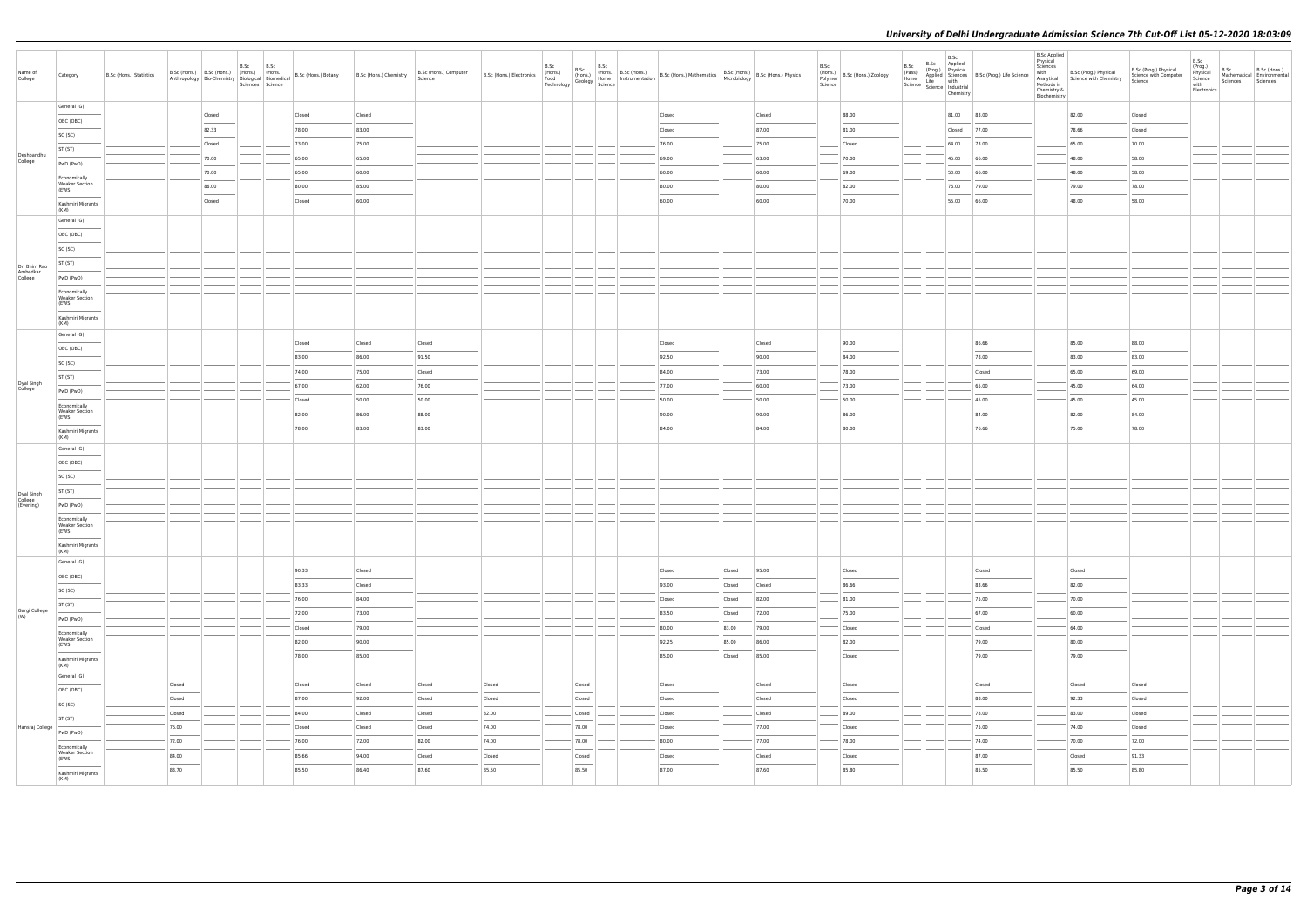| Name of<br>College                  | Category                                       | B.Sc (Hons.) Statistics |        | B.Sc (Hons.) B.Sc (Hons.) (Hons.) (Hons.)<br>Anthropology Bio-Chemistry Biological Biomedical | B.Sc<br>Sciences Science | B.Sc | B.Sc (Hons.) Botany | B.Sc (Hons.) Chemistry | B.Sc (Hons.) Computer<br>Science | B.Sc (Hons.) Electronics | B.Sc<br>(Hons.)<br>Food (Hons.)<br>Technology Geology Home<br>Science |                                                                                                                                                                                                                                                                                                                                                                                                                                                                                      |  | $\begin{array}{ l l l l } \hline \text{B.Sc} & \text{B.Sc} & \text{[Hons.)} & \text{B.Sc (Hons.)} & \text{B.Sc (Hons.)} & \text{Mathematics} & \text{B.Sc (Hons.)} & \text{M.Sc (Hons.)} & \text{M.Sc (Hons.)} & \text{M.Sc (Hons.)} & \text{M.Sc (Hons.)} & \text{M.Sc (Hons.)} & \text{M.Sc (Hons.)} & \text{M.} & \text{M.} & \text{M.} & \text{M.} & \text{M.} \\ \hline \end{array}$ |        |        | B.Sc<br>Polymer<br>Science | $(Hons.)$ B.Sc (Hons.) Zoology | B.Sc<br>B.Sc Applied<br>B.Sc<br>(Pass)<br>Home<br>Home<br>Science Life with<br>Science Industrial<br>Chemistry | (Prog.) Physical B.Sc (Prog.) Life Science | <b>B.Sc Applied</b><br>Physical<br>Sciences<br>with<br>Analytical<br>Methods in<br>Chemistry &<br>Biochemistry | B.Sc (Prog.) Physical<br>Science with Chemistry | B.Sc (Prog.) Physical<br>Science with Computer<br>Science | B.Sc<br>(Prog.)<br>Physical<br>Science<br>with<br>Electronics | B.Sc<br>Sciences | B.Sc (Hons.)<br>Mathematical Environmental<br>Sciences |
|-------------------------------------|------------------------------------------------|-------------------------|--------|-----------------------------------------------------------------------------------------------|--------------------------|------|---------------------|------------------------|----------------------------------|--------------------------|-----------------------------------------------------------------------|--------------------------------------------------------------------------------------------------------------------------------------------------------------------------------------------------------------------------------------------------------------------------------------------------------------------------------------------------------------------------------------------------------------------------------------------------------------------------------------|--|-------------------------------------------------------------------------------------------------------------------------------------------------------------------------------------------------------------------------------------------------------------------------------------------------------------------------------------------------------------------------------------------|--------|--------|----------------------------|--------------------------------|----------------------------------------------------------------------------------------------------------------|--------------------------------------------|----------------------------------------------------------------------------------------------------------------|-------------------------------------------------|-----------------------------------------------------------|---------------------------------------------------------------|------------------|--------------------------------------------------------|
|                                     | General (G)                                    |                         |        | Closed                                                                                        |                          |      | Closed              | Closed                 |                                  |                          |                                                                       |                                                                                                                                                                                                                                                                                                                                                                                                                                                                                      |  | Closed                                                                                                                                                                                                                                                                                                                                                                                    |        | Closed |                            | 88.00                          | 81.00 83.00                                                                                                    |                                            |                                                                                                                | 82.00                                           | Closed                                                    |                                                               |                  |                                                        |
|                                     | OBC (OBC)                                      |                         |        | 82.33                                                                                         |                          |      | 78.00               | 83.00                  |                                  |                          |                                                                       |                                                                                                                                                                                                                                                                                                                                                                                                                                                                                      |  | Closed                                                                                                                                                                                                                                                                                                                                                                                    |        | 87.00  |                            | 81.00                          | Closed 77.00                                                                                                   |                                            |                                                                                                                | 78.66                                           | Closed                                                    |                                                               |                  |                                                        |
|                                     | SC (SC)                                        |                         |        | Closed                                                                                        |                          |      | 73.00               | 75.00                  |                                  |                          |                                                                       |                                                                                                                                                                                                                                                                                                                                                                                                                                                                                      |  | 76.00                                                                                                                                                                                                                                                                                                                                                                                     |        | 75.00  |                            | Closed                         | 64.00 73.00                                                                                                    |                                            |                                                                                                                | 65.00                                           | 70.00                                                     |                                                               |                  |                                                        |
| Deshbandhu                          | ST (ST)                                        |                         |        | 70.00                                                                                         |                          |      | 65.00               | 65.00                  |                                  |                          |                                                                       |                                                                                                                                                                                                                                                                                                                                                                                                                                                                                      |  | 69.00                                                                                                                                                                                                                                                                                                                                                                                     |        | 63.00  |                            | 70.00                          | 45.00 66.00                                                                                                    |                                            |                                                                                                                | 48.00                                           | 58.00                                                     |                                                               |                  |                                                        |
| College                             | PwD (PwD)                                      |                         |        | 70.00                                                                                         |                          |      | 65.00               | 60.00                  |                                  |                          |                                                                       |                                                                                                                                                                                                                                                                                                                                                                                                                                                                                      |  | 60.00                                                                                                                                                                                                                                                                                                                                                                                     |        | 60.00  |                            | 69.00                          | 50.00 66.00                                                                                                    |                                            |                                                                                                                | 48.00                                           | 58.00                                                     |                                                               |                  |                                                        |
|                                     | Economically<br><b>Weaker Section</b>          |                         |        | 86.00                                                                                         |                          |      | 80.00               | 85.00                  |                                  |                          |                                                                       |                                                                                                                                                                                                                                                                                                                                                                                                                                                                                      |  | 80.00                                                                                                                                                                                                                                                                                                                                                                                     |        | 80.00  |                            | 82.00                          | 76.00 79.00                                                                                                    |                                            |                                                                                                                | 79.00                                           | 78.00                                                     |                                                               |                  |                                                        |
|                                     | (EWS)<br>Kashmiri Migrants                     |                         |        | Closed                                                                                        |                          |      | Closed              | 60.00                  |                                  |                          |                                                                       |                                                                                                                                                                                                                                                                                                                                                                                                                                                                                      |  | 60.00                                                                                                                                                                                                                                                                                                                                                                                     |        | 60.00  |                            | 70.00                          | 55.00 66.00                                                                                                    |                                            |                                                                                                                | 48.00                                           | 58.00                                                     |                                                               |                  |                                                        |
|                                     | (KM)<br>General (G)                            |                         |        |                                                                                               |                          |      |                     |                        |                                  |                          |                                                                       |                                                                                                                                                                                                                                                                                                                                                                                                                                                                                      |  |                                                                                                                                                                                                                                                                                                                                                                                           |        |        |                            |                                |                                                                                                                |                                            |                                                                                                                |                                                 |                                                           |                                                               |                  |                                                        |
|                                     | OBC (OBC)                                      |                         |        |                                                                                               |                          |      |                     |                        |                                  |                          |                                                                       |                                                                                                                                                                                                                                                                                                                                                                                                                                                                                      |  |                                                                                                                                                                                                                                                                                                                                                                                           |        |        |                            |                                |                                                                                                                |                                            |                                                                                                                |                                                 |                                                           |                                                               |                  |                                                        |
|                                     | SC (SC)                                        |                         |        |                                                                                               |                          |      |                     |                        |                                  |                          |                                                                       |                                                                                                                                                                                                                                                                                                                                                                                                                                                                                      |  |                                                                                                                                                                                                                                                                                                                                                                                           |        |        |                            |                                |                                                                                                                |                                            |                                                                                                                |                                                 |                                                           |                                                               |                  |                                                        |
|                                     | ST (ST)                                        |                         |        |                                                                                               |                          |      |                     |                        |                                  |                          |                                                                       |                                                                                                                                                                                                                                                                                                                                                                                                                                                                                      |  |                                                                                                                                                                                                                                                                                                                                                                                           |        |        |                            |                                |                                                                                                                |                                            |                                                                                                                |                                                 |                                                           |                                                               |                  |                                                        |
| Dr. Bhim Rao<br>Ambedkar<br>College | PwD (PwD)                                      |                         |        |                                                                                               |                          |      |                     |                        |                                  |                          |                                                                       |                                                                                                                                                                                                                                                                                                                                                                                                                                                                                      |  |                                                                                                                                                                                                                                                                                                                                                                                           |        |        |                            |                                |                                                                                                                |                                            |                                                                                                                |                                                 |                                                           |                                                               |                  |                                                        |
|                                     | Economically                                   |                         |        |                                                                                               |                          |      |                     |                        |                                  |                          |                                                                       |                                                                                                                                                                                                                                                                                                                                                                                                                                                                                      |  |                                                                                                                                                                                                                                                                                                                                                                                           |        |        |                            |                                |                                                                                                                |                                            |                                                                                                                |                                                 |                                                           |                                                               |                  |                                                        |
|                                     | <b>Weaker Section</b><br>(EWS)                 |                         |        |                                                                                               |                          |      |                     |                        |                                  |                          |                                                                       |                                                                                                                                                                                                                                                                                                                                                                                                                                                                                      |  |                                                                                                                                                                                                                                                                                                                                                                                           |        |        |                            |                                |                                                                                                                |                                            |                                                                                                                |                                                 |                                                           |                                                               |                  |                                                        |
|                                     | Kashmiri Migrants<br>(KM)                      |                         |        |                                                                                               |                          |      |                     |                        |                                  |                          |                                                                       |                                                                                                                                                                                                                                                                                                                                                                                                                                                                                      |  |                                                                                                                                                                                                                                                                                                                                                                                           |        |        |                            |                                |                                                                                                                |                                            |                                                                                                                |                                                 |                                                           |                                                               |                  |                                                        |
|                                     | General (G)                                    |                         |        |                                                                                               |                          |      |                     |                        |                                  |                          |                                                                       |                                                                                                                                                                                                                                                                                                                                                                                                                                                                                      |  |                                                                                                                                                                                                                                                                                                                                                                                           |        |        |                            |                                |                                                                                                                |                                            |                                                                                                                |                                                 |                                                           |                                                               |                  |                                                        |
|                                     | OBC (OBC)                                      |                         |        |                                                                                               |                          |      | Closed              | Closed                 | Closed                           |                          |                                                                       |                                                                                                                                                                                                                                                                                                                                                                                                                                                                                      |  | Closed                                                                                                                                                                                                                                                                                                                                                                                    |        | Closed |                            | 90.00                          |                                                                                                                | 86.66                                      |                                                                                                                | 85.00                                           | 88.00                                                     |                                                               |                  |                                                        |
|                                     | SC (SC)                                        |                         |        |                                                                                               |                          |      | 83.00               | 86.00                  | 91.50                            |                          |                                                                       |                                                                                                                                                                                                                                                                                                                                                                                                                                                                                      |  | 92.50                                                                                                                                                                                                                                                                                                                                                                                     |        | 90.00  |                            | 84.00                          |                                                                                                                | 78.00                                      |                                                                                                                | 83.00                                           | 83.00                                                     |                                                               |                  |                                                        |
| Dyal Singh                          | ST (ST)                                        |                         |        |                                                                                               |                          |      | 74.00               | 75.00                  | Closed                           |                          |                                                                       |                                                                                                                                                                                                                                                                                                                                                                                                                                                                                      |  | 84.00                                                                                                                                                                                                                                                                                                                                                                                     |        | 73.00  |                            | 78.00                          |                                                                                                                | Closed                                     |                                                                                                                | 65.00                                           | 69.00                                                     |                                                               |                  |                                                        |
| College                             | PwD (PwD)                                      |                         |        |                                                                                               |                          |      | 67.00               | 62.00                  | 76.00                            |                          |                                                                       |                                                                                                                                                                                                                                                                                                                                                                                                                                                                                      |  | 77.00                                                                                                                                                                                                                                                                                                                                                                                     |        | 60.00  |                            | 73.00                          |                                                                                                                | 65.00                                      |                                                                                                                | 45.00                                           | 64.00                                                     |                                                               |                  |                                                        |
|                                     | Economically<br><b>Weaker Section</b>          |                         |        |                                                                                               |                          |      | Closed              | 50.00                  | 50.00                            |                          |                                                                       |                                                                                                                                                                                                                                                                                                                                                                                                                                                                                      |  | 50.00                                                                                                                                                                                                                                                                                                                                                                                     |        | 50.00  |                            | 50.00                          |                                                                                                                | 45.00                                      |                                                                                                                | 45.00                                           | 45.00                                                     |                                                               |                  |                                                        |
|                                     | (EWS)                                          |                         |        |                                                                                               |                          |      | 82.00               | 86.00                  | 88.00                            |                          |                                                                       |                                                                                                                                                                                                                                                                                                                                                                                                                                                                                      |  | 90.00                                                                                                                                                                                                                                                                                                                                                                                     |        | 90.00  |                            | 86.00                          |                                                                                                                | 84.00                                      |                                                                                                                | 82.00                                           | 84.00                                                     |                                                               |                  |                                                        |
|                                     | Kashmiri Migrants<br>(KM)                      |                         |        |                                                                                               |                          |      | 78.00               | 83.00                  | 83.00                            |                          |                                                                       |                                                                                                                                                                                                                                                                                                                                                                                                                                                                                      |  | 84.00                                                                                                                                                                                                                                                                                                                                                                                     |        | 84.00  |                            | 80.00                          |                                                                                                                | 76.66                                      |                                                                                                                | 75.00                                           | 78.00                                                     |                                                               |                  |                                                        |
|                                     | General (G)                                    |                         |        |                                                                                               |                          |      |                     |                        |                                  |                          |                                                                       |                                                                                                                                                                                                                                                                                                                                                                                                                                                                                      |  |                                                                                                                                                                                                                                                                                                                                                                                           |        |        |                            |                                |                                                                                                                |                                            |                                                                                                                |                                                 |                                                           |                                                               |                  |                                                        |
|                                     | OBC (OBC)                                      |                         |        |                                                                                               |                          |      |                     |                        |                                  |                          |                                                                       |                                                                                                                                                                                                                                                                                                                                                                                                                                                                                      |  |                                                                                                                                                                                                                                                                                                                                                                                           |        |        |                            |                                |                                                                                                                |                                            |                                                                                                                |                                                 |                                                           |                                                               |                  |                                                        |
|                                     | SC (SC)                                        |                         |        |                                                                                               |                          |      |                     |                        |                                  |                          |                                                                       |                                                                                                                                                                                                                                                                                                                                                                                                                                                                                      |  |                                                                                                                                                                                                                                                                                                                                                                                           |        |        |                            |                                |                                                                                                                |                                            |                                                                                                                |                                                 |                                                           |                                                               |                  |                                                        |
| Dyal Singh<br>College               | ST (ST)                                        |                         |        |                                                                                               |                          |      |                     |                        |                                  |                          |                                                                       |                                                                                                                                                                                                                                                                                                                                                                                                                                                                                      |  |                                                                                                                                                                                                                                                                                                                                                                                           |        |        |                            |                                |                                                                                                                |                                            |                                                                                                                |                                                 |                                                           |                                                               |                  |                                                        |
| (Evening)                           | PwD (PwD)                                      |                         |        |                                                                                               |                          |      |                     |                        |                                  |                          |                                                                       |                                                                                                                                                                                                                                                                                                                                                                                                                                                                                      |  |                                                                                                                                                                                                                                                                                                                                                                                           |        |        |                            |                                |                                                                                                                |                                            |                                                                                                                |                                                 |                                                           |                                                               |                  |                                                        |
|                                     | Economically<br><b>Weaker Section</b><br>(EWS) |                         |        |                                                                                               |                          |      |                     |                        |                                  |                          |                                                                       |                                                                                                                                                                                                                                                                                                                                                                                                                                                                                      |  |                                                                                                                                                                                                                                                                                                                                                                                           |        |        |                            |                                |                                                                                                                |                                            |                                                                                                                |                                                 |                                                           |                                                               |                  |                                                        |
|                                     | Kashmiri Migrants                              |                         |        |                                                                                               |                          |      |                     |                        |                                  |                          |                                                                       |                                                                                                                                                                                                                                                                                                                                                                                                                                                                                      |  |                                                                                                                                                                                                                                                                                                                                                                                           |        |        |                            |                                |                                                                                                                |                                            |                                                                                                                |                                                 |                                                           |                                                               |                  |                                                        |
|                                     | (KM)<br>General (G)                            |                         |        |                                                                                               |                          |      |                     |                        |                                  |                          |                                                                       |                                                                                                                                                                                                                                                                                                                                                                                                                                                                                      |  |                                                                                                                                                                                                                                                                                                                                                                                           |        |        |                            |                                |                                                                                                                |                                            |                                                                                                                |                                                 |                                                           |                                                               |                  |                                                        |
|                                     | OBC (OBC)                                      |                         |        |                                                                                               |                          |      | 90.33               | Closed                 |                                  |                          |                                                                       |                                                                                                                                                                                                                                                                                                                                                                                                                                                                                      |  | Closed                                                                                                                                                                                                                                                                                                                                                                                    | Closed | 95.00  |                            | Closed                         |                                                                                                                | Closed                                     |                                                                                                                | Closed                                          |                                                           |                                                               |                  |                                                        |
|                                     | SC (SC)                                        |                         |        |                                                                                               |                          |      | 83.33               | Closed                 |                                  |                          |                                                                       |                                                                                                                                                                                                                                                                                                                                                                                                                                                                                      |  | 93.00                                                                                                                                                                                                                                                                                                                                                                                     | Closed | Closed |                            | 86.66                          |                                                                                                                | 83.66                                      |                                                                                                                | 82.00                                           |                                                           |                                                               |                  |                                                        |
|                                     | ST (ST)                                        |                         |        |                                                                                               |                          |      | 76.00               | 84.00                  |                                  |                          |                                                                       |                                                                                                                                                                                                                                                                                                                                                                                                                                                                                      |  | Closed                                                                                                                                                                                                                                                                                                                                                                                    | Closed | 82.00  |                            | 81.00                          |                                                                                                                | 75.00                                      |                                                                                                                | 70.00                                           |                                                           |                                                               |                  |                                                        |
| Gargi College<br>(W)                | PwD (PwD)                                      |                         |        |                                                                                               |                          |      | 72.00               | 73.00                  |                                  |                          |                                                                       |                                                                                                                                                                                                                                                                                                                                                                                                                                                                                      |  | 83.50                                                                                                                                                                                                                                                                                                                                                                                     | Closed | 72.00  |                            | 75.00                          |                                                                                                                | 67.00                                      |                                                                                                                | 60.00                                           |                                                           |                                                               |                  |                                                        |
|                                     | Economically                                   |                         |        |                                                                                               |                          |      | Closed              | 79.00                  |                                  |                          |                                                                       |                                                                                                                                                                                                                                                                                                                                                                                                                                                                                      |  | 80.00                                                                                                                                                                                                                                                                                                                                                                                     | 83.00  | 79.00  |                            | Closed                         |                                                                                                                | Closed                                     |                                                                                                                | 64.00                                           |                                                           |                                                               |                  |                                                        |
|                                     | <b>Weaker Section</b><br>(EWS)                 |                         |        |                                                                                               |                          |      | 82.00               | 90.00                  |                                  |                          |                                                                       |                                                                                                                                                                                                                                                                                                                                                                                                                                                                                      |  | 92.25                                                                                                                                                                                                                                                                                                                                                                                     | 85.00  | 86.00  |                            | 82.00                          |                                                                                                                | 79.00                                      |                                                                                                                | 80.00                                           |                                                           |                                                               |                  |                                                        |
|                                     | Kashmiri Migrants<br>(KM)                      |                         |        |                                                                                               |                          |      | 78.00               | 85.00                  |                                  |                          |                                                                       |                                                                                                                                                                                                                                                                                                                                                                                                                                                                                      |  | 85.00                                                                                                                                                                                                                                                                                                                                                                                     | Closed | 85.00  |                            | Closed                         |                                                                                                                | 79.00                                      |                                                                                                                | 79.00                                           |                                                           |                                                               |                  |                                                        |
|                                     | General (G)                                    |                         |        |                                                                                               |                          |      |                     |                        |                                  |                          |                                                                       |                                                                                                                                                                                                                                                                                                                                                                                                                                                                                      |  |                                                                                                                                                                                                                                                                                                                                                                                           |        |        |                            |                                |                                                                                                                |                                            |                                                                                                                |                                                 |                                                           |                                                               |                  |                                                        |
|                                     | OBC (OBC)                                      |                         | Closed |                                                                                               |                          |      | Closed              | Closed                 | Closed                           | Closed                   |                                                                       | Closed<br>$\frac{1}{2} \left( \frac{1}{2} \right) \left( \frac{1}{2} \right) \left( \frac{1}{2} \right) \left( \frac{1}{2} \right) \left( \frac{1}{2} \right) \left( \frac{1}{2} \right) \left( \frac{1}{2} \right) \left( \frac{1}{2} \right) \left( \frac{1}{2} \right) \left( \frac{1}{2} \right) \left( \frac{1}{2} \right) \left( \frac{1}{2} \right) \left( \frac{1}{2} \right) \left( \frac{1}{2} \right) \left( \frac{1}{2} \right) \left( \frac{1}{2} \right) \left( \frac$ |  | Closed                                                                                                                                                                                                                                                                                                                                                                                    |        | Closed |                            | Closed                         |                                                                                                                | Closed                                     |                                                                                                                | Closed                                          | Closed                                                    |                                                               |                  |                                                        |
|                                     | SC (SC)                                        |                         | Closed |                                                                                               |                          |      | 87.00               | 92.00                  | Closed                           | Closed                   |                                                                       | Closed                                                                                                                                                                                                                                                                                                                                                                                                                                                                               |  | Closed                                                                                                                                                                                                                                                                                                                                                                                    |        | Closed |                            | Closed                         |                                                                                                                | 88.00                                      |                                                                                                                | 92.33                                           | Closed                                                    |                                                               |                  |                                                        |
|                                     | ST (ST)                                        |                         | Closed |                                                                                               |                          |      | 84.00               | Closed                 | Closed                           | 82.00                    |                                                                       | Closed                                                                                                                                                                                                                                                                                                                                                                                                                                                                               |  | Closed                                                                                                                                                                                                                                                                                                                                                                                    |        | Closed |                            | 89.00                          |                                                                                                                | 78.00                                      |                                                                                                                | 83.00                                           | Closed                                                    |                                                               |                  |                                                        |
| Hansraj College                     | PwD (PwD)                                      |                         | 76.00  |                                                                                               |                          |      | Closed              | Closed                 | Closed                           | 74.00                    |                                                                       | 78.00                                                                                                                                                                                                                                                                                                                                                                                                                                                                                |  | Closed                                                                                                                                                                                                                                                                                                                                                                                    |        | 77.00  |                            | Closed                         |                                                                                                                | 75.00                                      |                                                                                                                | 74.00                                           | Closed                                                    |                                                               |                  |                                                        |
|                                     | Economically                                   |                         | 72.00  |                                                                                               |                          |      | 76.00               | 72.00                  | 82.00                            | 74.00                    |                                                                       | 78.00                                                                                                                                                                                                                                                                                                                                                                                                                                                                                |  | 80.00                                                                                                                                                                                                                                                                                                                                                                                     |        | 77.00  |                            | 78.00                          |                                                                                                                | 74.00                                      |                                                                                                                | 70.00                                           | 72.00                                                     |                                                               |                  |                                                        |
|                                     | <b>Weaker Section</b><br>(EWS)                 |                         | 84.00  |                                                                                               |                          |      | 85.66               | 94.00                  | Closed                           | Closed                   |                                                                       | Closed                                                                                                                                                                                                                                                                                                                                                                                                                                                                               |  | Closed                                                                                                                                                                                                                                                                                                                                                                                    |        | Closed |                            | Closed                         |                                                                                                                | 87.00                                      |                                                                                                                | Closed                                          | 91.33                                                     |                                                               |                  |                                                        |
|                                     | Kashmiri Migrants<br>(KM)                      |                         | 83.70  |                                                                                               |                          |      | 85.50               | 86.40                  | 87.60                            | 85.50                    |                                                                       | 85.50                                                                                                                                                                                                                                                                                                                                                                                                                                                                                |  | 87.00                                                                                                                                                                                                                                                                                                                                                                                     |        | 87.60  |                            | 85.80                          |                                                                                                                | 85.50                                      |                                                                                                                | 85.50                                           | 85.80                                                     |                                                               |                  |                                                        |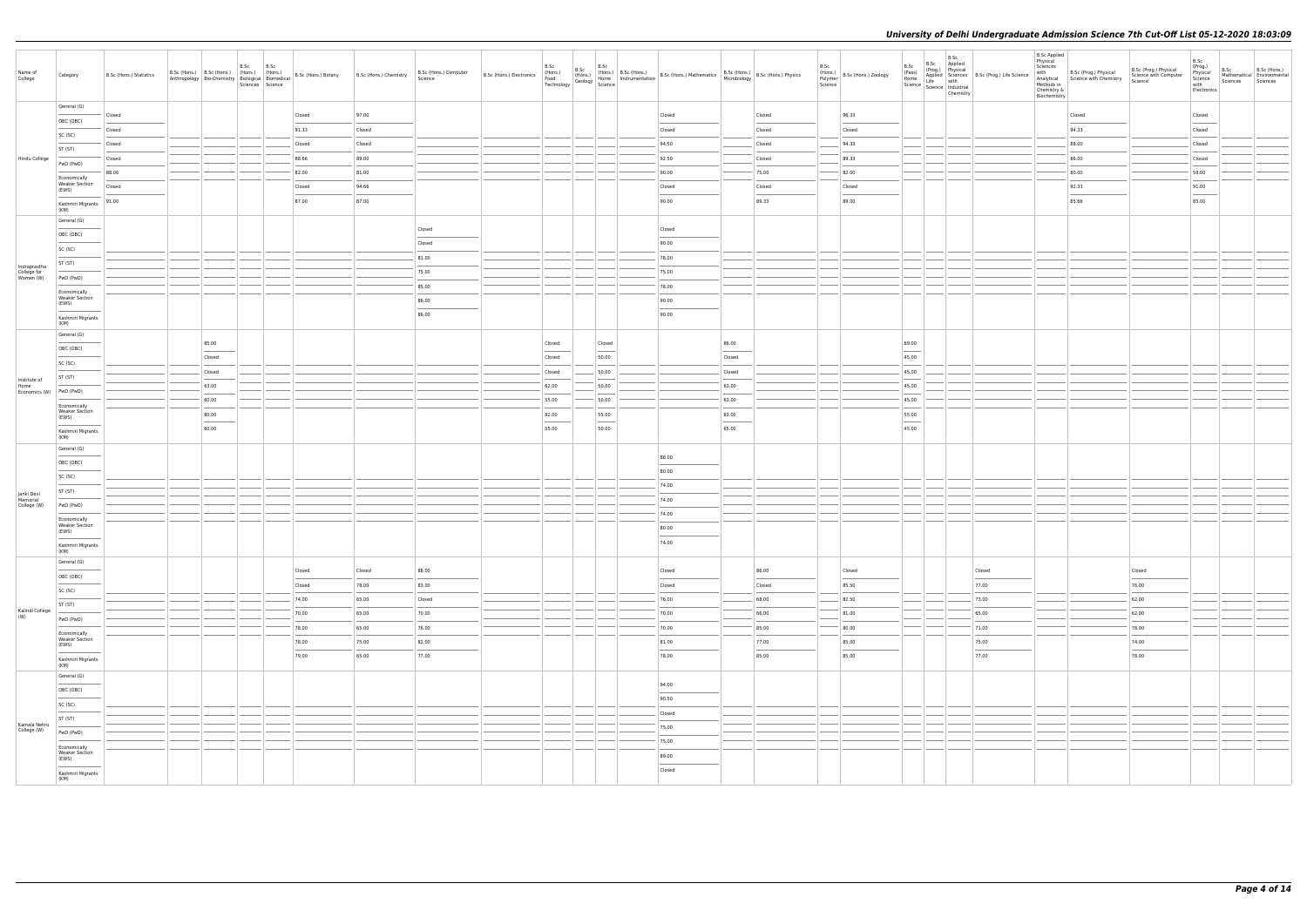| Name of<br>College                       | Category                                       | B.Sc (Hons.) Statistics | B.Sc (Hons.) B.Sc (Hons.) (Hons.) (Hons.) | <b>B.Sc</b><br>Sciences Science | B.Sc | Anthropology   Bio-Chemistry   $\left \frac{\text{rrows}}{\text{Biological}}\right $   $\left \frac{\text{tHons.}}{\text{Biomedical}}\right $   B.Sc (Hons.) Botany | B.Sc (Hons.) Chemistry | B.Sc (Hons.) Computer<br>Science | B.Sc (Hons.) Electronics |                |                                                                                                                                                                                                                                                                                                                                                                                                                                                                                      | B.Sc (Hons.) B.Sc (Hons.) B.Sc (Hons.) B.Sc (Hons.) B.Sc (Hons.) Athematics B.Sc (Hons.) B.Sc (Hons.) Physics Food (Hons.) Home Instrumentation B.Sc (Hons.) Mathematics (Microbiology B.Sc (Hons.) Physics (Technology Geolog                                                                                                                                                                                                                                                      |                                                                                                                                                                                                                                                                                                                                                                                                                                                                                     |        | B.Sc | (Hons.)<br>Polymer<br>Science | B.Sc<br>(Pass)<br>Home            | B.Sc<br>B.Sc Applied<br>Home<br>Science Life with<br>Science Industrial<br>Chemistry | (Prog.) Physical<br>Applied Sciences B.Sc (Prog.) Life Science | <b>B.Sc Applied</b><br>Physical<br>Sciences<br>with<br>Methods in<br>Chemistry &<br>Biochemistry | B.Sc (Prog.) Physical<br>Analytical Science with Chemistry | B.Sc (Prog.) Physical<br>Science with Computer<br>Science | B.Sc<br>(Prog.)<br>Physical<br>Science<br>with<br>Electronics | B.Sc<br>Sciences | B.Sc (Hons.)<br>Mathematical Environmental<br>Sciences |
|------------------------------------------|------------------------------------------------|-------------------------|-------------------------------------------|---------------------------------|------|---------------------------------------------------------------------------------------------------------------------------------------------------------------------|------------------------|----------------------------------|--------------------------|----------------|--------------------------------------------------------------------------------------------------------------------------------------------------------------------------------------------------------------------------------------------------------------------------------------------------------------------------------------------------------------------------------------------------------------------------------------------------------------------------------------|-------------------------------------------------------------------------------------------------------------------------------------------------------------------------------------------------------------------------------------------------------------------------------------------------------------------------------------------------------------------------------------------------------------------------------------------------------------------------------------|-------------------------------------------------------------------------------------------------------------------------------------------------------------------------------------------------------------------------------------------------------------------------------------------------------------------------------------------------------------------------------------------------------------------------------------------------------------------------------------|--------|------|-------------------------------|-----------------------------------|--------------------------------------------------------------------------------------|----------------------------------------------------------------|--------------------------------------------------------------------------------------------------|------------------------------------------------------------|-----------------------------------------------------------|---------------------------------------------------------------|------------------|--------------------------------------------------------|
|                                          | General (G)                                    | Closed                  |                                           |                                 |      | Closed                                                                                                                                                              | 97.00                  |                                  |                          |                |                                                                                                                                                                                                                                                                                                                                                                                                                                                                                      | Closed                                                                                                                                                                                                                                                                                                                                                                                                                                                                              |                                                                                                                                                                                                                                                                                                                                                                                                                                                                                     | Closed |      | 96.33                         |                                   |                                                                                      |                                                                |                                                                                                  | Closed                                                     |                                                           | Closed                                                        |                  |                                                        |
|                                          | OBC (OBC)                                      | Closed                  |                                           |                                 |      | 91.33                                                                                                                                                               | Closed                 |                                  |                          |                |                                                                                                                                                                                                                                                                                                                                                                                                                                                                                      | Closed                                                                                                                                                                                                                                                                                                                                                                                                                                                                              |                                                                                                                                                                                                                                                                                                                                                                                                                                                                                     | Closed |      | Closed                        |                                   |                                                                                      |                                                                |                                                                                                  | 94.33                                                      |                                                           | Closed                                                        |                  |                                                        |
|                                          | SC (SC)                                        | Closed                  |                                           |                                 |      | Closed                                                                                                                                                              | Closed                 |                                  |                          |                |                                                                                                                                                                                                                                                                                                                                                                                                                                                                                      | 94.50                                                                                                                                                                                                                                                                                                                                                                                                                                                                               |                                                                                                                                                                                                                                                                                                                                                                                                                                                                                     | Closed |      | 94.33                         |                                   |                                                                                      |                                                                |                                                                                                  | 88.00                                                      |                                                           | Closed                                                        |                  |                                                        |
| Hindu College                            | ST (ST)                                        | Closed                  |                                           |                                 |      | 88.66                                                                                                                                                               | 89.00                  |                                  |                          |                |                                                                                                                                                                                                                                                                                                                                                                                                                                                                                      | 92.50                                                                                                                                                                                                                                                                                                                                                                                                                                                                               |                                                                                                                                                                                                                                                                                                                                                                                                                                                                                     | Closed |      | 89.33                         |                                   |                                                                                      |                                                                |                                                                                                  | 86.00                                                      |                                                           | Closed                                                        |                  |                                                        |
|                                          | PwD (PwD)                                      | 88.00                   |                                           |                                 |      | 82.00                                                                                                                                                               | 81.00                  |                                  |                          |                |                                                                                                                                                                                                                                                                                                                                                                                                                                                                                      | 90.00                                                                                                                                                                                                                                                                                                                                                                                                                                                                               |                                                                                                                                                                                                                                                                                                                                                                                                                                                                                     | 75.00  |      | 82.00                         |                                   |                                                                                      |                                                                |                                                                                                  | 80.00                                                      |                                                           | 59.00                                                         |                  |                                                        |
|                                          | Economically<br><b>Weaker Section</b><br>(EWS) | Closed                  |                                           |                                 |      | Closed                                                                                                                                                              | 94.66                  |                                  |                          |                |                                                                                                                                                                                                                                                                                                                                                                                                                                                                                      | Closed                                                                                                                                                                                                                                                                                                                                                                                                                                                                              |                                                                                                                                                                                                                                                                                                                                                                                                                                                                                     | Closed |      | Closed                        |                                   |                                                                                      |                                                                |                                                                                                  | 92.33                                                      |                                                           | 91.00                                                         |                  |                                                        |
|                                          | Kashmiri Migrants                              | 91.00                   |                                           |                                 |      | 87.00                                                                                                                                                               | 87.00                  |                                  |                          |                |                                                                                                                                                                                                                                                                                                                                                                                                                                                                                      | 90.00                                                                                                                                                                                                                                                                                                                                                                                                                                                                               |                                                                                                                                                                                                                                                                                                                                                                                                                                                                                     | 89.33  |      | 89.00                         |                                   |                                                                                      |                                                                |                                                                                                  | 85.66                                                      |                                                           | 85.00                                                         |                  |                                                        |
|                                          | (KM)<br>General (G)                            |                         |                                           |                                 |      |                                                                                                                                                                     |                        |                                  |                          |                |                                                                                                                                                                                                                                                                                                                                                                                                                                                                                      |                                                                                                                                                                                                                                                                                                                                                                                                                                                                                     |                                                                                                                                                                                                                                                                                                                                                                                                                                                                                     |        |      |                               |                                   |                                                                                      |                                                                |                                                                                                  |                                                            |                                                           |                                                               |                  |                                                        |
|                                          | OBC (OBC)                                      |                         |                                           |                                 |      |                                                                                                                                                                     |                        | Closed                           |                          |                |                                                                                                                                                                                                                                                                                                                                                                                                                                                                                      | Closed                                                                                                                                                                                                                                                                                                                                                                                                                                                                              |                                                                                                                                                                                                                                                                                                                                                                                                                                                                                     |        |      |                               |                                   |                                                                                      |                                                                |                                                                                                  |                                                            |                                                           |                                                               |                  |                                                        |
|                                          | SC (SC)                                        |                         |                                           |                                 |      |                                                                                                                                                                     |                        | Closed                           |                          |                |                                                                                                                                                                                                                                                                                                                                                                                                                                                                                      | 90.00                                                                                                                                                                                                                                                                                                                                                                                                                                                                               |                                                                                                                                                                                                                                                                                                                                                                                                                                                                                     |        |      |                               |                                   |                                                                                      |                                                                |                                                                                                  |                                                            |                                                           |                                                               |                  |                                                        |
|                                          | ST (ST)                                        |                         |                                           |                                 |      |                                                                                                                                                                     |                        | 81.00                            |                          |                |                                                                                                                                                                                                                                                                                                                                                                                                                                                                                      | 78.00                                                                                                                                                                                                                                                                                                                                                                                                                                                                               |                                                                                                                                                                                                                                                                                                                                                                                                                                                                                     |        |      |                               |                                   |                                                                                      |                                                                |                                                                                                  |                                                            |                                                           |                                                               |                  |                                                        |
| Indraprastha<br>College for<br>Women (W) | PwD (PwD)                                      |                         |                                           |                                 |      |                                                                                                                                                                     |                        | 75.00                            |                          |                |                                                                                                                                                                                                                                                                                                                                                                                                                                                                                      | 75.00                                                                                                                                                                                                                                                                                                                                                                                                                                                                               |                                                                                                                                                                                                                                                                                                                                                                                                                                                                                     |        |      |                               |                                   |                                                                                      |                                                                |                                                                                                  |                                                            |                                                           |                                                               |                  |                                                        |
|                                          | Economically                                   |                         |                                           |                                 |      |                                                                                                                                                                     |                        | 85.00                            |                          |                |                                                                                                                                                                                                                                                                                                                                                                                                                                                                                      | 78.00                                                                                                                                                                                                                                                                                                                                                                                                                                                                               |                                                                                                                                                                                                                                                                                                                                                                                                                                                                                     |        |      |                               |                                   |                                                                                      |                                                                |                                                                                                  |                                                            |                                                           |                                                               |                  |                                                        |
|                                          | <b>Weaker Section</b><br>(EWS)                 |                         |                                           |                                 |      |                                                                                                                                                                     |                        | 86.00                            |                          |                |                                                                                                                                                                                                                                                                                                                                                                                                                                                                                      | 90.00                                                                                                                                                                                                                                                                                                                                                                                                                                                                               |                                                                                                                                                                                                                                                                                                                                                                                                                                                                                     |        |      |                               |                                   |                                                                                      |                                                                |                                                                                                  |                                                            |                                                           |                                                               |                  |                                                        |
|                                          | Kashmiri Migrants<br>(KM)                      |                         |                                           |                                 |      |                                                                                                                                                                     |                        | 86.00                            |                          |                |                                                                                                                                                                                                                                                                                                                                                                                                                                                                                      | 90.00                                                                                                                                                                                                                                                                                                                                                                                                                                                                               |                                                                                                                                                                                                                                                                                                                                                                                                                                                                                     |        |      |                               |                                   |                                                                                      |                                                                |                                                                                                  |                                                            |                                                           |                                                               |                  |                                                        |
|                                          | General (G)                                    |                         |                                           |                                 |      |                                                                                                                                                                     |                        |                                  |                          |                |                                                                                                                                                                                                                                                                                                                                                                                                                                                                                      |                                                                                                                                                                                                                                                                                                                                                                                                                                                                                     |                                                                                                                                                                                                                                                                                                                                                                                                                                                                                     |        |      |                               |                                   |                                                                                      |                                                                |                                                                                                  |                                                            |                                                           |                                                               |                  |                                                        |
|                                          | OBC (OBC)                                      |                         | 85.00                                     |                                 |      |                                                                                                                                                                     |                        |                                  |                          | Closed         | Closed<br>$\frac{1}{2} \left( \frac{1}{2} \right) \left( \frac{1}{2} \right) \left( \frac{1}{2} \right) \left( \frac{1}{2} \right) \left( \frac{1}{2} \right) \left( \frac{1}{2} \right) \left( \frac{1}{2} \right) \left( \frac{1}{2} \right) \left( \frac{1}{2} \right) \left( \frac{1}{2} \right) \left( \frac{1}{2} \right) \left( \frac{1}{2} \right) \left( \frac{1}{2} \right) \left( \frac{1}{2} \right) \left( \frac{1}{2} \right) \left( \frac{1}{2} \right) \left( \frac$ |                                                                                                                                                                                                                                                                                                                                                                                                                                                                                     | 86.00<br>$\frac{1}{2} \left( \frac{1}{2} \right) \left( \frac{1}{2} \right) \left( \frac{1}{2} \right) \left( \frac{1}{2} \right) \left( \frac{1}{2} \right) \left( \frac{1}{2} \right) \left( \frac{1}{2} \right) \left( \frac{1}{2} \right) \left( \frac{1}{2} \right) \left( \frac{1}{2} \right) \left( \frac{1}{2} \right) \left( \frac{1}{2} \right) \left( \frac{1}{2} \right) \left( \frac{1}{2} \right) \left( \frac{1}{2} \right) \left( \frac{1}{2} \right) \left( \frac$ |        |      |                               | 69.00<br>$\sim$                   |                                                                                      |                                                                |                                                                                                  |                                                            |                                                           |                                                               |                  |                                                        |
|                                          | SC (SC)                                        |                         | Closed                                    |                                 |      |                                                                                                                                                                     |                        |                                  |                          | Closed         | 50.00                                                                                                                                                                                                                                                                                                                                                                                                                                                                                |                                                                                                                                                                                                                                                                                                                                                                                                                                                                                     | Closed                                                                                                                                                                                                                                                                                                                                                                                                                                                                              |        |      |                               | 45.00                             |                                                                                      |                                                                |                                                                                                  |                                                            |                                                           |                                                               |                  |                                                        |
| Institute of                             | ST (ST)                                        |                         | Closed                                    |                                 |      |                                                                                                                                                                     |                        |                                  |                          | Closed         | 50.00                                                                                                                                                                                                                                                                                                                                                                                                                                                                                |                                                                                                                                                                                                                                                                                                                                                                                                                                                                                     | Closed                                                                                                                                                                                                                                                                                                                                                                                                                                                                              |        |      |                               | 45.00                             |                                                                                      |                                                                |                                                                                                  |                                                            |                                                           |                                                               |                  |                                                        |
| Home<br>Economics (W) PwD (PwD)          |                                                |                         | 63.00<br>60.00                            |                                 |      |                                                                                                                                                                     |                        |                                  |                          | 62.00<br>55.00 | 50.00<br>50.00                                                                                                                                                                                                                                                                                                                                                                                                                                                                       |                                                                                                                                                                                                                                                                                                                                                                                                                                                                                     | 63.00<br>63.00                                                                                                                                                                                                                                                                                                                                                                                                                                                                      |        |      |                               | 45.00<br>$\sim$<br>45.00          |                                                                                      |                                                                |                                                                                                  |                                                            |                                                           |                                                               |                  |                                                        |
|                                          | Economically<br><b>Weaker Section</b>          |                         | 80.00                                     |                                 |      |                                                                                                                                                                     |                        |                                  |                          |                |                                                                                                                                                                                                                                                                                                                                                                                                                                                                                      |                                                                                                                                                                                                                                                                                                                                                                                                                                                                                     |                                                                                                                                                                                                                                                                                                                                                                                                                                                                                     |        |      |                               | $\sim$<br>55.00                   |                                                                                      |                                                                |                                                                                                  |                                                            |                                                           |                                                               |                  |                                                        |
|                                          | (EWS)<br>Kashmiri Migrants                     |                         | 60.00                                     |                                 |      |                                                                                                                                                                     |                        |                                  |                          | 82.00<br>55.00 | 55.00<br>$\overline{\phantom{a}}$<br>50.00                                                                                                                                                                                                                                                                                                                                                                                                                                           |                                                                                                                                                                                                                                                                                                                                                                                                                                                                                     | 83.00<br>65.00                                                                                                                                                                                                                                                                                                                                                                                                                                                                      |        |      |                               | $\overline{\phantom{a}}$<br>45.00 |                                                                                      |                                                                |                                                                                                  |                                                            |                                                           |                                                               |                  |                                                        |
|                                          | (KM)<br>General (G)                            |                         |                                           |                                 |      |                                                                                                                                                                     |                        |                                  |                          |                |                                                                                                                                                                                                                                                                                                                                                                                                                                                                                      |                                                                                                                                                                                                                                                                                                                                                                                                                                                                                     |                                                                                                                                                                                                                                                                                                                                                                                                                                                                                     |        |      |                               |                                   |                                                                                      |                                                                |                                                                                                  |                                                            |                                                           |                                                               |                  |                                                        |
|                                          | OBC (OBC)                                      |                         |                                           |                                 |      |                                                                                                                                                                     |                        |                                  |                          |                |                                                                                                                                                                                                                                                                                                                                                                                                                                                                                      | 88.00                                                                                                                                                                                                                                                                                                                                                                                                                                                                               |                                                                                                                                                                                                                                                                                                                                                                                                                                                                                     |        |      |                               |                                   |                                                                                      |                                                                |                                                                                                  |                                                            |                                                           |                                                               |                  |                                                        |
|                                          | SC (SC)                                        |                         |                                           |                                 |      |                                                                                                                                                                     |                        |                                  |                          |                |                                                                                                                                                                                                                                                                                                                                                                                                                                                                                      | 80.00                                                                                                                                                                                                                                                                                                                                                                                                                                                                               |                                                                                                                                                                                                                                                                                                                                                                                                                                                                                     |        |      |                               |                                   |                                                                                      |                                                                |                                                                                                  |                                                            |                                                           |                                                               |                  |                                                        |
|                                          | ST (ST)                                        |                         |                                           |                                 |      |                                                                                                                                                                     |                        |                                  |                          |                |                                                                                                                                                                                                                                                                                                                                                                                                                                                                                      | 74.00                                                                                                                                                                                                                                                                                                                                                                                                                                                                               |                                                                                                                                                                                                                                                                                                                                                                                                                                                                                     |        |      |                               |                                   |                                                                                      |                                                                |                                                                                                  |                                                            |                                                           |                                                               |                  |                                                        |
| Janki Devi<br>Memorial<br>College (W)    | PwD (PwD)                                      |                         |                                           |                                 |      |                                                                                                                                                                     |                        |                                  |                          |                |                                                                                                                                                                                                                                                                                                                                                                                                                                                                                      | 74.00                                                                                                                                                                                                                                                                                                                                                                                                                                                                               |                                                                                                                                                                                                                                                                                                                                                                                                                                                                                     |        |      |                               |                                   |                                                                                      |                                                                |                                                                                                  |                                                            |                                                           |                                                               |                  |                                                        |
|                                          | Economically                                   |                         |                                           |                                 |      |                                                                                                                                                                     |                        |                                  |                          |                |                                                                                                                                                                                                                                                                                                                                                                                                                                                                                      | 74.00                                                                                                                                                                                                                                                                                                                                                                                                                                                                               |                                                                                                                                                                                                                                                                                                                                                                                                                                                                                     |        |      |                               |                                   |                                                                                      |                                                                |                                                                                                  |                                                            |                                                           |                                                               |                  |                                                        |
|                                          | <b>Weaker Section</b><br>(EWS)                 |                         |                                           |                                 |      |                                                                                                                                                                     |                        |                                  |                          |                |                                                                                                                                                                                                                                                                                                                                                                                                                                                                                      | 80.00                                                                                                                                                                                                                                                                                                                                                                                                                                                                               |                                                                                                                                                                                                                                                                                                                                                                                                                                                                                     |        |      |                               |                                   |                                                                                      |                                                                |                                                                                                  |                                                            |                                                           |                                                               |                  |                                                        |
|                                          | Kashmiri Migrants<br>(KM)                      |                         |                                           |                                 |      |                                                                                                                                                                     |                        |                                  |                          |                |                                                                                                                                                                                                                                                                                                                                                                                                                                                                                      | 74.00                                                                                                                                                                                                                                                                                                                                                                                                                                                                               |                                                                                                                                                                                                                                                                                                                                                                                                                                                                                     |        |      |                               |                                   |                                                                                      |                                                                |                                                                                                  |                                                            |                                                           |                                                               |                  |                                                        |
|                                          | General (G)                                    |                         |                                           |                                 |      | Closed                                                                                                                                                              | Closed                 | 88.00                            |                          |                |                                                                                                                                                                                                                                                                                                                                                                                                                                                                                      | Closed                                                                                                                                                                                                                                                                                                                                                                                                                                                                              |                                                                                                                                                                                                                                                                                                                                                                                                                                                                                     | 86.00  |      | Closed                        |                                   |                                                                                      | Closed                                                         |                                                                                                  |                                                            | Closed                                                    |                                                               |                  |                                                        |
|                                          | OBC (OBC)                                      |                         |                                           |                                 |      | Closed                                                                                                                                                              | 78.00                  | 83.00                            |                          |                |                                                                                                                                                                                                                                                                                                                                                                                                                                                                                      | Closed                                                                                                                                                                                                                                                                                                                                                                                                                                                                              |                                                                                                                                                                                                                                                                                                                                                                                                                                                                                     | Closed |      | 85.50                         |                                   |                                                                                      | 77.00                                                          |                                                                                                  |                                                            | 76.00                                                     |                                                               |                  |                                                        |
|                                          | SC (SC)                                        |                         |                                           |                                 |      | 74.00                                                                                                                                                               | 65.00                  | Closed                           |                          |                |                                                                                                                                                                                                                                                                                                                                                                                                                                                                                      | 76.00                                                                                                                                                                                                                                                                                                                                                                                                                                                                               |                                                                                                                                                                                                                                                                                                                                                                                                                                                                                     | 68.00  |      | 82.50                         |                                   |                                                                                      | 73.00                                                          |                                                                                                  |                                                            | 62.00                                                     |                                                               |                  |                                                        |
| Kalindi College                          | ST (ST)                                        |                         |                                           |                                 |      | 70.00                                                                                                                                                               | 65.00                  | 70.00                            |                          |                |                                                                                                                                                                                                                                                                                                                                                                                                                                                                                      | 70.00                                                                                                                                                                                                                                                                                                                                                                                                                                                                               |                                                                                                                                                                                                                                                                                                                                                                                                                                                                                     | 66.00  |      | 81.00                         |                                   |                                                                                      | 65.00                                                          |                                                                                                  |                                                            | 62.00                                                     |                                                               |                  |                                                        |
| (W)                                      | PwD (PwD)                                      |                         |                                           |                                 |      | 78.00                                                                                                                                                               | 65.00                  | 76.00                            |                          |                |                                                                                                                                                                                                                                                                                                                                                                                                                                                                                      | 70.00                                                                                                                                                                                                                                                                                                                                                                                                                                                                               |                                                                                                                                                                                                                                                                                                                                                                                                                                                                                     | 85.00  |      | 80.00                         |                                   |                                                                                      | 71.00                                                          |                                                                                                  |                                                            | 78.00                                                     |                                                               |                  |                                                        |
|                                          | Economically<br><b>Weaker Section</b>          |                         |                                           |                                 |      | 78.00                                                                                                                                                               | 75.00                  | 82.00                            |                          |                |                                                                                                                                                                                                                                                                                                                                                                                                                                                                                      | 81.00                                                                                                                                                                                                                                                                                                                                                                                                                                                                               |                                                                                                                                                                                                                                                                                                                                                                                                                                                                                     | 77.00  |      | 85.00                         |                                   |                                                                                      | 75.00                                                          |                                                                                                  |                                                            | 74.00                                                     |                                                               |                  |                                                        |
|                                          | (EWS)                                          |                         |                                           |                                 |      | 79.00                                                                                                                                                               | 65.00                  | 77.00                            |                          |                |                                                                                                                                                                                                                                                                                                                                                                                                                                                                                      | $\frac{1}{2} \left( \frac{1}{2} \right) \left( \frac{1}{2} \right) \left( \frac{1}{2} \right) \left( \frac{1}{2} \right) \left( \frac{1}{2} \right) \left( \frac{1}{2} \right) \left( \frac{1}{2} \right) \left( \frac{1}{2} \right) \left( \frac{1}{2} \right) \left( \frac{1}{2} \right) \left( \frac{1}{2} \right) \left( \frac{1}{2} \right) \left( \frac{1}{2} \right) \left( \frac{1}{2} \right) \left( \frac{1}{2} \right) \left( \frac{1}{2} \right) \left( \frac$<br>78.00 |                                                                                                                                                                                                                                                                                                                                                                                                                                                                                     | 85.00  |      | 85.00                         |                                   |                                                                                      | 77.00                                                          |                                                                                                  |                                                            | <b>STATISTICS</b><br>78.00                                |                                                               |                  |                                                        |
|                                          | Kashmiri Migrants<br>(KM)                      |                         |                                           |                                 |      |                                                                                                                                                                     |                        |                                  |                          |                |                                                                                                                                                                                                                                                                                                                                                                                                                                                                                      |                                                                                                                                                                                                                                                                                                                                                                                                                                                                                     |                                                                                                                                                                                                                                                                                                                                                                                                                                                                                     |        |      |                               |                                   |                                                                                      |                                                                |                                                                                                  |                                                            |                                                           |                                                               |                  |                                                        |
|                                          | General (G)                                    |                         |                                           |                                 |      |                                                                                                                                                                     |                        |                                  |                          |                |                                                                                                                                                                                                                                                                                                                                                                                                                                                                                      | 94.00                                                                                                                                                                                                                                                                                                                                                                                                                                                                               |                                                                                                                                                                                                                                                                                                                                                                                                                                                                                     |        |      |                               |                                   |                                                                                      |                                                                |                                                                                                  |                                                            |                                                           |                                                               |                  |                                                        |
|                                          | OBC (OBC)                                      |                         |                                           |                                 |      |                                                                                                                                                                     |                        |                                  |                          |                |                                                                                                                                                                                                                                                                                                                                                                                                                                                                                      | $\overline{\phantom{a}}$<br>90.50                                                                                                                                                                                                                                                                                                                                                                                                                                                   |                                                                                                                                                                                                                                                                                                                                                                                                                                                                                     |        |      |                               |                                   |                                                                                      |                                                                |                                                                                                  |                                                            |                                                           |                                                               |                  |                                                        |
|                                          | SC (SC)                                        |                         |                                           |                                 |      |                                                                                                                                                                     |                        |                                  |                          |                |                                                                                                                                                                                                                                                                                                                                                                                                                                                                                      | Closed                                                                                                                                                                                                                                                                                                                                                                                                                                                                              |                                                                                                                                                                                                                                                                                                                                                                                                                                                                                     |        |      |                               |                                   |                                                                                      |                                                                |                                                                                                  |                                                            |                                                           |                                                               |                  |                                                        |
| Kamala Nehru<br>College (W)              | ST (ST)                                        |                         |                                           |                                 |      |                                                                                                                                                                     |                        |                                  |                          |                |                                                                                                                                                                                                                                                                                                                                                                                                                                                                                      | 75.00                                                                                                                                                                                                                                                                                                                                                                                                                                                                               |                                                                                                                                                                                                                                                                                                                                                                                                                                                                                     |        |      |                               |                                   |                                                                                      |                                                                |                                                                                                  |                                                            |                                                           |                                                               |                  |                                                        |
|                                          | PwD (PwD)                                      |                         |                                           |                                 |      |                                                                                                                                                                     |                        |                                  |                          |                |                                                                                                                                                                                                                                                                                                                                                                                                                                                                                      | 75.00                                                                                                                                                                                                                                                                                                                                                                                                                                                                               |                                                                                                                                                                                                                                                                                                                                                                                                                                                                                     |        |      |                               |                                   |                                                                                      |                                                                |                                                                                                  |                                                            |                                                           |                                                               |                  |                                                        |
|                                          | Economically<br>Weaker Section<br>(EWS)        |                         |                                           |                                 |      |                                                                                                                                                                     |                        |                                  |                          |                |                                                                                                                                                                                                                                                                                                                                                                                                                                                                                      | 89.00                                                                                                                                                                                                                                                                                                                                                                                                                                                                               |                                                                                                                                                                                                                                                                                                                                                                                                                                                                                     |        |      |                               |                                   |                                                                                      |                                                                |                                                                                                  |                                                            |                                                           |                                                               |                  |                                                        |
|                                          | Kashmiri Migrants<br>(KM)                      |                         |                                           |                                 |      |                                                                                                                                                                     |                        |                                  |                          |                |                                                                                                                                                                                                                                                                                                                                                                                                                                                                                      | Closed                                                                                                                                                                                                                                                                                                                                                                                                                                                                              |                                                                                                                                                                                                                                                                                                                                                                                                                                                                                     |        |      |                               |                                   |                                                                                      |                                                                |                                                                                                  |                                                            |                                                           |                                                               |                  |                                                        |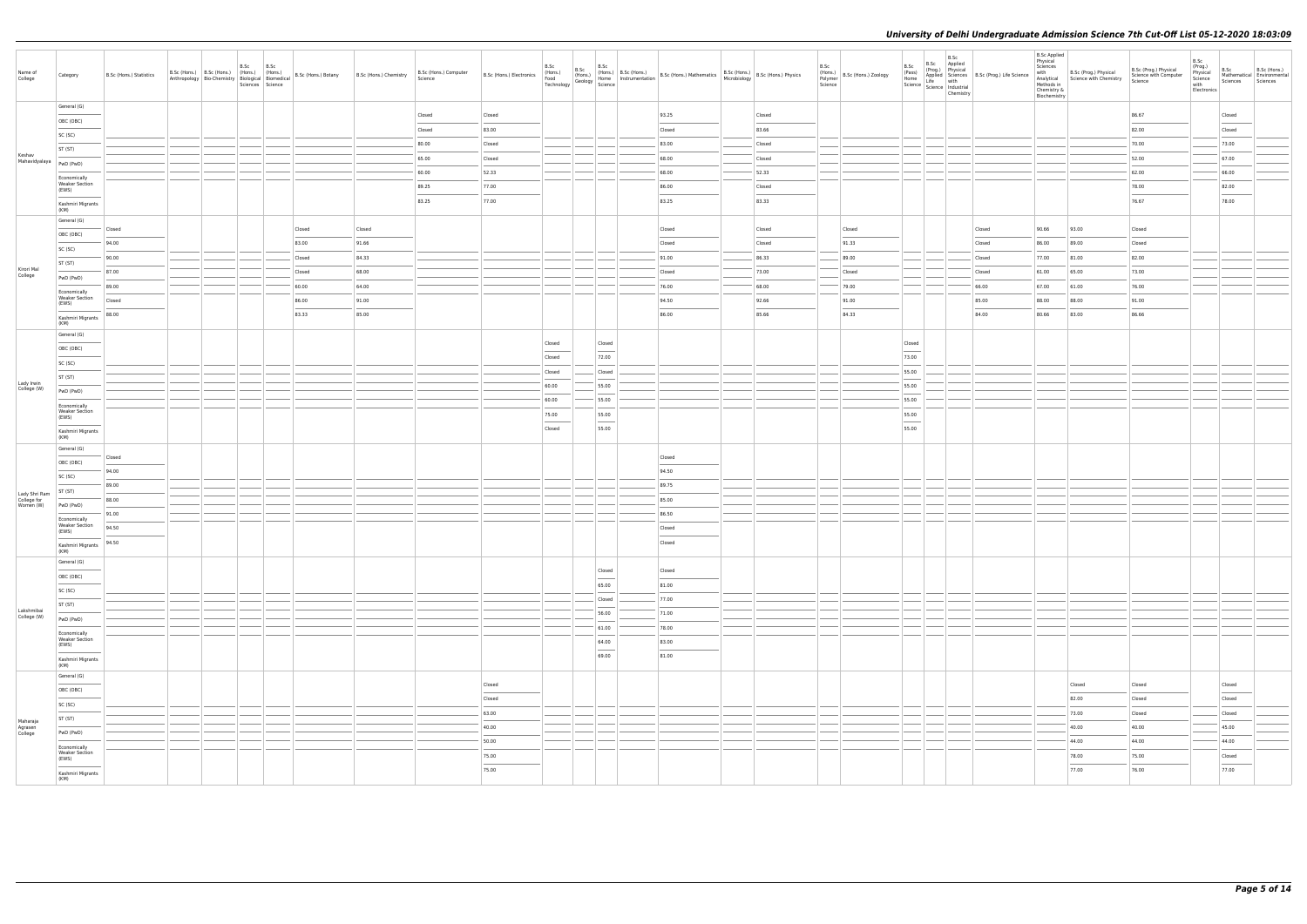| Name of<br>College           | Category                                       | B.Sc (Hons.) Statistics |  | B.Sc<br>Sciences Science | B.Sc |        | Anthropology Bio-Chemistry   Kindis.)   Thomas.<br>  Anthropology   Bio-Chemistry   Biological   Biomedical   B.Sc (Hons.) Botany   B.Sc (Hons.) Chemistry | B.Sc (Hons.) Computer<br>Science | B.Sc (Hons.) Electronics |        |                          |                         | B.Sc (Hons.) B.Sc (Hons.) B.Sc (Hons.) B.Sc (Hons.) B.Sc (Hons.) Althermatics B.Sc (Hons.) B.Sc (Hons.) Physics Technology Geology Science (Hons.) Physics Technology Science (Hons.) Physics Technology Science (Hons.) Physi |        | B.Sc<br>Polymer<br>Science | $\left  \begin{array}{c} 1.116 \\ \text{(Hons.)} \end{array} \right $ B.Sc (Hons.) Zoology | B.Sc<br>(Pass)          | B.Sc<br>B.Sc Applied<br>(Prog.) Physical<br>Chemistry |        | (Pass)<br>Home Applied Sciences<br>B.Sc (Prog.) Life Science<br>Science life with<br>Science Industrial | <b>B.Sc Applied</b><br>Physical<br>Sciences<br>with<br>Chemistry &<br>Biochemistry | B.Sc (Prog.) Physical<br>Analytical Science with Chemistry<br>Methods in | B.Sc (Prog.) Physical<br>Science with Computer<br>Science | B.Sc<br>(Prog.)<br>Physical<br>Science<br>with<br>Electronics | B.Sc<br>Sciences | B.Sc (Hons.)<br>Mathematical Environmental<br>Sciences |
|------------------------------|------------------------------------------------|-------------------------|--|--------------------------|------|--------|------------------------------------------------------------------------------------------------------------------------------------------------------------|----------------------------------|--------------------------|--------|--------------------------|-------------------------|--------------------------------------------------------------------------------------------------------------------------------------------------------------------------------------------------------------------------------|--------|----------------------------|--------------------------------------------------------------------------------------------|-------------------------|-------------------------------------------------------|--------|---------------------------------------------------------------------------------------------------------|------------------------------------------------------------------------------------|--------------------------------------------------------------------------|-----------------------------------------------------------|---------------------------------------------------------------|------------------|--------------------------------------------------------|
|                              | General (G)                                    |                         |  |                          |      |        |                                                                                                                                                            | Closed                           | Closed                   |        |                          |                         | 93.25                                                                                                                                                                                                                          | Closed |                            |                                                                                            |                         |                                                       |        |                                                                                                         |                                                                                    |                                                                          | 86.67                                                     |                                                               | Closed           |                                                        |
|                              | OBC (OBC)                                      |                         |  |                          |      |        |                                                                                                                                                            | Closed                           | 83.00                    |        |                          |                         | Closed                                                                                                                                                                                                                         | 83.66  |                            |                                                                                            |                         |                                                       |        |                                                                                                         |                                                                                    |                                                                          | 82.00                                                     |                                                               | Closed           |                                                        |
|                              | SC (SC)                                        |                         |  |                          |      |        |                                                                                                                                                            | 80.00                            | Closed                   |        |                          |                         | 83.00                                                                                                                                                                                                                          | Closed |                            |                                                                                            |                         |                                                       |        |                                                                                                         |                                                                                    |                                                                          | 70.00                                                     |                                                               | 73.00            |                                                        |
| Keshav                       | ST (ST)                                        |                         |  |                          |      |        |                                                                                                                                                            | 65.00                            | Closed                   |        |                          |                         | 68.00                                                                                                                                                                                                                          | Closed |                            |                                                                                            |                         |                                                       |        |                                                                                                         |                                                                                    |                                                                          | 52.00                                                     |                                                               | 67.00            |                                                        |
| Mahavidyalaya                | PwD (PwD)                                      |                         |  |                          |      |        |                                                                                                                                                            | 60.00                            | 52.33                    |        |                          |                         | 68.00                                                                                                                                                                                                                          | 52.33  |                            |                                                                                            |                         |                                                       |        |                                                                                                         |                                                                                    |                                                                          | 62.00                                                     |                                                               | 66.00            |                                                        |
|                              | Economically<br><b>Weaker Section</b><br>(EWS) |                         |  |                          |      |        |                                                                                                                                                            | 89.25                            | 77.00                    |        |                          |                         | 86.00                                                                                                                                                                                                                          | Closed |                            |                                                                                            |                         |                                                       |        |                                                                                                         |                                                                                    |                                                                          | 78.00                                                     |                                                               | 82.00            |                                                        |
|                              | Kashmiri Migrants                              |                         |  |                          |      |        |                                                                                                                                                            | 83.25                            | 77.00                    |        |                          |                         | 83.25                                                                                                                                                                                                                          | 83.33  |                            |                                                                                            |                         |                                                       |        |                                                                                                         |                                                                                    |                                                                          | 76.67                                                     |                                                               | 78.00            |                                                        |
|                              | (KM)                                           |                         |  |                          |      |        |                                                                                                                                                            |                                  |                          |        |                          |                         |                                                                                                                                                                                                                                |        |                            |                                                                                            |                         |                                                       |        |                                                                                                         |                                                                                    |                                                                          |                                                           |                                                               |                  |                                                        |
|                              | General (G)                                    | Closed                  |  |                          |      | Closed | Closed                                                                                                                                                     |                                  |                          |        |                          |                         | Closed                                                                                                                                                                                                                         | Closed |                            | Closed                                                                                     |                         |                                                       | Closed |                                                                                                         | 90.66                                                                              | 93.00                                                                    | Closed                                                    |                                                               |                  |                                                        |
|                              | OBC (OBC)                                      | 94.00                   |  |                          |      | 83.00  | 91.66                                                                                                                                                      |                                  |                          |        |                          |                         | Closed                                                                                                                                                                                                                         | Closed |                            | 91.33                                                                                      |                         |                                                       | Closed |                                                                                                         | 86.00                                                                              | 89.00                                                                    | Closed                                                    |                                                               |                  |                                                        |
|                              | SC (SC)<br>ST (ST)                             | 90.00                   |  |                          |      | Closed | 84.33                                                                                                                                                      |                                  |                          |        |                          |                         | 91.00                                                                                                                                                                                                                          | 86.33  |                            | 89.00                                                                                      |                         |                                                       | Closed |                                                                                                         | 77.00                                                                              | 81.00                                                                    | 82.00                                                     |                                                               |                  |                                                        |
| Kirori Mal<br>College        | PwD (PwD)                                      | 87.00                   |  |                          |      | Closed | 68.00                                                                                                                                                      |                                  |                          |        |                          |                         | Closed                                                                                                                                                                                                                         | 73.00  |                            | Closed                                                                                     |                         |                                                       | Closed |                                                                                                         | 61.00                                                                              | 65.00                                                                    | 73.00                                                     |                                                               |                  |                                                        |
|                              | Economically                                   | 89.00                   |  |                          |      | 60.00  | 64.00                                                                                                                                                      |                                  |                          |        |                          |                         | 76.00                                                                                                                                                                                                                          | 68.00  |                            | 79.00                                                                                      |                         |                                                       | 66.00  |                                                                                                         | 67.00                                                                              | 61.00                                                                    | 76.00                                                     |                                                               |                  |                                                        |
|                              | <b>Weaker Section</b><br>(EWS)                 | Closed                  |  |                          |      | 86.00  | 91.00                                                                                                                                                      |                                  |                          |        |                          |                         | 94.50                                                                                                                                                                                                                          | 92.66  |                            | 91.00                                                                                      |                         |                                                       | 85.00  |                                                                                                         | 88.00                                                                              | 88.00                                                                    | 91.00                                                     |                                                               |                  |                                                        |
|                              | Kashmiri Migrants                              | 88.00                   |  |                          |      | 83.33  | 85.00                                                                                                                                                      |                                  |                          |        |                          |                         | 86.00                                                                                                                                                                                                                          | 85.66  |                            | 84.33                                                                                      |                         |                                                       | 84.00  |                                                                                                         | 80.66                                                                              | 83.00                                                                    | 86.66                                                     |                                                               |                  |                                                        |
|                              | (KM)<br>General (G)                            |                         |  |                          |      |        |                                                                                                                                                            |                                  |                          |        |                          |                         |                                                                                                                                                                                                                                |        |                            |                                                                                            |                         |                                                       |        |                                                                                                         |                                                                                    |                                                                          |                                                           |                                                               |                  |                                                        |
|                              | OBC (OBC)                                      |                         |  |                          |      |        |                                                                                                                                                            |                                  |                          | Closed |                          | Closed<br>$\frac{1}{2}$ |                                                                                                                                                                                                                                |        |                            |                                                                                            | Closed<br>$\frac{1}{2}$ |                                                       |        |                                                                                                         |                                                                                    |                                                                          |                                                           |                                                               |                  |                                                        |
|                              | SC (SC)                                        |                         |  |                          |      |        |                                                                                                                                                            |                                  |                          | Closed |                          | 72.00                   |                                                                                                                                                                                                                                |        |                            |                                                                                            | 73.00                   |                                                       |        |                                                                                                         |                                                                                    |                                                                          |                                                           |                                                               |                  |                                                        |
|                              | ST (ST)                                        |                         |  |                          |      |        |                                                                                                                                                            |                                  |                          | Closed |                          | $\mathsf{Closed}$       |                                                                                                                                                                                                                                |        |                            |                                                                                            | 55.00                   |                                                       |        |                                                                                                         |                                                                                    |                                                                          |                                                           |                                                               |                  |                                                        |
| Lady Irwin<br>College (W)    | PwD (PwD)                                      |                         |  |                          |      |        |                                                                                                                                                            |                                  |                          | 60.00  |                          | 55.00                   |                                                                                                                                                                                                                                |        |                            |                                                                                            | 55.00                   |                                                       |        |                                                                                                         |                                                                                    |                                                                          |                                                           |                                                               |                  |                                                        |
|                              | Economically<br><b>Weaker Section</b>          |                         |  |                          |      |        |                                                                                                                                                            |                                  |                          | 60.00  |                          | 55.00                   |                                                                                                                                                                                                                                |        |                            |                                                                                            | 55.00                   |                                                       |        |                                                                                                         |                                                                                    |                                                                          |                                                           |                                                               |                  |                                                        |
|                              | (EWS)                                          |                         |  |                          |      |        |                                                                                                                                                            |                                  |                          | 75.00  | $\frac{1}{2}$            | 55.00                   |                                                                                                                                                                                                                                |        |                            |                                                                                            | 55.00<br>$\sim$         |                                                       |        |                                                                                                         |                                                                                    |                                                                          |                                                           |                                                               |                  |                                                        |
|                              | Kashmiri Migrants<br>(KM)                      |                         |  |                          |      |        |                                                                                                                                                            |                                  |                          | Closed |                          | 55.00                   |                                                                                                                                                                                                                                |        |                            |                                                                                            | 55.00                   |                                                       |        |                                                                                                         |                                                                                    |                                                                          |                                                           |                                                               |                  |                                                        |
|                              | General (G)                                    |                         |  |                          |      |        |                                                                                                                                                            |                                  |                          |        |                          |                         |                                                                                                                                                                                                                                |        |                            |                                                                                            |                         |                                                       |        |                                                                                                         |                                                                                    |                                                                          |                                                           |                                                               |                  |                                                        |
|                              | OBC (OBC)                                      | Closed                  |  |                          |      |        |                                                                                                                                                            |                                  |                          |        |                          |                         | Closed                                                                                                                                                                                                                         |        |                            |                                                                                            |                         |                                                       |        |                                                                                                         |                                                                                    |                                                                          |                                                           |                                                               |                  |                                                        |
|                              | SC (SC)                                        | 94.00<br>89.00          |  |                          |      |        |                                                                                                                                                            |                                  |                          |        |                          |                         | 94.50<br>89.75                                                                                                                                                                                                                 |        |                            |                                                                                            |                         |                                                       |        |                                                                                                         |                                                                                    |                                                                          |                                                           |                                                               |                  |                                                        |
| Lady Shri Ram<br>College for | ST (ST)                                        | 88.00                   |  |                          |      |        |                                                                                                                                                            |                                  |                          |        |                          |                         | 85.00                                                                                                                                                                                                                          |        |                            |                                                                                            |                         |                                                       |        |                                                                                                         |                                                                                    |                                                                          |                                                           |                                                               |                  |                                                        |
| Women (W)                    | PwD (PwD)                                      | 91.00                   |  |                          |      |        |                                                                                                                                                            |                                  |                          |        |                          |                         | 86.50                                                                                                                                                                                                                          |        |                            |                                                                                            |                         |                                                       |        |                                                                                                         |                                                                                    |                                                                          |                                                           |                                                               |                  |                                                        |
|                              | Economically<br><b>Weaker Section</b>          | 94.50                   |  |                          |      |        |                                                                                                                                                            |                                  |                          |        |                          |                         | Closed                                                                                                                                                                                                                         |        |                            |                                                                                            |                         |                                                       |        |                                                                                                         |                                                                                    |                                                                          |                                                           |                                                               |                  |                                                        |
|                              | (EWS)<br>Kashmiri Migrants   94.50             |                         |  |                          |      |        |                                                                                                                                                            |                                  |                          |        |                          |                         | Closed                                                                                                                                                                                                                         |        |                            |                                                                                            |                         |                                                       |        |                                                                                                         |                                                                                    |                                                                          |                                                           |                                                               |                  |                                                        |
|                              | (KM)                                           |                         |  |                          |      |        |                                                                                                                                                            |                                  |                          |        |                          |                         |                                                                                                                                                                                                                                |        |                            |                                                                                            |                         |                                                       |        |                                                                                                         |                                                                                    |                                                                          |                                                           |                                                               |                  |                                                        |
|                              | General (G)                                    |                         |  |                          |      |        |                                                                                                                                                            |                                  |                          |        |                          | Closed                  | Closed                                                                                                                                                                                                                         |        |                            |                                                                                            |                         |                                                       |        |                                                                                                         |                                                                                    |                                                                          |                                                           |                                                               |                  |                                                        |
|                              | OBC (OBC)                                      |                         |  |                          |      |        |                                                                                                                                                            |                                  |                          |        |                          | 65.00                   | 81.00                                                                                                                                                                                                                          |        |                            |                                                                                            |                         |                                                       |        |                                                                                                         |                                                                                    |                                                                          |                                                           |                                                               |                  |                                                        |
|                              | SC (SC)                                        |                         |  |                          |      |        |                                                                                                                                                            |                                  |                          |        |                          | Closed                  | 77.00                                                                                                                                                                                                                          |        |                            |                                                                                            |                         |                                                       |        |                                                                                                         |                                                                                    |                                                                          |                                                           |                                                               |                  |                                                        |
| Lakshmibai<br>College (W)    | ST (ST)<br>PwD (PwD)                           |                         |  |                          |      |        |                                                                                                                                                            |                                  |                          |        |                          | 56.00                   | 71.00                                                                                                                                                                                                                          |        |                            |                                                                                            |                         |                                                       |        |                                                                                                         |                                                                                    |                                                                          |                                                           |                                                               |                  |                                                        |
|                              | Economically                                   |                         |  |                          |      |        |                                                                                                                                                            |                                  |                          |        |                          | 61.00                   | 78.00                                                                                                                                                                                                                          |        |                            |                                                                                            |                         |                                                       |        |                                                                                                         |                                                                                    |                                                                          |                                                           |                                                               |                  |                                                        |
|                              | <b>Weaker Section</b><br>(EWS)                 |                         |  |                          |      |        |                                                                                                                                                            |                                  |                          |        |                          | 64.00                   | 83.00                                                                                                                                                                                                                          |        |                            |                                                                                            |                         |                                                       |        |                                                                                                         |                                                                                    |                                                                          |                                                           |                                                               |                  |                                                        |
|                              | Kashmiri Migrants                              |                         |  |                          |      |        |                                                                                                                                                            |                                  |                          |        | $\overline{\phantom{a}}$ | 69.00                   | 81.00                                                                                                                                                                                                                          |        |                            |                                                                                            |                         |                                                       |        |                                                                                                         |                                                                                    |                                                                          |                                                           |                                                               |                  |                                                        |
|                              | (KM)<br>General (G)                            |                         |  |                          |      |        |                                                                                                                                                            |                                  |                          |        |                          |                         |                                                                                                                                                                                                                                |        |                            |                                                                                            |                         |                                                       |        |                                                                                                         |                                                                                    |                                                                          |                                                           |                                                               |                  |                                                        |
|                              | OBC (OBC)                                      |                         |  |                          |      |        |                                                                                                                                                            |                                  | Closed                   |        |                          |                         |                                                                                                                                                                                                                                |        |                            |                                                                                            |                         |                                                       |        |                                                                                                         |                                                                                    | Closed                                                                   | Closed                                                    |                                                               | Closed           |                                                        |
|                              | SC (SC)                                        |                         |  |                          |      |        |                                                                                                                                                            |                                  | Closed                   |        |                          |                         |                                                                                                                                                                                                                                |        |                            |                                                                                            |                         |                                                       |        |                                                                                                         |                                                                                    | 82.00                                                                    | Closed                                                    |                                                               | Closed           |                                                        |
| Maharaja                     | ST (ST)                                        |                         |  |                          |      |        |                                                                                                                                                            |                                  | 63.00                    |        |                          |                         |                                                                                                                                                                                                                                |        |                            |                                                                                            |                         |                                                       |        |                                                                                                         |                                                                                    | 73.00                                                                    | Closed                                                    |                                                               | Closed           |                                                        |
| Agrasen<br>College           | PwD (PwD)                                      |                         |  |                          |      |        |                                                                                                                                                            |                                  | 40.00                    |        |                          |                         |                                                                                                                                                                                                                                |        |                            |                                                                                            |                         |                                                       |        |                                                                                                         |                                                                                    | 40.00                                                                    | 40.00                                                     |                                                               | 45.00            |                                                        |
|                              | Economically                                   |                         |  |                          |      |        |                                                                                                                                                            |                                  | 50.00                    |        |                          |                         |                                                                                                                                                                                                                                |        |                            |                                                                                            |                         |                                                       |        |                                                                                                         |                                                                                    | 44.00                                                                    | 44.00                                                     |                                                               | 44.00            |                                                        |
|                              | <b>Weaker Section</b><br>(EWS)                 |                         |  |                          |      |        |                                                                                                                                                            |                                  | 75.00                    |        |                          |                         |                                                                                                                                                                                                                                |        |                            |                                                                                            |                         |                                                       |        |                                                                                                         |                                                                                    | 78.00                                                                    | 75.00                                                     |                                                               | Closed           |                                                        |
|                              | Kashmiri Migrants<br>(KM)                      |                         |  |                          |      |        |                                                                                                                                                            |                                  | 75.00                    |        |                          |                         |                                                                                                                                                                                                                                |        |                            |                                                                                            |                         |                                                       |        |                                                                                                         |                                                                                    | 77.00                                                                    | 76.00                                                     |                                                               | 77.00            |                                                        |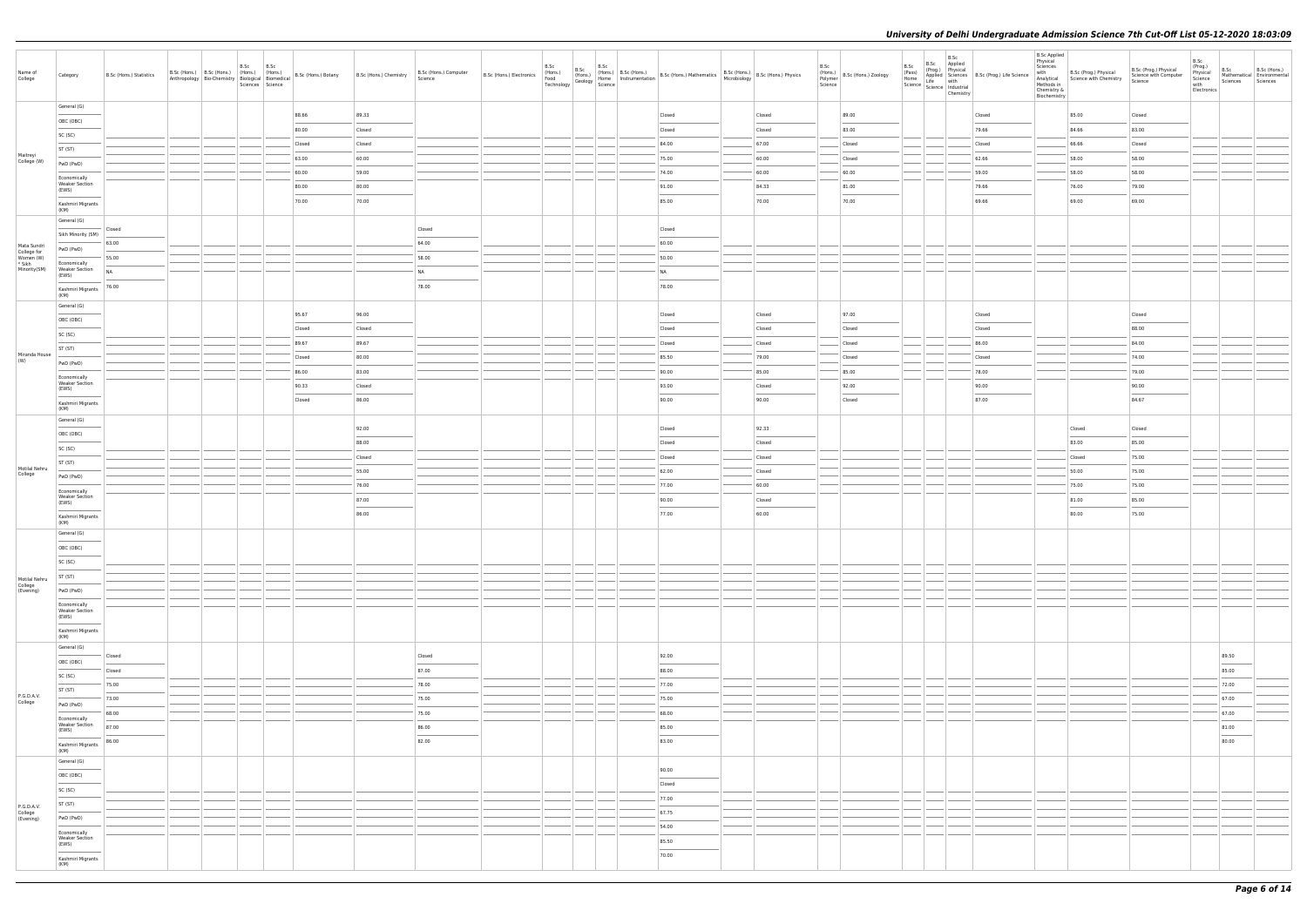| Name of<br>College       | Category                                                                                                                                                                                                                                                                                                                                                                                                                                                                                                | B.Sc (Hons.) Statistics    |  | B.Sc<br>Sciences Science | B.Sc |        | Anthropology Bio-Chemistry   (1901)<br>Anthropology Bio-Chemistry   Biological   Biomedical   B.Sc (Hons.) Botany   B.Sc (Hons.) Chemistry | B.Sc (Hons.) Computer<br>Science | B.Sc (Hons.) Electronics | B.Sc<br>(Hons.)<br>Food<br>B.Sc<br>Food<br>Technology Geology Science | B.Sc | $\begin{array}{ l l l l l } \hline \text{B.}SC & \text{(Hons.)} & \text{B.}SC & \text{(Hons.)} \\ \hline \text{(Hons.)} & \text{Home} & \text{instrumentation} & \text{B.}SC & \text{(Hons.)} & \text{Mathematics} & \text{B.}SC & \text{(Hons.)} & \text{B.}SC & \text{(Hons.)} & \text{Physics} \\ \hline \text{Genlonov} & \text{Home} & \text{instanteration} & \text{B.}SC & \text{(Hons.)} & \text{Microbiology} & \text{B.}SC & \text{(Hons.)} & \text{Physics} \\ \hline \end{array}$ |        | B.Sc | (Hons.)<br>Polymer<br>Science | B.Sc<br>(Pass)<br>Home<br>Science Science Industrial<br>Chemistry | B.Sc Applied<br>(Prog.) Physical | B.Sc<br>Applied Sciences B.Sc (Prog.) Life Science<br>Life with | <b>B.Sc Applied</b><br>Physical<br>Sciences<br>with<br>Methods in<br>Chemistry &<br>Biochemistry | B.Sc (Prog.) Physical<br>Analytical Science with Chemistry | B.Sc (Prog.) Physical<br>Science with Computer<br>Science | B.Sc<br>(Prog.)<br>Physical<br>Science<br>with<br>Electronics | B.Sc<br>Sciences Sciences                                                                                                                                                                                                                                                                                                                                                                                                                                                           | B.Sc (Hons.)<br>Mathematical Environmental |
|--------------------------|---------------------------------------------------------------------------------------------------------------------------------------------------------------------------------------------------------------------------------------------------------------------------------------------------------------------------------------------------------------------------------------------------------------------------------------------------------------------------------------------------------|----------------------------|--|--------------------------|------|--------|--------------------------------------------------------------------------------------------------------------------------------------------|----------------------------------|--------------------------|-----------------------------------------------------------------------|------|-----------------------------------------------------------------------------------------------------------------------------------------------------------------------------------------------------------------------------------------------------------------------------------------------------------------------------------------------------------------------------------------------------------------------------------------------------------------------------------------------|--------|------|-------------------------------|-------------------------------------------------------------------|----------------------------------|-----------------------------------------------------------------|--------------------------------------------------------------------------------------------------|------------------------------------------------------------|-----------------------------------------------------------|---------------------------------------------------------------|-------------------------------------------------------------------------------------------------------------------------------------------------------------------------------------------------------------------------------------------------------------------------------------------------------------------------------------------------------------------------------------------------------------------------------------------------------------------------------------|--------------------------------------------|
|                          | General (G)                                                                                                                                                                                                                                                                                                                                                                                                                                                                                             |                            |  |                          |      | 88.66  | 89.33                                                                                                                                      |                                  |                          |                                                                       |      | Closed                                                                                                                                                                                                                                                                                                                                                                                                                                                                                        | Closed |      | 89.00                         |                                                                   |                                  | Closed                                                          |                                                                                                  | 85.00                                                      | Closed                                                    |                                                               |                                                                                                                                                                                                                                                                                                                                                                                                                                                                                     |                                            |
|                          | OBC (OBC)                                                                                                                                                                                                                                                                                                                                                                                                                                                                                               |                            |  |                          |      | 80.00  | Closed                                                                                                                                     |                                  |                          |                                                                       |      | Closed                                                                                                                                                                                                                                                                                                                                                                                                                                                                                        | Closed |      | 83.00                         |                                                                   |                                  | 79.66                                                           |                                                                                                  | 84.66                                                      | 83.00                                                     |                                                               |                                                                                                                                                                                                                                                                                                                                                                                                                                                                                     |                                            |
|                          | SC (SC)                                                                                                                                                                                                                                                                                                                                                                                                                                                                                                 |                            |  |                          |      | Closed | Closed                                                                                                                                     |                                  |                          |                                                                       |      | 84.00                                                                                                                                                                                                                                                                                                                                                                                                                                                                                         | 67.00  |      | Closed                        |                                                                   |                                  | Closed                                                          |                                                                                                  | 66.66                                                      | Closed                                                    |                                                               |                                                                                                                                                                                                                                                                                                                                                                                                                                                                                     |                                            |
| Maitreyi<br>College (W)  | ST (ST)                                                                                                                                                                                                                                                                                                                                                                                                                                                                                                 |                            |  |                          |      | 63.00  | 60.00                                                                                                                                      |                                  |                          |                                                                       |      | 75.00                                                                                                                                                                                                                                                                                                                                                                                                                                                                                         | 60.00  |      | Closed                        |                                                                   |                                  | 62.66                                                           |                                                                                                  | 58.00                                                      | 58.00                                                     |                                                               |                                                                                                                                                                                                                                                                                                                                                                                                                                                                                     |                                            |
|                          | PwD (PwD)                                                                                                                                                                                                                                                                                                                                                                                                                                                                                               |                            |  |                          |      | 60.00  | 59.00                                                                                                                                      |                                  |                          |                                                                       |      | 74.00                                                                                                                                                                                                                                                                                                                                                                                                                                                                                         | 60.00  |      | 60.00                         |                                                                   |                                  | 59.00                                                           |                                                                                                  | 58.00                                                      | 58.00                                                     |                                                               |                                                                                                                                                                                                                                                                                                                                                                                                                                                                                     |                                            |
|                          | Economically<br><b>Weaker Section</b><br>(EWS)                                                                                                                                                                                                                                                                                                                                                                                                                                                          |                            |  |                          |      | 80.00  | 80.00                                                                                                                                      |                                  |                          |                                                                       |      | 91.00                                                                                                                                                                                                                                                                                                                                                                                                                                                                                         | 84.33  |      | 81.00                         |                                                                   |                                  | 79.66                                                           |                                                                                                  | 76.00                                                      | 79.00                                                     |                                                               |                                                                                                                                                                                                                                                                                                                                                                                                                                                                                     |                                            |
|                          | Kashmiri Migrants                                                                                                                                                                                                                                                                                                                                                                                                                                                                                       |                            |  |                          |      | 70.00  | 70.00                                                                                                                                      |                                  |                          |                                                                       |      | 85.00                                                                                                                                                                                                                                                                                                                                                                                                                                                                                         | 70.00  |      | 70.00                         |                                                                   |                                  | 69.66                                                           |                                                                                                  | 69.00                                                      | 69.00                                                     |                                                               |                                                                                                                                                                                                                                                                                                                                                                                                                                                                                     |                                            |
|                          | (KM)                                                                                                                                                                                                                                                                                                                                                                                                                                                                                                    |                            |  |                          |      |        |                                                                                                                                            |                                  |                          |                                                                       |      |                                                                                                                                                                                                                                                                                                                                                                                                                                                                                               |        |      |                               |                                                                   |                                  |                                                                 |                                                                                                  |                                                            |                                                           |                                                               |                                                                                                                                                                                                                                                                                                                                                                                                                                                                                     |                                            |
|                          | General (G)                                                                                                                                                                                                                                                                                                                                                                                                                                                                                             | Closed                     |  |                          |      |        |                                                                                                                                            | Closed                           |                          |                                                                       |      | Closed                                                                                                                                                                                                                                                                                                                                                                                                                                                                                        |        |      |                               |                                                                   |                                  |                                                                 |                                                                                                  |                                                            |                                                           |                                                               |                                                                                                                                                                                                                                                                                                                                                                                                                                                                                     |                                            |
| Mata Sundri              | Sikh Minority (SM)                                                                                                                                                                                                                                                                                                                                                                                                                                                                                      | 63.00                      |  |                          |      |        |                                                                                                                                            | 64.00                            |                          |                                                                       |      | 60.00                                                                                                                                                                                                                                                                                                                                                                                                                                                                                         |        |      |                               |                                                                   |                                  |                                                                 |                                                                                                  |                                                            |                                                           |                                                               |                                                                                                                                                                                                                                                                                                                                                                                                                                                                                     |                                            |
| College for<br>Women (W) | PwD (PwD)<br>Economically                                                                                                                                                                                                                                                                                                                                                                                                                                                                               | 55.00                      |  |                          |      |        |                                                                                                                                            | 58.00                            |                          |                                                                       |      | 50.00                                                                                                                                                                                                                                                                                                                                                                                                                                                                                         |        |      |                               |                                                                   |                                  |                                                                 |                                                                                                  |                                                            |                                                           |                                                               |                                                                                                                                                                                                                                                                                                                                                                                                                                                                                     |                                            |
| * Sikh<br>Minority(SM)   | <b>Weaker Section</b><br>(EWS)                                                                                                                                                                                                                                                                                                                                                                                                                                                                          | <b>NA</b>                  |  |                          |      |        |                                                                                                                                            | <b>NA</b>                        |                          |                                                                       |      | NA                                                                                                                                                                                                                                                                                                                                                                                                                                                                                            |        |      |                               |                                                                   |                                  |                                                                 |                                                                                                  |                                                            |                                                           |                                                               |                                                                                                                                                                                                                                                                                                                                                                                                                                                                                     |                                            |
|                          | Kashmiri Migrants                                                                                                                                                                                                                                                                                                                                                                                                                                                                                       | 76.00                      |  |                          |      |        |                                                                                                                                            | 78.00                            |                          |                                                                       |      | $\frac{1}{2}$<br>78.00                                                                                                                                                                                                                                                                                                                                                                                                                                                                        |        |      |                               |                                                                   |                                  |                                                                 |                                                                                                  |                                                            |                                                           |                                                               |                                                                                                                                                                                                                                                                                                                                                                                                                                                                                     |                                            |
|                          | (KM)<br>General (G)                                                                                                                                                                                                                                                                                                                                                                                                                                                                                     |                            |  |                          |      |        |                                                                                                                                            |                                  |                          |                                                                       |      |                                                                                                                                                                                                                                                                                                                                                                                                                                                                                               |        |      |                               |                                                                   |                                  |                                                                 |                                                                                                  |                                                            |                                                           |                                                               |                                                                                                                                                                                                                                                                                                                                                                                                                                                                                     |                                            |
|                          | OBC (OBC)                                                                                                                                                                                                                                                                                                                                                                                                                                                                                               |                            |  |                          |      | 95.67  | 96.00                                                                                                                                      |                                  |                          |                                                                       |      | Closed                                                                                                                                                                                                                                                                                                                                                                                                                                                                                        | Closed |      | 97.00                         |                                                                   |                                  | Closed                                                          |                                                                                                  |                                                            | Closed                                                    |                                                               |                                                                                                                                                                                                                                                                                                                                                                                                                                                                                     |                                            |
|                          | SC (SC)                                                                                                                                                                                                                                                                                                                                                                                                                                                                                                 |                            |  |                          |      | Closed | Closed                                                                                                                                     |                                  |                          |                                                                       |      | Closed                                                                                                                                                                                                                                                                                                                                                                                                                                                                                        | Closed |      | Closed                        |                                                                   |                                  | Closed                                                          |                                                                                                  |                                                            | 88.00                                                     |                                                               |                                                                                                                                                                                                                                                                                                                                                                                                                                                                                     |                                            |
|                          | ST (ST)                                                                                                                                                                                                                                                                                                                                                                                                                                                                                                 |                            |  |                          |      | 89.67  | 89.67                                                                                                                                      |                                  |                          |                                                                       |      | Closed                                                                                                                                                                                                                                                                                                                                                                                                                                                                                        | Closed |      | Closed                        |                                                                   |                                  | 86.00                                                           |                                                                                                  |                                                            | 84.00                                                     |                                                               |                                                                                                                                                                                                                                                                                                                                                                                                                                                                                     |                                            |
| Miranda House<br>(W)     | PwD (PwD)                                                                                                                                                                                                                                                                                                                                                                                                                                                                                               |                            |  |                          |      | Closed | 80.00                                                                                                                                      |                                  |                          |                                                                       |      | 85.50                                                                                                                                                                                                                                                                                                                                                                                                                                                                                         | 79.00  |      | Closed                        |                                                                   |                                  | Closed                                                          |                                                                                                  |                                                            | 74.00                                                     |                                                               |                                                                                                                                                                                                                                                                                                                                                                                                                                                                                     |                                            |
|                          | Economically                                                                                                                                                                                                                                                                                                                                                                                                                                                                                            |                            |  |                          |      | 86.00  | 83.00                                                                                                                                      |                                  |                          |                                                                       |      | 90.00                                                                                                                                                                                                                                                                                                                                                                                                                                                                                         | 85.00  |      | 85.00                         |                                                                   |                                  | 78.00                                                           |                                                                                                  |                                                            | 79.00                                                     |                                                               |                                                                                                                                                                                                                                                                                                                                                                                                                                                                                     |                                            |
|                          | <b>Weaker Section</b><br>(EWS)                                                                                                                                                                                                                                                                                                                                                                                                                                                                          |                            |  |                          |      | 90.33  | Closed                                                                                                                                     |                                  |                          |                                                                       |      | 93.00                                                                                                                                                                                                                                                                                                                                                                                                                                                                                         | Closed |      | 92.00                         |                                                                   |                                  | 90.00                                                           |                                                                                                  |                                                            | 90.00                                                     |                                                               |                                                                                                                                                                                                                                                                                                                                                                                                                                                                                     |                                            |
|                          | Kashmiri Migrants<br>(KM)                                                                                                                                                                                                                                                                                                                                                                                                                                                                               |                            |  |                          |      | Closed | 86.00                                                                                                                                      |                                  |                          |                                                                       |      | 90.00                                                                                                                                                                                                                                                                                                                                                                                                                                                                                         | 90.00  |      | Closed                        |                                                                   |                                  | 87.00                                                           |                                                                                                  |                                                            | 84.67                                                     |                                                               |                                                                                                                                                                                                                                                                                                                                                                                                                                                                                     |                                            |
|                          | General (G)                                                                                                                                                                                                                                                                                                                                                                                                                                                                                             |                            |  |                          |      |        |                                                                                                                                            |                                  |                          |                                                                       |      |                                                                                                                                                                                                                                                                                                                                                                                                                                                                                               |        |      |                               |                                                                   |                                  |                                                                 |                                                                                                  |                                                            |                                                           |                                                               |                                                                                                                                                                                                                                                                                                                                                                                                                                                                                     |                                            |
|                          | OBC (OBC)                                                                                                                                                                                                                                                                                                                                                                                                                                                                                               |                            |  |                          |      |        | 92.00                                                                                                                                      |                                  |                          |                                                                       |      | Closed                                                                                                                                                                                                                                                                                                                                                                                                                                                                                        | 92.33  |      |                               |                                                                   |                                  |                                                                 |                                                                                                  | Closed                                                     | Closed                                                    |                                                               |                                                                                                                                                                                                                                                                                                                                                                                                                                                                                     |                                            |
|                          | SC (SC)                                                                                                                                                                                                                                                                                                                                                                                                                                                                                                 |                            |  |                          |      |        | 88.00                                                                                                                                      |                                  |                          |                                                                       |      | Closed                                                                                                                                                                                                                                                                                                                                                                                                                                                                                        | Closed |      |                               |                                                                   |                                  |                                                                 |                                                                                                  | 83.00                                                      | 85.00                                                     |                                                               |                                                                                                                                                                                                                                                                                                                                                                                                                                                                                     |                                            |
|                          | ST (ST)                                                                                                                                                                                                                                                                                                                                                                                                                                                                                                 |                            |  |                          |      |        | Closed                                                                                                                                     |                                  |                          |                                                                       |      | Closed                                                                                                                                                                                                                                                                                                                                                                                                                                                                                        | Closed |      |                               |                                                                   |                                  |                                                                 |                                                                                                  | Closed                                                     | 75.00                                                     |                                                               |                                                                                                                                                                                                                                                                                                                                                                                                                                                                                     |                                            |
| Motilal Nehru<br>College | PwD (PwD)                                                                                                                                                                                                                                                                                                                                                                                                                                                                                               |                            |  |                          |      |        | 55.00                                                                                                                                      |                                  |                          |                                                                       |      | 62.00                                                                                                                                                                                                                                                                                                                                                                                                                                                                                         | Closed |      |                               |                                                                   |                                  |                                                                 |                                                                                                  | 50.00                                                      | 75.00                                                     |                                                               |                                                                                                                                                                                                                                                                                                                                                                                                                                                                                     |                                            |
|                          | Economically<br><b>Weaker Section</b>                                                                                                                                                                                                                                                                                                                                                                                                                                                                   |                            |  |                          |      |        | 76.00                                                                                                                                      |                                  |                          |                                                                       |      | 77.00                                                                                                                                                                                                                                                                                                                                                                                                                                                                                         | 60.00  |      |                               |                                                                   |                                  |                                                                 |                                                                                                  | 75.00                                                      | 75.00                                                     |                                                               |                                                                                                                                                                                                                                                                                                                                                                                                                                                                                     |                                            |
|                          | (EWS)                                                                                                                                                                                                                                                                                                                                                                                                                                                                                                   |                            |  |                          |      |        | 87.00                                                                                                                                      |                                  |                          |                                                                       |      | 90.00                                                                                                                                                                                                                                                                                                                                                                                                                                                                                         | Closed |      |                               |                                                                   |                                  |                                                                 |                                                                                                  | 81.00                                                      | 85.00                                                     |                                                               |                                                                                                                                                                                                                                                                                                                                                                                                                                                                                     |                                            |
|                          | Kashmiri Migrants<br>(KM)                                                                                                                                                                                                                                                                                                                                                                                                                                                                               |                            |  |                          |      |        | 86.00                                                                                                                                      |                                  |                          |                                                                       |      | 77.00                                                                                                                                                                                                                                                                                                                                                                                                                                                                                         | 60.00  |      |                               |                                                                   |                                  |                                                                 |                                                                                                  | 80.00                                                      | 75.00                                                     |                                                               |                                                                                                                                                                                                                                                                                                                                                                                                                                                                                     |                                            |
|                          | General (G)                                                                                                                                                                                                                                                                                                                                                                                                                                                                                             |                            |  |                          |      |        |                                                                                                                                            |                                  |                          |                                                                       |      |                                                                                                                                                                                                                                                                                                                                                                                                                                                                                               |        |      |                               |                                                                   |                                  |                                                                 |                                                                                                  |                                                            |                                                           |                                                               |                                                                                                                                                                                                                                                                                                                                                                                                                                                                                     |                                            |
|                          | OBC (OBC)                                                                                                                                                                                                                                                                                                                                                                                                                                                                                               |                            |  |                          |      |        |                                                                                                                                            |                                  |                          |                                                                       |      |                                                                                                                                                                                                                                                                                                                                                                                                                                                                                               |        |      |                               |                                                                   |                                  |                                                                 |                                                                                                  |                                                            |                                                           |                                                               |                                                                                                                                                                                                                                                                                                                                                                                                                                                                                     |                                            |
|                          | SC (SC)                                                                                                                                                                                                                                                                                                                                                                                                                                                                                                 |                            |  |                          |      |        |                                                                                                                                            |                                  |                          |                                                                       |      |                                                                                                                                                                                                                                                                                                                                                                                                                                                                                               |        |      |                               |                                                                   |                                  |                                                                 |                                                                                                  |                                                            |                                                           |                                                               |                                                                                                                                                                                                                                                                                                                                                                                                                                                                                     |                                            |
| Motilal Nehru            | ST (ST)                                                                                                                                                                                                                                                                                                                                                                                                                                                                                                 |                            |  |                          |      |        |                                                                                                                                            |                                  |                          |                                                                       |      |                                                                                                                                                                                                                                                                                                                                                                                                                                                                                               |        |      |                               |                                                                   |                                  |                                                                 |                                                                                                  |                                                            |                                                           |                                                               |                                                                                                                                                                                                                                                                                                                                                                                                                                                                                     |                                            |
| College<br>(Evening)     | PwD (PwD)                                                                                                                                                                                                                                                                                                                                                                                                                                                                                               |                            |  |                          |      |        |                                                                                                                                            |                                  |                          |                                                                       |      |                                                                                                                                                                                                                                                                                                                                                                                                                                                                                               |        |      |                               |                                                                   |                                  |                                                                 |                                                                                                  |                                                            |                                                           |                                                               |                                                                                                                                                                                                                                                                                                                                                                                                                                                                                     |                                            |
|                          | Economically<br><b>Weaker Section</b><br>(EWS)                                                                                                                                                                                                                                                                                                                                                                                                                                                          |                            |  |                          |      |        |                                                                                                                                            |                                  |                          |                                                                       |      |                                                                                                                                                                                                                                                                                                                                                                                                                                                                                               |        |      |                               |                                                                   |                                  |                                                                 |                                                                                                  |                                                            |                                                           |                                                               |                                                                                                                                                                                                                                                                                                                                                                                                                                                                                     |                                            |
|                          | $\frac{1}{2} \left( \frac{1}{2} \right) \left( \frac{1}{2} \right) \left( \frac{1}{2} \right) \left( \frac{1}{2} \right) \left( \frac{1}{2} \right) \left( \frac{1}{2} \right) \left( \frac{1}{2} \right) \left( \frac{1}{2} \right) \left( \frac{1}{2} \right) \left( \frac{1}{2} \right) \left( \frac{1}{2} \right) \left( \frac{1}{2} \right) \left( \frac{1}{2} \right) \left( \frac{1}{2} \right) \left( \frac{1}{2} \right) \left( \frac{1}{2} \right) \left( \frac$<br>Kashmiri Migrants<br>(KM) |                            |  |                          |      |        |                                                                                                                                            |                                  |                          |                                                                       |      |                                                                                                                                                                                                                                                                                                                                                                                                                                                                                               |        |      |                               |                                                                   |                                  |                                                                 |                                                                                                  |                                                            |                                                           |                                                               |                                                                                                                                                                                                                                                                                                                                                                                                                                                                                     |                                            |
|                          | General (G)                                                                                                                                                                                                                                                                                                                                                                                                                                                                                             |                            |  |                          |      |        |                                                                                                                                            |                                  |                          |                                                                       |      |                                                                                                                                                                                                                                                                                                                                                                                                                                                                                               |        |      |                               |                                                                   |                                  |                                                                 |                                                                                                  |                                                            |                                                           |                                                               |                                                                                                                                                                                                                                                                                                                                                                                                                                                                                     |                                            |
|                          | OBC (OBC)                                                                                                                                                                                                                                                                                                                                                                                                                                                                                               | Closed                     |  |                          |      |        |                                                                                                                                            | Closed                           |                          |                                                                       |      | 92.00<br>$\frac{1}{2}$                                                                                                                                                                                                                                                                                                                                                                                                                                                                        |        |      |                               |                                                                   |                                  |                                                                 |                                                                                                  |                                                            |                                                           |                                                               | 89.50<br>$\frac{1}{2} \left( \frac{1}{2} \right) \left( \frac{1}{2} \right) \left( \frac{1}{2} \right) \left( \frac{1}{2} \right) \left( \frac{1}{2} \right) \left( \frac{1}{2} \right) \left( \frac{1}{2} \right) \left( \frac{1}{2} \right) \left( \frac{1}{2} \right) \left( \frac{1}{2} \right) \left( \frac{1}{2} \right) \left( \frac{1}{2} \right) \left( \frac{1}{2} \right) \left( \frac{1}{2} \right) \left( \frac{1}{2} \right) \left( \frac{1}{2} \right) \left( \frac$ |                                            |
|                          | SC (SC)                                                                                                                                                                                                                                                                                                                                                                                                                                                                                                 | Closed<br>75.00            |  |                          |      |        |                                                                                                                                            | 87.00<br>78.00                   |                          |                                                                       |      | 88.00<br>77.00                                                                                                                                                                                                                                                                                                                                                                                                                                                                                |        |      |                               |                                                                   |                                  |                                                                 |                                                                                                  |                                                            |                                                           |                                                               | 85.00<br>72.00                                                                                                                                                                                                                                                                                                                                                                                                                                                                      |                                            |
| P.G.D.A.V.<br>College    | ST (ST)                                                                                                                                                                                                                                                                                                                                                                                                                                                                                                 | 73.00                      |  |                          |      |        |                                                                                                                                            | 75.00                            |                          |                                                                       |      | 75.00                                                                                                                                                                                                                                                                                                                                                                                                                                                                                         |        |      |                               |                                                                   |                                  |                                                                 |                                                                                                  |                                                            |                                                           |                                                               | 67.00                                                                                                                                                                                                                                                                                                                                                                                                                                                                               |                                            |
|                          | PwD (PwD)                                                                                                                                                                                                                                                                                                                                                                                                                                                                                               | <b>STATISTICS</b><br>68.00 |  |                          |      |        |                                                                                                                                            | 75.00                            |                          |                                                                       |      | 68.00                                                                                                                                                                                                                                                                                                                                                                                                                                                                                         |        |      |                               |                                                                   |                                  |                                                                 |                                                                                                  |                                                            |                                                           |                                                               | 67.00                                                                                                                                                                                                                                                                                                                                                                                                                                                                               |                                            |
|                          | Economically<br><b>Weaker Section</b>                                                                                                                                                                                                                                                                                                                                                                                                                                                                   | 87.00                      |  |                          |      |        |                                                                                                                                            | 86.00                            |                          |                                                                       |      | 85.00                                                                                                                                                                                                                                                                                                                                                                                                                                                                                         |        |      |                               |                                                                   |                                  |                                                                 |                                                                                                  |                                                            |                                                           |                                                               | 81.00                                                                                                                                                                                                                                                                                                                                                                                                                                                                               |                                            |
|                          | (EWS)                                                                                                                                                                                                                                                                                                                                                                                                                                                                                                   | 86.00                      |  |                          |      |        |                                                                                                                                            | 82.00                            |                          |                                                                       |      | $\sim$<br>83.00                                                                                                                                                                                                                                                                                                                                                                                                                                                                               |        |      |                               |                                                                   |                                  |                                                                 |                                                                                                  |                                                            |                                                           |                                                               | $\frac{1}{2} \left( \frac{1}{2} \right) \left( \frac{1}{2} \right) \left( \frac{1}{2} \right) \left( \frac{1}{2} \right) \left( \frac{1}{2} \right) \left( \frac{1}{2} \right) \left( \frac{1}{2} \right) \left( \frac{1}{2} \right) \left( \frac{1}{2} \right) \left( \frac{1}{2} \right) \left( \frac{1}{2} \right) \left( \frac{1}{2} \right) \left( \frac{1}{2} \right) \left( \frac{1}{2} \right) \left( \frac{1}{2} \right) \left( \frac{1}{2} \right) \left( \frac$<br>80.00 |                                            |
|                          | Kashmiri Migrants<br>(KM)                                                                                                                                                                                                                                                                                                                                                                                                                                                                               |                            |  |                          |      |        |                                                                                                                                            |                                  |                          |                                                                       |      |                                                                                                                                                                                                                                                                                                                                                                                                                                                                                               |        |      |                               |                                                                   |                                  |                                                                 |                                                                                                  |                                                            |                                                           |                                                               |                                                                                                                                                                                                                                                                                                                                                                                                                                                                                     |                                            |
|                          | General (G)                                                                                                                                                                                                                                                                                                                                                                                                                                                                                             |                            |  |                          |      |        |                                                                                                                                            |                                  |                          |                                                                       |      | 90.00                                                                                                                                                                                                                                                                                                                                                                                                                                                                                         |        |      |                               |                                                                   |                                  |                                                                 |                                                                                                  |                                                            |                                                           |                                                               |                                                                                                                                                                                                                                                                                                                                                                                                                                                                                     |                                            |
|                          | OBC (OBC)                                                                                                                                                                                                                                                                                                                                                                                                                                                                                               |                            |  |                          |      |        |                                                                                                                                            |                                  |                          |                                                                       |      | Closed                                                                                                                                                                                                                                                                                                                                                                                                                                                                                        |        |      |                               |                                                                   |                                  |                                                                 |                                                                                                  |                                                            |                                                           |                                                               |                                                                                                                                                                                                                                                                                                                                                                                                                                                                                     |                                            |
|                          | SC (SC)                                                                                                                                                                                                                                                                                                                                                                                                                                                                                                 |                            |  |                          |      |        |                                                                                                                                            |                                  |                          |                                                                       |      | 77.00                                                                                                                                                                                                                                                                                                                                                                                                                                                                                         |        |      |                               |                                                                   |                                  |                                                                 |                                                                                                  |                                                            |                                                           |                                                               |                                                                                                                                                                                                                                                                                                                                                                                                                                                                                     |                                            |
| P.G.D.A.V.<br>College    | ST (ST)                                                                                                                                                                                                                                                                                                                                                                                                                                                                                                 |                            |  |                          |      |        |                                                                                                                                            |                                  |                          |                                                                       |      | 67.75                                                                                                                                                                                                                                                                                                                                                                                                                                                                                         |        |      |                               |                                                                   |                                  |                                                                 |                                                                                                  |                                                            |                                                           |                                                               |                                                                                                                                                                                                                                                                                                                                                                                                                                                                                     |                                            |
| (Evening)                | PwD (PwD)                                                                                                                                                                                                                                                                                                                                                                                                                                                                                               |                            |  |                          |      |        |                                                                                                                                            |                                  |                          |                                                                       |      | 54.00                                                                                                                                                                                                                                                                                                                                                                                                                                                                                         |        |      |                               |                                                                   |                                  |                                                                 |                                                                                                  |                                                            |                                                           |                                                               |                                                                                                                                                                                                                                                                                                                                                                                                                                                                                     |                                            |
|                          | Economically<br><b>Weaker Section</b><br>(EWS)                                                                                                                                                                                                                                                                                                                                                                                                                                                          |                            |  |                          |      |        |                                                                                                                                            |                                  |                          |                                                                       |      | 85.50                                                                                                                                                                                                                                                                                                                                                                                                                                                                                         |        |      |                               |                                                                   |                                  |                                                                 |                                                                                                  |                                                            |                                                           |                                                               |                                                                                                                                                                                                                                                                                                                                                                                                                                                                                     |                                            |
|                          | <b>Contract Contract</b><br>Kashmiri Migrants                                                                                                                                                                                                                                                                                                                                                                                                                                                           |                            |  |                          |      |        |                                                                                                                                            |                                  |                          |                                                                       |      | 70.00                                                                                                                                                                                                                                                                                                                                                                                                                                                                                         |        |      |                               |                                                                   |                                  |                                                                 |                                                                                                  |                                                            |                                                           |                                                               |                                                                                                                                                                                                                                                                                                                                                                                                                                                                                     |                                            |
|                          | (KM)                                                                                                                                                                                                                                                                                                                                                                                                                                                                                                    |                            |  |                          |      |        |                                                                                                                                            |                                  |                          |                                                                       |      |                                                                                                                                                                                                                                                                                                                                                                                                                                                                                               |        |      |                               |                                                                   |                                  |                                                                 |                                                                                                  |                                                            |                                                           |                                                               |                                                                                                                                                                                                                                                                                                                                                                                                                                                                                     |                                            |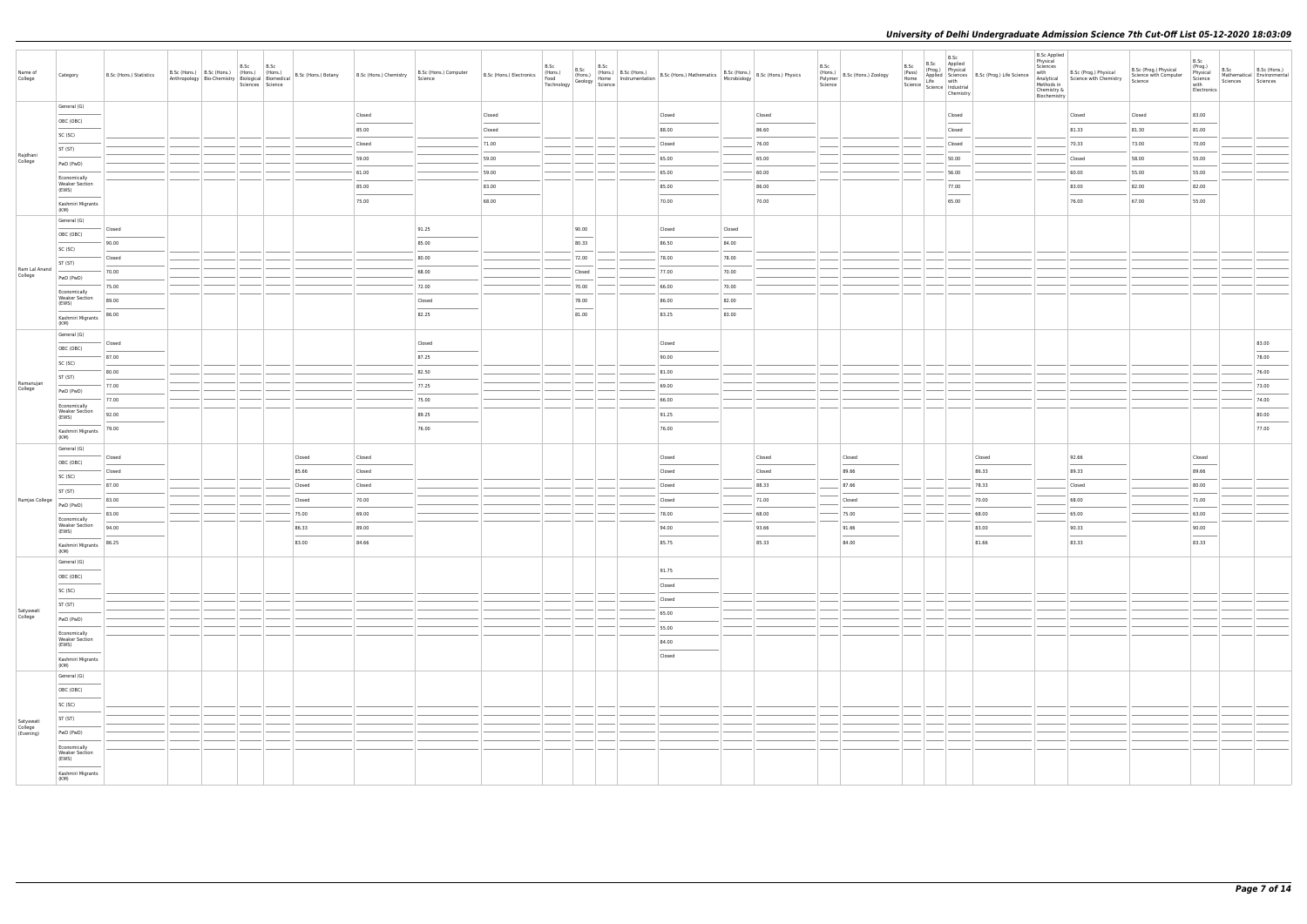| Name of<br>College                | Category                                       | B.Sc (Hons.) Statistics | Anthropology   $\frac{1}{\text{Bio-Chemisty}}$   $\frac{1}{\text{trius}}$   $\frac{1}{\text{Hons.}}$   Biomedical   B.Sc (Hons.) Botany | B.Sc | B.Sc<br>Sciences Science |        | B.Sc (Hons.) Chemistry | B.Sc (Hons.) Computer<br>Science | B.Sc (Hons.) Electronics |        |                                   |        |        | B.Sc<br>$\left  \overbrace{\mathsf{F}}_{\mathsf{S}}^{\mathsf{H} \mathsf{O} \mathsf{NS}} \right $ B.Sc (Hons.) Zoology<br>Polymer<br>Science | B.Sc<br>B.Sc Applied<br>B.Sc<br>(Prog.) Physical<br>(Pass)<br>Home<br>Science dife<br>Science different science<br>Science different chamistry<br>Chemistry | Applied Sciences B.Sc (Prog.) Life Science | <b>B.Sc Applied</b><br>Physical<br>Sciences<br>with<br>Analytical<br>Methods in<br>Chemistry &<br>Biochemistry | B.Sc (Prog.) Physical<br>Science with Chemistry | B.Sc (Prog.) Physical<br>Science with Computer<br>Science | B.Sc<br>(Prog.)<br>Physical<br>Science<br>with<br>Electronics | Sciences | B.Sc B.Sc (Hons.)<br>Mathematical Environmental<br>Sciences                                                                                                                                                                                                                                                                                                                                                                                                                         |
|-----------------------------------|------------------------------------------------|-------------------------|-----------------------------------------------------------------------------------------------------------------------------------------|------|--------------------------|--------|------------------------|----------------------------------|--------------------------|--------|-----------------------------------|--------|--------|---------------------------------------------------------------------------------------------------------------------------------------------|-------------------------------------------------------------------------------------------------------------------------------------------------------------|--------------------------------------------|----------------------------------------------------------------------------------------------------------------|-------------------------------------------------|-----------------------------------------------------------|---------------------------------------------------------------|----------|-------------------------------------------------------------------------------------------------------------------------------------------------------------------------------------------------------------------------------------------------------------------------------------------------------------------------------------------------------------------------------------------------------------------------------------------------------------------------------------|
|                                   | General (G)                                    |                         |                                                                                                                                         |      |                          |        | Closed                 |                                  | Closed                   |        | Closed                            |        | Closed |                                                                                                                                             | Closed                                                                                                                                                      |                                            |                                                                                                                | Closed                                          | Closed                                                    | 83.00                                                         |          |                                                                                                                                                                                                                                                                                                                                                                                                                                                                                     |
|                                   | OBC (OBC)                                      |                         |                                                                                                                                         |      |                          |        | 85.00                  |                                  | Closed                   |        | 88.00                             |        | 86.60  |                                                                                                                                             | Closed                                                                                                                                                      |                                            |                                                                                                                | 81.33                                           | 81.30                                                     | 81.00                                                         |          |                                                                                                                                                                                                                                                                                                                                                                                                                                                                                     |
|                                   | SC (SC)                                        |                         |                                                                                                                                         |      |                          |        | Closed                 |                                  | 71.00                    |        | Closed                            |        | 76.00  |                                                                                                                                             | Closed                                                                                                                                                      |                                            |                                                                                                                | 70.33                                           | 73.00                                                     | 70.00                                                         |          |                                                                                                                                                                                                                                                                                                                                                                                                                                                                                     |
| Rajdhani<br>College               | ST (ST)                                        |                         |                                                                                                                                         |      |                          |        | 59.00                  |                                  | 59.00                    |        | 65.00                             |        | 65.00  |                                                                                                                                             | 50.00                                                                                                                                                       |                                            |                                                                                                                | Closed                                          | 58.00                                                     | 55.00                                                         |          |                                                                                                                                                                                                                                                                                                                                                                                                                                                                                     |
|                                   | PwD (PwD)<br>Economically                      |                         |                                                                                                                                         |      |                          |        | 61.00                  |                                  | 59.00                    |        | 65.00                             |        | 60.00  |                                                                                                                                             | 56.00                                                                                                                                                       |                                            |                                                                                                                | 60.00                                           | 55.00                                                     | 55.00                                                         |          |                                                                                                                                                                                                                                                                                                                                                                                                                                                                                     |
|                                   | <b>Weaker Section</b><br>(EWS)                 |                         |                                                                                                                                         |      |                          |        | 85.00                  |                                  | 83.00                    |        | 85.00                             |        | 86.00  |                                                                                                                                             | 77.00                                                                                                                                                       |                                            |                                                                                                                | 83.00                                           | 82.00                                                     | 82.00                                                         |          |                                                                                                                                                                                                                                                                                                                                                                                                                                                                                     |
|                                   | Kashmiri Migrants                              |                         |                                                                                                                                         |      |                          |        | 75.00                  |                                  | 68.00                    |        | 70.00                             |        | 70.00  |                                                                                                                                             | 65.00                                                                                                                                                       |                                            |                                                                                                                | 76.00                                           | 67.00                                                     | 55.00                                                         |          |                                                                                                                                                                                                                                                                                                                                                                                                                                                                                     |
|                                   | (KM)<br>General (G)                            |                         |                                                                                                                                         |      |                          |        |                        |                                  |                          |        |                                   |        |        |                                                                                                                                             |                                                                                                                                                             |                                            |                                                                                                                |                                                 |                                                           |                                                               |          |                                                                                                                                                                                                                                                                                                                                                                                                                                                                                     |
|                                   | OBC (OBC)                                      | Closed                  |                                                                                                                                         |      |                          |        |                        | 91.25                            |                          | 90.00  | Closed                            | Closed |        |                                                                                                                                             |                                                                                                                                                             |                                            |                                                                                                                |                                                 |                                                           |                                                               |          |                                                                                                                                                                                                                                                                                                                                                                                                                                                                                     |
|                                   | SC (SC)                                        | 90.00                   |                                                                                                                                         |      |                          |        |                        | 85.00                            |                          | 80.33  | 86.50                             | 84.00  |        |                                                                                                                                             |                                                                                                                                                             |                                            |                                                                                                                |                                                 |                                                           |                                                               |          |                                                                                                                                                                                                                                                                                                                                                                                                                                                                                     |
| Ram Lal Anand                     | ST (ST)                                        | Closed                  |                                                                                                                                         |      |                          |        |                        | 80.00                            |                          | 72.00  | 78.00                             | 78.00  |        |                                                                                                                                             |                                                                                                                                                             |                                            |                                                                                                                |                                                 |                                                           |                                                               |          |                                                                                                                                                                                                                                                                                                                                                                                                                                                                                     |
| College                           | PwD (PwD)                                      | 70.00                   |                                                                                                                                         |      |                          |        |                        | 68.00                            |                          | Closed | 77.00                             | 70.00  |        |                                                                                                                                             |                                                                                                                                                             |                                            |                                                                                                                |                                                 |                                                           |                                                               |          |                                                                                                                                                                                                                                                                                                                                                                                                                                                                                     |
|                                   | Economically<br><b>Weaker Section</b>          | 75.00                   |                                                                                                                                         |      |                          |        |                        | 72.00                            |                          | 70.00  | 66.00                             | 70.00  |        |                                                                                                                                             |                                                                                                                                                             |                                            |                                                                                                                |                                                 |                                                           |                                                               |          |                                                                                                                                                                                                                                                                                                                                                                                                                                                                                     |
|                                   | (EWS)                                          | 89.00                   |                                                                                                                                         |      |                          |        |                        | Closed                           |                          | 78.00  | 86.00                             | 82.00  |        |                                                                                                                                             |                                                                                                                                                             |                                            |                                                                                                                |                                                 |                                                           |                                                               |          |                                                                                                                                                                                                                                                                                                                                                                                                                                                                                     |
|                                   | Kashmiri Migrants<br>(KM)                      | 86.00                   |                                                                                                                                         |      |                          |        |                        | 82.25                            |                          | 81.00  | 83.25                             | 83.00  |        |                                                                                                                                             |                                                                                                                                                             |                                            |                                                                                                                |                                                 |                                                           |                                                               |          |                                                                                                                                                                                                                                                                                                                                                                                                                                                                                     |
|                                   | General (G)                                    | Closed                  |                                                                                                                                         |      |                          |        |                        | Closed                           |                          |        | Closed                            |        |        |                                                                                                                                             |                                                                                                                                                             |                                            |                                                                                                                |                                                 |                                                           |                                                               |          | 83.00                                                                                                                                                                                                                                                                                                                                                                                                                                                                               |
|                                   | OBC (OBC)                                      | 87.00                   |                                                                                                                                         |      |                          |        |                        | 87.25                            |                          |        | 90.00                             |        |        |                                                                                                                                             |                                                                                                                                                             |                                            |                                                                                                                |                                                 |                                                           |                                                               |          | $\frac{1}{2} \left( \frac{1}{2} \right) \left( \frac{1}{2} \right) \left( \frac{1}{2} \right) \left( \frac{1}{2} \right) \left( \frac{1}{2} \right) \left( \frac{1}{2} \right) \left( \frac{1}{2} \right) \left( \frac{1}{2} \right) \left( \frac{1}{2} \right) \left( \frac{1}{2} \right) \left( \frac{1}{2} \right) \left( \frac{1}{2} \right) \left( \frac{1}{2} \right) \left( \frac{1}{2} \right) \left( \frac{1}{2} \right) \left( \frac{1}{2} \right) \left( \frac$<br>78.00 |
|                                   | SC (SC)                                        | 80.00                   |                                                                                                                                         |      |                          |        |                        | 82.50                            |                          |        | 81.00                             |        |        |                                                                                                                                             |                                                                                                                                                             |                                            |                                                                                                                |                                                 |                                                           |                                                               |          | 76.00                                                                                                                                                                                                                                                                                                                                                                                                                                                                               |
| Ramanujan                         | ST (ST)                                        | 77.00                   |                                                                                                                                         |      |                          |        |                        | 77.25                            |                          |        | 69.00                             |        |        |                                                                                                                                             |                                                                                                                                                             |                                            |                                                                                                                |                                                 |                                                           |                                                               |          | 73.00                                                                                                                                                                                                                                                                                                                                                                                                                                                                               |
| College                           | PwD (PwD)                                      | 77.00                   |                                                                                                                                         |      |                          |        |                        | 75.00                            |                          |        | 66.00                             |        |        |                                                                                                                                             |                                                                                                                                                             |                                            |                                                                                                                |                                                 |                                                           |                                                               |          | 74.00                                                                                                                                                                                                                                                                                                                                                                                                                                                                               |
|                                   | Economically<br><b>Weaker Section</b><br>(EWS) | 92.00                   |                                                                                                                                         |      |                          |        |                        | 89.25                            |                          |        | 91.25                             |        |        |                                                                                                                                             |                                                                                                                                                             |                                            |                                                                                                                |                                                 |                                                           |                                                               |          | 80.00                                                                                                                                                                                                                                                                                                                                                                                                                                                                               |
|                                   | Kashmiri Migrants                              | 79.00                   |                                                                                                                                         |      |                          |        |                        | 76.00                            |                          |        | $\overline{\phantom{a}}$<br>76.00 |        |        |                                                                                                                                             |                                                                                                                                                             |                                            |                                                                                                                |                                                 |                                                           |                                                               |          | $\frac{1}{2} \left( \frac{1}{2} \right) \left( \frac{1}{2} \right) \left( \frac{1}{2} \right) \left( \frac{1}{2} \right) \left( \frac{1}{2} \right) \left( \frac{1}{2} \right) \left( \frac{1}{2} \right) \left( \frac{1}{2} \right) \left( \frac{1}{2} \right) \left( \frac{1}{2} \right) \left( \frac{1}{2} \right) \left( \frac{1}{2} \right) \left( \frac{1}{2} \right) \left( \frac{1}{2} \right) \left( \frac{1}{2} \right) \left( \frac{1}{2} \right) \left( \frac$<br>77.00 |
|                                   | (KM)<br>General (G)                            |                         |                                                                                                                                         |      |                          |        |                        |                                  |                          |        |                                   |        |        |                                                                                                                                             |                                                                                                                                                             |                                            |                                                                                                                |                                                 |                                                           |                                                               |          |                                                                                                                                                                                                                                                                                                                                                                                                                                                                                     |
|                                   | OBC (OBC)                                      | Closed                  |                                                                                                                                         |      |                          | Closed | Closed                 |                                  |                          |        | Closed                            |        | Closed | Closed                                                                                                                                      |                                                                                                                                                             | Closed                                     |                                                                                                                | 92.66                                           |                                                           | Closed                                                        |          |                                                                                                                                                                                                                                                                                                                                                                                                                                                                                     |
|                                   | SC (SC)                                        | Closed                  |                                                                                                                                         |      |                          | 85.66  | Closed                 |                                  |                          |        | Closed                            |        | Closed | 89.66                                                                                                                                       |                                                                                                                                                             | 86.33                                      |                                                                                                                | 89.33                                           |                                                           | 89.66                                                         |          |                                                                                                                                                                                                                                                                                                                                                                                                                                                                                     |
|                                   | ST (ST)                                        | 87.00                   |                                                                                                                                         |      |                          | Closed | Closed                 |                                  |                          |        | Closed                            |        | 88.33  | 87.66                                                                                                                                       |                                                                                                                                                             | 78.33                                      |                                                                                                                | Closed                                          |                                                           | 80.00                                                         |          |                                                                                                                                                                                                                                                                                                                                                                                                                                                                                     |
| Ramjas College                    | PwD (PwD)                                      | 83.00                   |                                                                                                                                         |      |                          | Closed | 70.00                  |                                  |                          |        | Closed                            |        | 71.00  | Closed                                                                                                                                      |                                                                                                                                                             | 70.00                                      |                                                                                                                | 68.00                                           |                                                           | 71.00                                                         |          |                                                                                                                                                                                                                                                                                                                                                                                                                                                                                     |
|                                   | Economically<br><b>Weaker Section</b>          | 83.00                   |                                                                                                                                         |      |                          | 75.00  | 69.00                  |                                  |                          |        | 78.00                             |        | 68.00  | 75.00                                                                                                                                       |                                                                                                                                                             | 68.00                                      |                                                                                                                | 65.00                                           |                                                           | 63.00                                                         |          |                                                                                                                                                                                                                                                                                                                                                                                                                                                                                     |
|                                   | (EWS)                                          | 94.00                   |                                                                                                                                         |      |                          | 86.33  | 89.00                  |                                  |                          |        | 94.00                             |        | 93.66  | 91.66                                                                                                                                       |                                                                                                                                                             | 83.00                                      |                                                                                                                | 90.33                                           |                                                           | 90.00                                                         |          |                                                                                                                                                                                                                                                                                                                                                                                                                                                                                     |
|                                   | Kashmiri Migrants 86.25<br>(KM)                |                         |                                                                                                                                         |      |                          | 83.00  | 84.66                  |                                  |                          |        | 85.75                             |        | 85.33  | 84.00                                                                                                                                       |                                                                                                                                                             | 81.66                                      |                                                                                                                | 83.33                                           |                                                           | 83.33                                                         |          |                                                                                                                                                                                                                                                                                                                                                                                                                                                                                     |
|                                   | General (G)                                    |                         |                                                                                                                                         |      |                          |        |                        |                                  |                          |        | 91.75                             |        |        |                                                                                                                                             |                                                                                                                                                             |                                            |                                                                                                                |                                                 |                                                           |                                                               |          |                                                                                                                                                                                                                                                                                                                                                                                                                                                                                     |
|                                   | OBC (OBC)                                      |                         |                                                                                                                                         |      |                          |        |                        |                                  |                          |        | Closed                            |        |        |                                                                                                                                             |                                                                                                                                                             |                                            |                                                                                                                |                                                 |                                                           |                                                               |          |                                                                                                                                                                                                                                                                                                                                                                                                                                                                                     |
|                                   | SC (SC)                                        |                         |                                                                                                                                         |      |                          |        |                        |                                  |                          |        | Closed                            |        |        |                                                                                                                                             |                                                                                                                                                             |                                            |                                                                                                                |                                                 |                                                           |                                                               |          |                                                                                                                                                                                                                                                                                                                                                                                                                                                                                     |
| Satyawati<br>College              | ST (ST)                                        |                         |                                                                                                                                         |      |                          |        |                        |                                  |                          |        | 65.00                             |        |        |                                                                                                                                             |                                                                                                                                                             |                                            |                                                                                                                |                                                 |                                                           |                                                               |          |                                                                                                                                                                                                                                                                                                                                                                                                                                                                                     |
|                                   | PwD (PwD)                                      |                         |                                                                                                                                         |      |                          |        |                        |                                  |                          |        | 55.00                             |        |        |                                                                                                                                             |                                                                                                                                                             |                                            |                                                                                                                |                                                 |                                                           |                                                               |          |                                                                                                                                                                                                                                                                                                                                                                                                                                                                                     |
|                                   | Economically<br><b>Weaker Section</b><br>(EWS) |                         |                                                                                                                                         |      |                          |        |                        |                                  |                          |        | 84.00                             |        |        |                                                                                                                                             |                                                                                                                                                             |                                            |                                                                                                                |                                                 |                                                           |                                                               |          |                                                                                                                                                                                                                                                                                                                                                                                                                                                                                     |
|                                   | Kashmiri Migrants                              |                         |                                                                                                                                         |      |                          |        |                        |                                  |                          |        | $\sim$<br>Closed                  |        |        |                                                                                                                                             |                                                                                                                                                             |                                            |                                                                                                                |                                                 |                                                           |                                                               |          |                                                                                                                                                                                                                                                                                                                                                                                                                                                                                     |
|                                   | (KM)<br>General (G)                            |                         |                                                                                                                                         |      |                          |        |                        |                                  |                          |        |                                   |        |        |                                                                                                                                             |                                                                                                                                                             |                                            |                                                                                                                |                                                 |                                                           |                                                               |          |                                                                                                                                                                                                                                                                                                                                                                                                                                                                                     |
|                                   | OBC (OBC)                                      |                         |                                                                                                                                         |      |                          |        |                        |                                  |                          |        |                                   |        |        |                                                                                                                                             |                                                                                                                                                             |                                            |                                                                                                                |                                                 |                                                           |                                                               |          |                                                                                                                                                                                                                                                                                                                                                                                                                                                                                     |
|                                   | SC (SC)                                        |                         |                                                                                                                                         |      |                          |        |                        |                                  |                          |        |                                   |        |        |                                                                                                                                             |                                                                                                                                                             |                                            |                                                                                                                |                                                 |                                                           |                                                               |          |                                                                                                                                                                                                                                                                                                                                                                                                                                                                                     |
|                                   | <b>Contract Contract</b><br>ST (ST)            |                         |                                                                                                                                         |      |                          |        |                        |                                  |                          |        |                                   |        |        |                                                                                                                                             |                                                                                                                                                             |                                            |                                                                                                                |                                                 |                                                           |                                                               |          |                                                                                                                                                                                                                                                                                                                                                                                                                                                                                     |
| Satyawati<br>College<br>(Evening) | PwD (PwD)                                      |                         |                                                                                                                                         |      |                          |        |                        |                                  |                          |        |                                   |        |        |                                                                                                                                             |                                                                                                                                                             |                                            |                                                                                                                |                                                 |                                                           |                                                               |          |                                                                                                                                                                                                                                                                                                                                                                                                                                                                                     |
|                                   | Economically                                   |                         |                                                                                                                                         |      |                          |        |                        |                                  |                          |        |                                   |        |        |                                                                                                                                             |                                                                                                                                                             |                                            |                                                                                                                |                                                 |                                                           |                                                               |          |                                                                                                                                                                                                                                                                                                                                                                                                                                                                                     |
|                                   | <b>Weaker Section</b><br>(EWS)                 |                         |                                                                                                                                         |      |                          |        |                        |                                  |                          |        |                                   |        |        |                                                                                                                                             |                                                                                                                                                             |                                            |                                                                                                                |                                                 |                                                           |                                                               |          |                                                                                                                                                                                                                                                                                                                                                                                                                                                                                     |
|                                   | Kashmiri Migrants<br>(KM)                      |                         |                                                                                                                                         |      |                          |        |                        |                                  |                          |        |                                   |        |        |                                                                                                                                             |                                                                                                                                                             |                                            |                                                                                                                |                                                 |                                                           |                                                               |          |                                                                                                                                                                                                                                                                                                                                                                                                                                                                                     |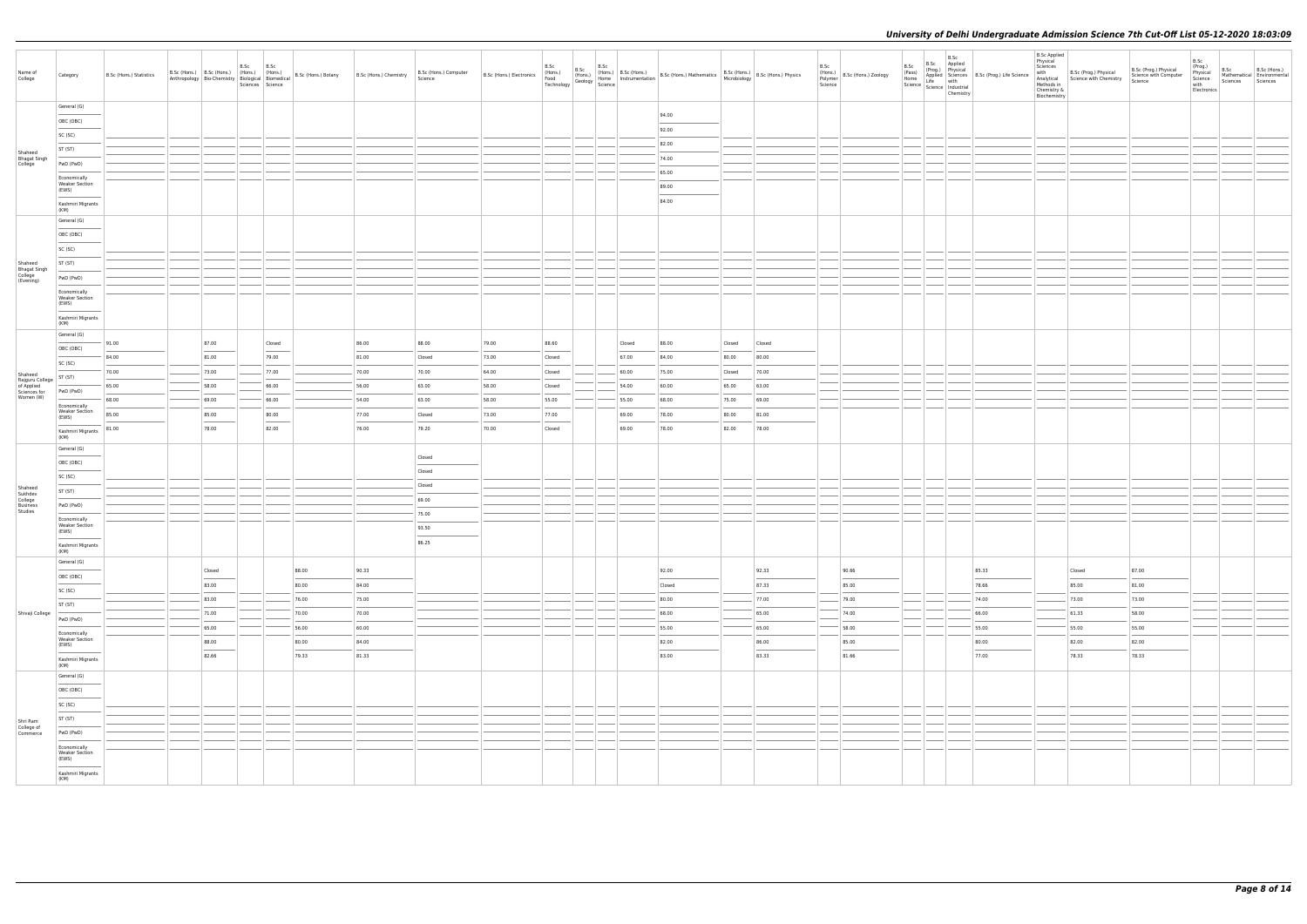| Name of<br>College                       | Category                                       | B.Sc (Hons.) Statistics |                | B.Sc<br>Sciences Science | B.Sc                              | B.Sc (Hons.) B.Sc (Hons.) (Hons.) (Hons.) (Hons.)<br>Anthropology Bio-Chemistry Biological Biomedical B.Sc (Hons.) Botany | B.Sc (Hons.) Chemistry | B.Sc (Hons.) Computer<br>Science | B.Sc (Hons.) Electronics (Hons.) | B.Sc<br>Technology | B.Sc | $\begin{array}{c c c} \text{B.Sc} & \text{B.Sc} & \text{L.Sc (Hons.)} \\ \text{(Hons.)} & \text{(Hons.)} & \text{B.Sc (Hons.)} \\ \text{Jgy} & \text{Geology} & \text{Science} & \text{Instruction} \\ \end{array} \begin{array}{c} \text{B.Sc} & \text{Hons.)} \\ \text{R.Sc} & \text{Hons.} \\ \text{D.Sc} & \text{I} & \text{I} \end{array}$ | B.Sc (Hons.) Mathematics B.Sc (Hons.) B.Sc (Hons.) Physics |                |                | B.Sc<br>Polymer<br>Science | (Hons.)<br>B.Sc (Hons.) Zoology | B.Sc<br>(Pass)<br>Home | B.Sc<br>B.Sc Applied<br>(Prog.) Physical<br>Home<br>Science Life with<br>Science Industrial<br>Chemistry | Applied Sciences B.Sc (Prog.) Life Science | <b>B.Sc Applied</b><br>Physical<br>Sciences<br>with<br>Analytical<br>Methods in<br>Chemistry &<br>Biochemistry | B.Sc (Prog.) Physical<br>Science with Chemistry | B.Sc (Prog.) Physical<br>Science with Computer<br>Science | B.Sc<br>(Prog.)<br>Physical<br>Science<br>with<br>Electronics | B.Sc<br>Sciences | B.Sc (Hons.)<br>Mathematical Environmental<br>Sciences |
|------------------------------------------|------------------------------------------------|-------------------------|----------------|--------------------------|-----------------------------------|---------------------------------------------------------------------------------------------------------------------------|------------------------|----------------------------------|----------------------------------|--------------------|------|-------------------------------------------------------------------------------------------------------------------------------------------------------------------------------------------------------------------------------------------------------------------------------------------------------------------------------------------------|------------------------------------------------------------|----------------|----------------|----------------------------|---------------------------------|------------------------|----------------------------------------------------------------------------------------------------------|--------------------------------------------|----------------------------------------------------------------------------------------------------------------|-------------------------------------------------|-----------------------------------------------------------|---------------------------------------------------------------|------------------|--------------------------------------------------------|
|                                          | General (G)                                    |                         |                |                          |                                   |                                                                                                                           |                        |                                  |                                  |                    |      |                                                                                                                                                                                                                                                                                                                                                 |                                                            |                |                |                            |                                 |                        |                                                                                                          |                                            |                                                                                                                |                                                 |                                                           |                                                               |                  |                                                        |
|                                          | OBC (OBC)                                      |                         |                |                          |                                   |                                                                                                                           |                        |                                  |                                  |                    |      |                                                                                                                                                                                                                                                                                                                                                 | 94.00<br>92.00                                             |                |                |                            |                                 |                        |                                                                                                          |                                            |                                                                                                                |                                                 |                                                           |                                                               |                  |                                                        |
|                                          | SC (SC)                                        |                         |                |                          |                                   |                                                                                                                           |                        |                                  |                                  |                    |      |                                                                                                                                                                                                                                                                                                                                                 | 82.00                                                      |                |                |                            |                                 |                        |                                                                                                          |                                            |                                                                                                                |                                                 |                                                           |                                                               |                  |                                                        |
| Shaheed                                  | ST (ST)                                        |                         |                |                          |                                   |                                                                                                                           |                        |                                  |                                  |                    |      |                                                                                                                                                                                                                                                                                                                                                 |                                                            |                |                |                            |                                 |                        |                                                                                                          |                                            |                                                                                                                |                                                 |                                                           |                                                               |                  |                                                        |
| Bhagat Singh<br>College                  | PwD (PwD)                                      |                         |                |                          |                                   |                                                                                                                           |                        |                                  |                                  |                    |      |                                                                                                                                                                                                                                                                                                                                                 | 74.00<br>65.00                                             |                |                |                            |                                 |                        |                                                                                                          |                                            |                                                                                                                |                                                 |                                                           |                                                               |                  |                                                        |
|                                          | Economically<br><b>Weaker Section</b><br>(EWS) |                         |                |                          |                                   |                                                                                                                           |                        |                                  |                                  |                    |      |                                                                                                                                                                                                                                                                                                                                                 | 89.00                                                      |                |                |                            |                                 |                        |                                                                                                          |                                            |                                                                                                                |                                                 |                                                           |                                                               |                  |                                                        |
|                                          | Kashmiri Migrants<br>(KM)                      |                         |                |                          |                                   |                                                                                                                           |                        |                                  |                                  |                    |      |                                                                                                                                                                                                                                                                                                                                                 | 84.00                                                      |                |                |                            |                                 |                        |                                                                                                          |                                            |                                                                                                                |                                                 |                                                           |                                                               |                  |                                                        |
|                                          | General (G)                                    |                         |                |                          |                                   |                                                                                                                           |                        |                                  |                                  |                    |      |                                                                                                                                                                                                                                                                                                                                                 |                                                            |                |                |                            |                                 |                        |                                                                                                          |                                            |                                                                                                                |                                                 |                                                           |                                                               |                  |                                                        |
|                                          | OBC (OBC)                                      |                         |                |                          |                                   |                                                                                                                           |                        |                                  |                                  |                    |      |                                                                                                                                                                                                                                                                                                                                                 |                                                            |                |                |                            |                                 |                        |                                                                                                          |                                            |                                                                                                                |                                                 |                                                           |                                                               |                  |                                                        |
|                                          | SC (SC)                                        |                         |                |                          |                                   |                                                                                                                           |                        |                                  |                                  |                    |      |                                                                                                                                                                                                                                                                                                                                                 |                                                            |                |                |                            |                                 |                        |                                                                                                          |                                            |                                                                                                                |                                                 |                                                           |                                                               |                  |                                                        |
| Shaheed                                  | ST (ST)                                        |                         |                |                          |                                   |                                                                                                                           |                        |                                  |                                  |                    |      |                                                                                                                                                                                                                                                                                                                                                 |                                                            |                |                |                            |                                 |                        |                                                                                                          |                                            |                                                                                                                |                                                 |                                                           |                                                               |                  |                                                        |
| Bhagat Singh<br>College<br>(Evening)     | PwD (PwD)                                      |                         |                |                          |                                   |                                                                                                                           |                        |                                  |                                  |                    |      |                                                                                                                                                                                                                                                                                                                                                 |                                                            |                |                |                            |                                 |                        |                                                                                                          |                                            |                                                                                                                |                                                 |                                                           |                                                               |                  |                                                        |
|                                          | Economically<br><b>Weaker Section</b><br>(EWS) |                         |                |                          |                                   |                                                                                                                           |                        |                                  |                                  |                    |      |                                                                                                                                                                                                                                                                                                                                                 |                                                            |                |                |                            |                                 |                        |                                                                                                          |                                            |                                                                                                                |                                                 |                                                           |                                                               |                  |                                                        |
|                                          | Kashmiri Migrants<br>(KM)                      |                         |                |                          |                                   |                                                                                                                           |                        |                                  |                                  |                    |      |                                                                                                                                                                                                                                                                                                                                                 |                                                            |                |                |                            |                                 |                        |                                                                                                          |                                            |                                                                                                                |                                                 |                                                           |                                                               |                  |                                                        |
|                                          | General (G)                                    |                         |                |                          |                                   |                                                                                                                           |                        |                                  |                                  |                    |      |                                                                                                                                                                                                                                                                                                                                                 |                                                            |                |                |                            |                                 |                        |                                                                                                          |                                            |                                                                                                                |                                                 |                                                           |                                                               |                  |                                                        |
|                                          | OBC (OBC)                                      | 91.00                   | 87.00          |                          | Closed<br>---                     |                                                                                                                           | 86.00                  | 88.00                            | 79.00                            | 88.60              |      | Closed                                                                                                                                                                                                                                                                                                                                          | 88.00                                                      | Closed         | Closed         |                            |                                 |                        |                                                                                                          |                                            |                                                                                                                |                                                 |                                                           |                                                               |                  |                                                        |
|                                          | SC (SC)                                        | 84.00                   | 81.00          |                          | 79.00                             |                                                                                                                           | 81.00                  | Closed                           | 73.00                            | Closed             |      | 67.00                                                                                                                                                                                                                                                                                                                                           | 84.00                                                      | 80.00          | 80.00          |                            |                                 |                        |                                                                                                          |                                            |                                                                                                                |                                                 |                                                           |                                                               |                  |                                                        |
| Shaheed<br>Rajguru College<br>of Applied | ST (ST)                                        | 70.00<br>65.00          | 73.00<br>58.00 |                          | 77.00<br>66.00                    |                                                                                                                           | 70.00<br>56.00         | 70.00<br>63.00                   | 64.00<br>58.00                   | Closed<br>Closed   |      | 60.00<br>54.00                                                                                                                                                                                                                                                                                                                                  | 75.00<br>60.00                                             | Closed         | 70.00<br>63.00 |                            |                                 |                        |                                                                                                          |                                            |                                                                                                                |                                                 |                                                           |                                                               |                  |                                                        |
| Sciences for<br>Women (W)                | PwD (PwD)                                      | 68.00                   | 69.00          |                          | 66.00                             |                                                                                                                           | 54.00                  | 63.00                            | 58.00                            | 55.00              |      | 55.00                                                                                                                                                                                                                                                                                                                                           | 68.00                                                      | 65.00<br>75.00 | 69.00          |                            |                                 |                        |                                                                                                          |                                            |                                                                                                                |                                                 |                                                           |                                                               |                  |                                                        |
|                                          | Economically<br><b>Weaker Section</b>          | 85.00                   | 85.00          |                          | 80.00                             |                                                                                                                           | 77.00                  | Closed                           | 73.00                            | 77.00              |      | 69.00                                                                                                                                                                                                                                                                                                                                           | 78.00                                                      | 80.00          | 81.00          |                            |                                 |                        |                                                                                                          |                                            |                                                                                                                |                                                 |                                                           |                                                               |                  |                                                        |
|                                          | (EWS)                                          | 81.00                   | 78.00          |                          | <b>Contract Contract</b><br>82.00 |                                                                                                                           | 76.00                  | 79.20                            | 70.00                            | Closed             |      | 69.00                                                                                                                                                                                                                                                                                                                                           | 78.00                                                      | 82.00          | 78.00          |                            |                                 |                        |                                                                                                          |                                            |                                                                                                                |                                                 |                                                           |                                                               |                  |                                                        |
|                                          | Kashmiri Migrants<br>(KM)                      |                         |                |                          |                                   |                                                                                                                           |                        |                                  |                                  |                    |      |                                                                                                                                                                                                                                                                                                                                                 |                                                            |                |                |                            |                                 |                        |                                                                                                          |                                            |                                                                                                                |                                                 |                                                           |                                                               |                  |                                                        |
|                                          | General (G)                                    |                         |                |                          |                                   |                                                                                                                           |                        | Closed                           |                                  |                    |      |                                                                                                                                                                                                                                                                                                                                                 |                                                            |                |                |                            |                                 |                        |                                                                                                          |                                            |                                                                                                                |                                                 |                                                           |                                                               |                  |                                                        |
|                                          | OBC (OBC)                                      |                         |                |                          |                                   |                                                                                                                           |                        | Closed                           |                                  |                    |      |                                                                                                                                                                                                                                                                                                                                                 |                                                            |                |                |                            |                                 |                        |                                                                                                          |                                            |                                                                                                                |                                                 |                                                           |                                                               |                  |                                                        |
| Shaheed                                  | SC (SC)                                        |                         |                |                          |                                   |                                                                                                                           |                        | Closed                           |                                  |                    |      |                                                                                                                                                                                                                                                                                                                                                 |                                                            |                |                |                            |                                 |                        |                                                                                                          |                                            |                                                                                                                |                                                 |                                                           |                                                               |                  |                                                        |
| Sukhdev<br>College                       | ST (ST)                                        |                         |                |                          |                                   |                                                                                                                           |                        | 69.00                            |                                  |                    |      |                                                                                                                                                                                                                                                                                                                                                 |                                                            |                |                |                            |                                 |                        |                                                                                                          |                                            |                                                                                                                |                                                 |                                                           |                                                               |                  |                                                        |
| <b>Business</b><br>Studies               | PwD (PwD)                                      |                         |                |                          |                                   |                                                                                                                           |                        | 75.00                            |                                  |                    |      |                                                                                                                                                                                                                                                                                                                                                 |                                                            |                |                |                            |                                 |                        |                                                                                                          |                                            |                                                                                                                |                                                 |                                                           |                                                               |                  |                                                        |
|                                          | Economically<br><b>Weaker Section</b><br>(EWS) |                         |                |                          |                                   |                                                                                                                           |                        | 93.50                            |                                  |                    |      |                                                                                                                                                                                                                                                                                                                                                 |                                                            |                |                |                            |                                 |                        |                                                                                                          |                                            |                                                                                                                |                                                 |                                                           |                                                               |                  |                                                        |
|                                          | Kashmiri Migrants<br>(KM)                      |                         |                |                          |                                   |                                                                                                                           |                        | 86.25                            |                                  |                    |      |                                                                                                                                                                                                                                                                                                                                                 |                                                            |                |                |                            |                                 |                        |                                                                                                          |                                            |                                                                                                                |                                                 |                                                           |                                                               |                  |                                                        |
|                                          | General (G)                                    |                         |                |                          |                                   |                                                                                                                           |                        |                                  |                                  |                    |      |                                                                                                                                                                                                                                                                                                                                                 |                                                            |                |                |                            |                                 |                        |                                                                                                          |                                            |                                                                                                                |                                                 |                                                           |                                                               |                  |                                                        |
|                                          | OBC (OBC)                                      |                         | Closed         |                          |                                   | 88.00                                                                                                                     | 90.33                  |                                  |                                  |                    |      |                                                                                                                                                                                                                                                                                                                                                 | 92.00                                                      |                | 92.33          |                            | 90.66                           |                        |                                                                                                          | 85.33                                      |                                                                                                                | Closed                                          | 87.00                                                     |                                                               |                  |                                                        |
|                                          | SC (SC)                                        |                         | 83.00          |                          |                                   | 80.00                                                                                                                     | 84.00                  |                                  |                                  |                    |      |                                                                                                                                                                                                                                                                                                                                                 | Closed                                                     |                | 87.33          |                            | 85.00                           |                        |                                                                                                          | 78.66                                      |                                                                                                                | 85.00                                           | 81.00                                                     |                                                               |                  |                                                        |
|                                          | ST (ST)                                        |                         | 83.00          |                          |                                   | 76.00                                                                                                                     | 75.00                  |                                  |                                  |                    |      |                                                                                                                                                                                                                                                                                                                                                 | 80.00                                                      |                | $77.00$        |                            | 79.00                           |                        |                                                                                                          | 74.00                                      |                                                                                                                | 73.00                                           | 73.00                                                     |                                                               |                  |                                                        |
| Shivaji College                          | PwD (PwD)                                      |                         | 71.00          |                          |                                   | 70.00                                                                                                                     | 70.00                  |                                  |                                  |                    |      |                                                                                                                                                                                                                                                                                                                                                 | 68.00                                                      |                | 65.00          |                            | 74.00                           |                        |                                                                                                          | 66.00                                      |                                                                                                                | 61.33                                           | 58.00                                                     |                                                               |                  |                                                        |
|                                          | Economically<br><b>Weaker Section</b>          |                         | 65.00          |                          |                                   | 56.00                                                                                                                     | 60.00                  |                                  |                                  |                    |      |                                                                                                                                                                                                                                                                                                                                                 | 55.00                                                      |                | 65.00          |                            | 58.00                           |                        |                                                                                                          | 55.00                                      |                                                                                                                | 55.00                                           | 55.00                                                     |                                                               |                  |                                                        |
|                                          | (EWS)                                          |                         | 88.00          |                          |                                   | 80.00                                                                                                                     | 84.00                  |                                  |                                  |                    |      |                                                                                                                                                                                                                                                                                                                                                 | 82.00                                                      |                | 86.00          |                            | 85.00                           |                        |                                                                                                          | 80.00                                      |                                                                                                                | 82.00                                           | 82.00                                                     |                                                               |                  |                                                        |
|                                          | Kashmiri Migrants<br>(KM)                      |                         | 82.66          |                          |                                   | 79.33                                                                                                                     | 81.33                  |                                  |                                  |                    |      |                                                                                                                                                                                                                                                                                                                                                 | 83.00                                                      |                | 83.33          |                            | 81.66                           |                        |                                                                                                          | 77.00                                      |                                                                                                                | 78.33                                           | 78.33                                                     |                                                               |                  |                                                        |
|                                          | General (G)<br>OBC (OBC)                       |                         |                |                          |                                   |                                                                                                                           |                        |                                  |                                  |                    |      |                                                                                                                                                                                                                                                                                                                                                 |                                                            |                |                |                            |                                 |                        |                                                                                                          |                                            |                                                                                                                |                                                 |                                                           |                                                               |                  |                                                        |
|                                          | SC (SC)                                        |                         |                |                          |                                   |                                                                                                                           |                        |                                  |                                  |                    |      |                                                                                                                                                                                                                                                                                                                                                 |                                                            |                |                |                            |                                 |                        |                                                                                                          |                                            |                                                                                                                |                                                 |                                                           |                                                               |                  |                                                        |
| Shri Ram                                 | ST (ST)                                        |                         |                |                          |                                   |                                                                                                                           |                        |                                  |                                  |                    |      |                                                                                                                                                                                                                                                                                                                                                 |                                                            |                |                |                            |                                 |                        |                                                                                                          |                                            |                                                                                                                |                                                 |                                                           |                                                               |                  |                                                        |
| College of<br>Commerce                   | PwD (PwD)                                      |                         |                |                          |                                   |                                                                                                                           |                        |                                  |                                  |                    |      |                                                                                                                                                                                                                                                                                                                                                 |                                                            |                |                |                            |                                 |                        |                                                                                                          |                                            |                                                                                                                |                                                 |                                                           |                                                               |                  |                                                        |
|                                          | Economically<br>Weaker Section                 |                         |                |                          |                                   |                                                                                                                           |                        |                                  |                                  |                    |      |                                                                                                                                                                                                                                                                                                                                                 |                                                            |                |                |                            |                                 |                        |                                                                                                          |                                            |                                                                                                                |                                                 |                                                           |                                                               |                  |                                                        |
|                                          | (EWS)<br>Kashmiri Migrants<br>(KM)             |                         |                |                          |                                   |                                                                                                                           |                        |                                  |                                  |                    |      |                                                                                                                                                                                                                                                                                                                                                 |                                                            |                |                |                            |                                 |                        |                                                                                                          |                                            |                                                                                                                |                                                 |                                                           |                                                               |                  |                                                        |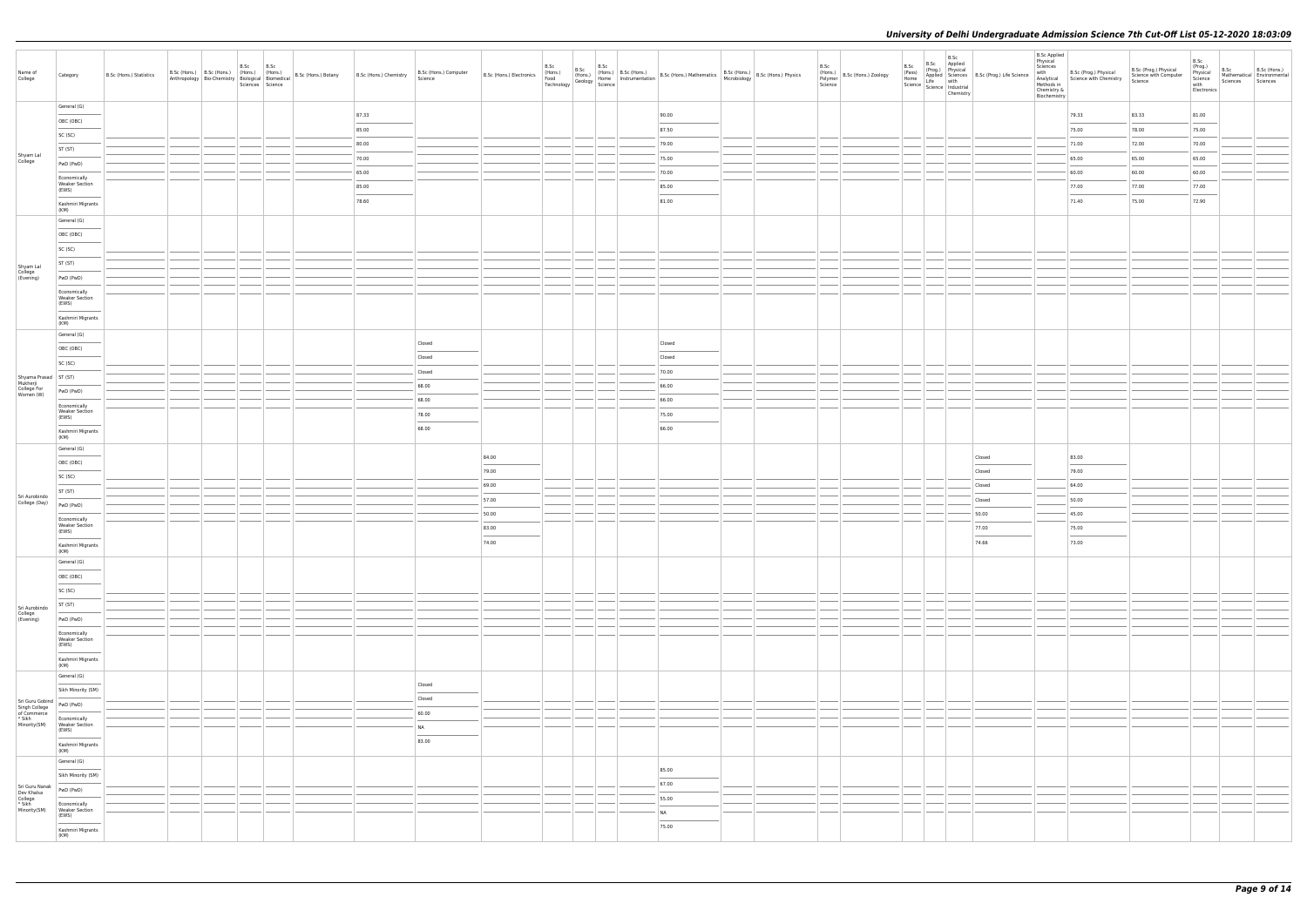| Name of<br>College                              | Category                                                                                                                                                                                                                                                                                                                                                                                                                                                                                                | B.Sc (Hons.) Statistics | B.Sc (Hons.) B.Sc (Hons.) (Hons.) (Hons.)<br>Anthropology   Bio-Chemistry   $\frac{1}{100}$   $\frac{1}{100}$   $\frac{1}{100}$   $\frac{1}{100}$   Bio-Chemistry   $\frac{1}{100}$   $\frac{1}{100}$   Biomedical   $\frac{1}{100}$   B.Sc (Hons.) Botany | B.Sc | B.Sc<br>Sciences Science | B.Sc (Hons.) Chemistry | B.Sc (Hons.) Computer<br>Science  |       | B.Sc | B.Sc | B.Sc | B.Sc (Hons.) B.Sc (Hons.) B.Sc (Hons.) B.Sc (Hons.) B.Sc (Hons.) B.Sc (Hons.) B.Sc (Hons.) B.Sc (Hons.) B.Sc (Hons.) B.Sc (Hons.) B.Sc (Hons.) B.Sc (Hons.) B.Sc (Hons.) B.Sc (Hons.) B.Sc (Hons.) B.Sc (Hons.) B.Sc (Hons.) B |  | B.Sc<br>(Hons.)<br>Polymer B.Sc (Hons.) Zoology<br>Polymer<br>Science | B.Sc<br>B.Sc Applied<br>B.Sc<br>(Prog.)<br>Physical<br><b>Proxy</b><br>Pass) Applied Science<br>Home Life Medical B.Sc (Prog.) Life Science<br>Science Life Industrial<br>Science Information<br>Chamictry<br>Chemistry |        | <b>B.Sc Applied</b><br>Physical<br>Sciences<br>with<br>Chemistry &<br>Biochemistry | B.Sc (Prog.) Physical<br>Analytical Science with Chemistry<br>Methods in | B.Sc (Prog.) Physical<br>Science with Computer<br>Science | B.Sc<br>(Prog.)<br>Physical<br>Science<br>with<br>Electronics | B.Sc<br>Sciences | B.Sc (Hons.)<br>Mathematical Environmental<br>Sciences |
|-------------------------------------------------|---------------------------------------------------------------------------------------------------------------------------------------------------------------------------------------------------------------------------------------------------------------------------------------------------------------------------------------------------------------------------------------------------------------------------------------------------------------------------------------------------------|-------------------------|------------------------------------------------------------------------------------------------------------------------------------------------------------------------------------------------------------------------------------------------------------|------|--------------------------|------------------------|-----------------------------------|-------|------|------|------|--------------------------------------------------------------------------------------------------------------------------------------------------------------------------------------------------------------------------------|--|-----------------------------------------------------------------------|-------------------------------------------------------------------------------------------------------------------------------------------------------------------------------------------------------------------------|--------|------------------------------------------------------------------------------------|--------------------------------------------------------------------------|-----------------------------------------------------------|---------------------------------------------------------------|------------------|--------------------------------------------------------|
|                                                 | General (G)                                                                                                                                                                                                                                                                                                                                                                                                                                                                                             |                         |                                                                                                                                                                                                                                                            |      |                          | 87.33                  |                                   |       |      |      |      | 90.00                                                                                                                                                                                                                          |  |                                                                       |                                                                                                                                                                                                                         |        |                                                                                    | 79.33                                                                    | 83.33                                                     | 81.00                                                         |                  |                                                        |
|                                                 | OBC (OBC)                                                                                                                                                                                                                                                                                                                                                                                                                                                                                               |                         |                                                                                                                                                                                                                                                            |      |                          | 85.00                  |                                   |       |      |      |      | 87.50                                                                                                                                                                                                                          |  |                                                                       |                                                                                                                                                                                                                         |        |                                                                                    | 75.00                                                                    | 78.00                                                     | 75.00                                                         |                  |                                                        |
|                                                 | SC (SC)                                                                                                                                                                                                                                                                                                                                                                                                                                                                                                 |                         |                                                                                                                                                                                                                                                            |      |                          | 80.00                  |                                   |       |      |      |      | 79.00                                                                                                                                                                                                                          |  |                                                                       |                                                                                                                                                                                                                         |        |                                                                                    | 71.00                                                                    | 72.00                                                     | 70.00                                                         |                  |                                                        |
| Shyam Lal<br>College                            | ST (ST)                                                                                                                                                                                                                                                                                                                                                                                                                                                                                                 |                         |                                                                                                                                                                                                                                                            |      |                          | 70.00                  |                                   |       |      |      |      | 75.00                                                                                                                                                                                                                          |  |                                                                       |                                                                                                                                                                                                                         |        |                                                                                    | 65.00                                                                    | 65.00                                                     | 65.00                                                         |                  |                                                        |
|                                                 | PwD (PwD)                                                                                                                                                                                                                                                                                                                                                                                                                                                                                               |                         |                                                                                                                                                                                                                                                            |      |                          | 65.00                  |                                   |       |      |      |      | 70.00                                                                                                                                                                                                                          |  |                                                                       |                                                                                                                                                                                                                         |        |                                                                                    | 60.00                                                                    | 60.00                                                     | 60.00                                                         |                  |                                                        |
|                                                 | Economically<br><b>Weaker Section</b>                                                                                                                                                                                                                                                                                                                                                                                                                                                                   |                         |                                                                                                                                                                                                                                                            |      |                          | 85.00                  |                                   |       |      |      |      | 85.00                                                                                                                                                                                                                          |  |                                                                       |                                                                                                                                                                                                                         |        |                                                                                    | 77.00                                                                    | 77.00                                                     | 77.00                                                         |                  |                                                        |
|                                                 | (EWS)                                                                                                                                                                                                                                                                                                                                                                                                                                                                                                   |                         |                                                                                                                                                                                                                                                            |      |                          | 78.60                  |                                   |       |      |      |      | $\overline{\phantom{a}}$<br>81.00                                                                                                                                                                                              |  |                                                                       |                                                                                                                                                                                                                         |        |                                                                                    | 71.40                                                                    | 75.00                                                     | 72.90                                                         |                  |                                                        |
|                                                 | Kashmiri Migrants<br>(KM)                                                                                                                                                                                                                                                                                                                                                                                                                                                                               |                         |                                                                                                                                                                                                                                                            |      |                          |                        |                                   |       |      |      |      |                                                                                                                                                                                                                                |  |                                                                       |                                                                                                                                                                                                                         |        |                                                                                    |                                                                          |                                                           |                                                               |                  |                                                        |
|                                                 | General (G)                                                                                                                                                                                                                                                                                                                                                                                                                                                                                             |                         |                                                                                                                                                                                                                                                            |      |                          |                        |                                   |       |      |      |      |                                                                                                                                                                                                                                |  |                                                                       |                                                                                                                                                                                                                         |        |                                                                                    |                                                                          |                                                           |                                                               |                  |                                                        |
|                                                 | OBC (OBC)                                                                                                                                                                                                                                                                                                                                                                                                                                                                                               |                         |                                                                                                                                                                                                                                                            |      |                          |                        |                                   |       |      |      |      |                                                                                                                                                                                                                                |  |                                                                       |                                                                                                                                                                                                                         |        |                                                                                    |                                                                          |                                                           |                                                               |                  |                                                        |
|                                                 | SC (SC)                                                                                                                                                                                                                                                                                                                                                                                                                                                                                                 |                         |                                                                                                                                                                                                                                                            |      |                          |                        |                                   |       |      |      |      |                                                                                                                                                                                                                                |  |                                                                       |                                                                                                                                                                                                                         |        |                                                                                    |                                                                          |                                                           |                                                               |                  |                                                        |
| Shyam Lal<br>College<br>(Evening)               | ST (ST)                                                                                                                                                                                                                                                                                                                                                                                                                                                                                                 |                         |                                                                                                                                                                                                                                                            |      |                          |                        |                                   |       |      |      |      |                                                                                                                                                                                                                                |  |                                                                       |                                                                                                                                                                                                                         |        |                                                                                    |                                                                          |                                                           |                                                               |                  |                                                        |
|                                                 | PwD (PwD)                                                                                                                                                                                                                                                                                                                                                                                                                                                                                               |                         |                                                                                                                                                                                                                                                            |      |                          |                        |                                   |       |      |      |      |                                                                                                                                                                                                                                |  |                                                                       |                                                                                                                                                                                                                         |        |                                                                                    |                                                                          |                                                           |                                                               |                  |                                                        |
|                                                 | Economically<br><b>Weaker Section</b><br>(EWS)                                                                                                                                                                                                                                                                                                                                                                                                                                                          |                         |                                                                                                                                                                                                                                                            |      |                          |                        |                                   |       |      |      |      |                                                                                                                                                                                                                                |  |                                                                       |                                                                                                                                                                                                                         |        |                                                                                    |                                                                          |                                                           |                                                               |                  |                                                        |
|                                                 | Kashmiri Migrants                                                                                                                                                                                                                                                                                                                                                                                                                                                                                       |                         |                                                                                                                                                                                                                                                            |      |                          |                        |                                   |       |      |      |      |                                                                                                                                                                                                                                |  |                                                                       |                                                                                                                                                                                                                         |        |                                                                                    |                                                                          |                                                           |                                                               |                  |                                                        |
|                                                 | (KM)<br>General (G)                                                                                                                                                                                                                                                                                                                                                                                                                                                                                     |                         |                                                                                                                                                                                                                                                            |      |                          |                        |                                   |       |      |      |      |                                                                                                                                                                                                                                |  |                                                                       |                                                                                                                                                                                                                         |        |                                                                                    |                                                                          |                                                           |                                                               |                  |                                                        |
|                                                 | OBC (OBC)                                                                                                                                                                                                                                                                                                                                                                                                                                                                                               |                         |                                                                                                                                                                                                                                                            |      |                          |                        | Closed                            |       |      |      |      | Closed                                                                                                                                                                                                                         |  |                                                                       |                                                                                                                                                                                                                         |        |                                                                                    |                                                                          |                                                           |                                                               |                  |                                                        |
|                                                 | SC (SC)                                                                                                                                                                                                                                                                                                                                                                                                                                                                                                 |                         |                                                                                                                                                                                                                                                            |      |                          |                        | Closed                            |       |      |      |      | Closed                                                                                                                                                                                                                         |  |                                                                       |                                                                                                                                                                                                                         |        |                                                                                    |                                                                          |                                                           |                                                               |                  |                                                        |
| Shyama Prasad ST (ST)                           |                                                                                                                                                                                                                                                                                                                                                                                                                                                                                                         |                         |                                                                                                                                                                                                                                                            |      |                          |                        | Closed                            |       |      |      |      | 70.00                                                                                                                                                                                                                          |  |                                                                       |                                                                                                                                                                                                                         |        |                                                                                    |                                                                          |                                                           |                                                               |                  |                                                        |
| Mukherji<br>College For<br>Women (W)            | PwD (PwD)                                                                                                                                                                                                                                                                                                                                                                                                                                                                                               |                         |                                                                                                                                                                                                                                                            |      |                          |                        | 68.00                             |       |      |      |      | 66.00                                                                                                                                                                                                                          |  |                                                                       |                                                                                                                                                                                                                         |        |                                                                                    |                                                                          |                                                           |                                                               |                  |                                                        |
|                                                 | Economically                                                                                                                                                                                                                                                                                                                                                                                                                                                                                            |                         |                                                                                                                                                                                                                                                            |      |                          |                        | 68.00                             |       |      |      |      | 66.00                                                                                                                                                                                                                          |  |                                                                       |                                                                                                                                                                                                                         |        |                                                                                    |                                                                          |                                                           |                                                               |                  |                                                        |
|                                                 | <b>Weaker Section</b><br>(EWS)                                                                                                                                                                                                                                                                                                                                                                                                                                                                          |                         |                                                                                                                                                                                                                                                            |      |                          |                        | 78.00                             |       |      |      |      | 75.00                                                                                                                                                                                                                          |  |                                                                       |                                                                                                                                                                                                                         |        |                                                                                    |                                                                          |                                                           |                                                               |                  |                                                        |
|                                                 | Kashmiri Migrants<br>(KM)                                                                                                                                                                                                                                                                                                                                                                                                                                                                               |                         |                                                                                                                                                                                                                                                            |      |                          |                        | 68.00                             |       |      |      |      | 66.00                                                                                                                                                                                                                          |  |                                                                       |                                                                                                                                                                                                                         |        |                                                                                    |                                                                          |                                                           |                                                               |                  |                                                        |
|                                                 | General (G)                                                                                                                                                                                                                                                                                                                                                                                                                                                                                             |                         |                                                                                                                                                                                                                                                            |      |                          |                        |                                   | 84.00 |      |      |      |                                                                                                                                                                                                                                |  |                                                                       |                                                                                                                                                                                                                         | Closed |                                                                                    | 83.00                                                                    |                                                           |                                                               |                  |                                                        |
|                                                 | OBC (OBC)                                                                                                                                                                                                                                                                                                                                                                                                                                                                                               |                         |                                                                                                                                                                                                                                                            |      |                          |                        |                                   | 79.00 |      |      |      |                                                                                                                                                                                                                                |  |                                                                       |                                                                                                                                                                                                                         | Closed |                                                                                    | 79.00                                                                    |                                                           |                                                               |                  |                                                        |
|                                                 | SC (SC)                                                                                                                                                                                                                                                                                                                                                                                                                                                                                                 |                         |                                                                                                                                                                                                                                                            |      |                          |                        |                                   | 69.00 |      |      |      |                                                                                                                                                                                                                                |  |                                                                       |                                                                                                                                                                                                                         | Closed |                                                                                    | 64.00                                                                    |                                                           |                                                               |                  |                                                        |
| Sri Aurobindo                                   | ST (ST)                                                                                                                                                                                                                                                                                                                                                                                                                                                                                                 |                         |                                                                                                                                                                                                                                                            |      |                          |                        |                                   | 57.00 |      |      |      |                                                                                                                                                                                                                                |  |                                                                       |                                                                                                                                                                                                                         | Closed |                                                                                    | 50.00                                                                    |                                                           |                                                               |                  |                                                        |
| College (Day)                                   | PwD (PwD)                                                                                                                                                                                                                                                                                                                                                                                                                                                                                               |                         |                                                                                                                                                                                                                                                            |      |                          |                        |                                   | 50.00 |      |      |      |                                                                                                                                                                                                                                |  |                                                                       |                                                                                                                                                                                                                         | 50.00  |                                                                                    | 45.00                                                                    |                                                           |                                                               |                  |                                                        |
|                                                 | Economically<br><b>Weaker Section</b><br>(EWS)                                                                                                                                                                                                                                                                                                                                                                                                                                                          |                         |                                                                                                                                                                                                                                                            |      |                          |                        |                                   | 83.00 |      |      |      |                                                                                                                                                                                                                                |  |                                                                       |                                                                                                                                                                                                                         | 77.00  |                                                                                    | 75.00                                                                    |                                                           |                                                               |                  |                                                        |
|                                                 | Kashmiri Migrants                                                                                                                                                                                                                                                                                                                                                                                                                                                                                       |                         |                                                                                                                                                                                                                                                            |      |                          |                        |                                   | 74.00 |      |      |      |                                                                                                                                                                                                                                |  |                                                                       |                                                                                                                                                                                                                         | 74.66  |                                                                                    | 73.00                                                                    |                                                           |                                                               |                  |                                                        |
|                                                 | (KM)<br>General (G)                                                                                                                                                                                                                                                                                                                                                                                                                                                                                     |                         |                                                                                                                                                                                                                                                            |      |                          |                        |                                   |       |      |      |      |                                                                                                                                                                                                                                |  |                                                                       |                                                                                                                                                                                                                         |        |                                                                                    |                                                                          |                                                           |                                                               |                  |                                                        |
|                                                 | OBC (OBC)                                                                                                                                                                                                                                                                                                                                                                                                                                                                                               |                         |                                                                                                                                                                                                                                                            |      |                          |                        |                                   |       |      |      |      |                                                                                                                                                                                                                                |  |                                                                       |                                                                                                                                                                                                                         |        |                                                                                    |                                                                          |                                                           |                                                               |                  |                                                        |
|                                                 | SC (SC)                                                                                                                                                                                                                                                                                                                                                                                                                                                                                                 |                         |                                                                                                                                                                                                                                                            |      |                          |                        |                                   |       |      |      |      |                                                                                                                                                                                                                                |  |                                                                       |                                                                                                                                                                                                                         |        |                                                                                    |                                                                          |                                                           |                                                               |                  |                                                        |
| Sri Aurobindo                                   | ST (ST)                                                                                                                                                                                                                                                                                                                                                                                                                                                                                                 |                         |                                                                                                                                                                                                                                                            |      |                          |                        |                                   |       |      |      |      |                                                                                                                                                                                                                                |  |                                                                       |                                                                                                                                                                                                                         |        |                                                                                    |                                                                          |                                                           |                                                               |                  |                                                        |
| College<br>(Evening)                            | PwD (PwD)                                                                                                                                                                                                                                                                                                                                                                                                                                                                                               |                         |                                                                                                                                                                                                                                                            |      |                          |                        |                                   |       |      |      |      |                                                                                                                                                                                                                                |  |                                                                       |                                                                                                                                                                                                                         |        |                                                                                    |                                                                          |                                                           |                                                               |                  |                                                        |
|                                                 | Economically<br><b>Weaker Section</b>                                                                                                                                                                                                                                                                                                                                                                                                                                                                   |                         |                                                                                                                                                                                                                                                            |      |                          |                        |                                   |       |      |      |      |                                                                                                                                                                                                                                |  |                                                                       |                                                                                                                                                                                                                         |        |                                                                                    |                                                                          |                                                           |                                                               |                  |                                                        |
|                                                 | (EWS)<br>$\sim$                                                                                                                                                                                                                                                                                                                                                                                                                                                                                         |                         |                                                                                                                                                                                                                                                            |      |                          |                        |                                   |       |      |      |      |                                                                                                                                                                                                                                |  |                                                                       |                                                                                                                                                                                                                         |        |                                                                                    |                                                                          |                                                           |                                                               |                  |                                                        |
|                                                 | Kashmiri Migrants<br>(KM)                                                                                                                                                                                                                                                                                                                                                                                                                                                                               |                         |                                                                                                                                                                                                                                                            |      |                          |                        |                                   |       |      |      |      |                                                                                                                                                                                                                                |  |                                                                       |                                                                                                                                                                                                                         |        |                                                                                    |                                                                          |                                                           |                                                               |                  |                                                        |
|                                                 | General (G)                                                                                                                                                                                                                                                                                                                                                                                                                                                                                             |                         |                                                                                                                                                                                                                                                            |      |                          |                        | Closed                            |       |      |      |      |                                                                                                                                                                                                                                |  |                                                                       |                                                                                                                                                                                                                         |        |                                                                                    |                                                                          |                                                           |                                                               |                  |                                                        |
|                                                 | Sikh Minority (SM)                                                                                                                                                                                                                                                                                                                                                                                                                                                                                      |                         |                                                                                                                                                                                                                                                            |      |                          |                        | Closed                            |       |      |      |      |                                                                                                                                                                                                                                |  |                                                                       |                                                                                                                                                                                                                         |        |                                                                                    |                                                                          |                                                           |                                                               |                  |                                                        |
| Sri Guru Gobind<br>Singh College<br>of Commerce |                                                                                                                                                                                                                                                                                                                                                                                                                                                                                                         |                         |                                                                                                                                                                                                                                                            |      |                          |                        | 60.00                             |       |      |      |      |                                                                                                                                                                                                                                |  |                                                                       |                                                                                                                                                                                                                         |        |                                                                                    |                                                                          |                                                           |                                                               |                  |                                                        |
| * Sikh<br>Minority(SM)                          | Economically<br>Weaker Section<br>(EWS)                                                                                                                                                                                                                                                                                                                                                                                                                                                                 |                         |                                                                                                                                                                                                                                                            |      |                          |                        | <b>NA</b>                         |       |      |      |      |                                                                                                                                                                                                                                |  |                                                                       |                                                                                                                                                                                                                         |        |                                                                                    |                                                                          |                                                           |                                                               |                  |                                                        |
|                                                 | Kashmiri Migrants                                                                                                                                                                                                                                                                                                                                                                                                                                                                                       |                         |                                                                                                                                                                                                                                                            |      |                          |                        | $\overline{\phantom{a}}$<br>83.00 |       |      |      |      |                                                                                                                                                                                                                                |  |                                                                       |                                                                                                                                                                                                                         |        |                                                                                    |                                                                          |                                                           |                                                               |                  |                                                        |
|                                                 | (KM)<br>General (G)                                                                                                                                                                                                                                                                                                                                                                                                                                                                                     |                         |                                                                                                                                                                                                                                                            |      |                          |                        |                                   |       |      |      |      |                                                                                                                                                                                                                                |  |                                                                       |                                                                                                                                                                                                                         |        |                                                                                    |                                                                          |                                                           |                                                               |                  |                                                        |
|                                                 | Sikh Minority (SM)                                                                                                                                                                                                                                                                                                                                                                                                                                                                                      |                         |                                                                                                                                                                                                                                                            |      |                          |                        |                                   |       |      |      |      | 85.00<br>$\overline{\phantom{a}}$                                                                                                                                                                                              |  |                                                                       |                                                                                                                                                                                                                         |        |                                                                                    |                                                                          |                                                           |                                                               |                  |                                                        |
| Sri Guru Nanak                                  | PwD (PwD)                                                                                                                                                                                                                                                                                                                                                                                                                                                                                               |                         |                                                                                                                                                                                                                                                            |      |                          |                        |                                   |       |      |      |      | 67.00                                                                                                                                                                                                                          |  |                                                                       |                                                                                                                                                                                                                         |        |                                                                                    |                                                                          |                                                           |                                                               |                  |                                                        |
| Dev Khalsa<br>College<br>* Sikh<br>Minority(SM) | Economically                                                                                                                                                                                                                                                                                                                                                                                                                                                                                            |                         |                                                                                                                                                                                                                                                            |      |                          |                        |                                   |       |      |      |      | 55.00                                                                                                                                                                                                                          |  |                                                                       |                                                                                                                                                                                                                         |        |                                                                                    |                                                                          |                                                           |                                                               |                  |                                                        |
|                                                 | <b>Weaker Section</b><br>(EWS)                                                                                                                                                                                                                                                                                                                                                                                                                                                                          |                         |                                                                                                                                                                                                                                                            |      |                          |                        |                                   |       |      |      |      | NA<br>$\overline{\phantom{a}}$                                                                                                                                                                                                 |  |                                                                       |                                                                                                                                                                                                                         |        |                                                                                    |                                                                          |                                                           |                                                               |                  |                                                        |
|                                                 | $\frac{1}{2} \left( \frac{1}{2} \right) \left( \frac{1}{2} \right) \left( \frac{1}{2} \right) \left( \frac{1}{2} \right) \left( \frac{1}{2} \right) \left( \frac{1}{2} \right) \left( \frac{1}{2} \right) \left( \frac{1}{2} \right) \left( \frac{1}{2} \right) \left( \frac{1}{2} \right) \left( \frac{1}{2} \right) \left( \frac{1}{2} \right) \left( \frac{1}{2} \right) \left( \frac{1}{2} \right) \left( \frac{1}{2} \right) \left( \frac{1}{2} \right) \left( \frac$<br>Kashmiri Migrants<br>(KM) |                         |                                                                                                                                                                                                                                                            |      |                          |                        |                                   |       |      |      |      | 75.00                                                                                                                                                                                                                          |  |                                                                       |                                                                                                                                                                                                                         |        |                                                                                    |                                                                          |                                                           |                                                               |                  |                                                        |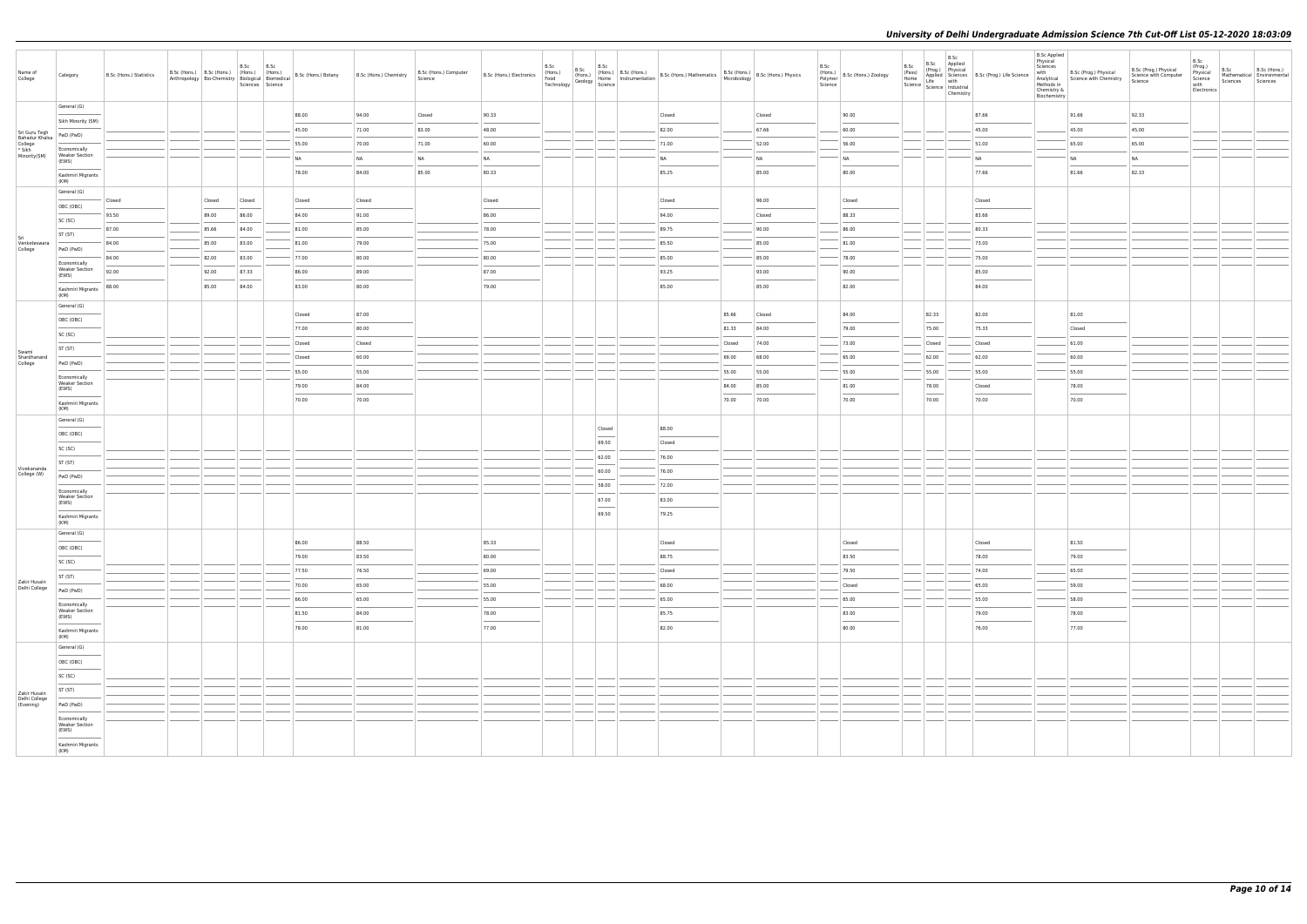| Name of<br>College                                   | Category                                       | B.Sc (Hons.) Statistics | B.Sc (Hons.) B.Sc (Hons.) (Hons.) (Hons.) | Anthropology Bio-Chemistry Biological Biomedical | B.Sc   | B.Sc<br>Sciences Science | B.Sc (Hons.) Botany | B.Sc (Hons.) Chemistry | B.Sc (Hons.) Computer<br>Science | B.Sc (Hons.) Electronics | B.Sc<br>(Hons.)<br>Food<br>Technology | B.Sc<br>B.Sc<br>$\begin{array}{ c c c c c c c } \hline \text{B.Sc} & \text{(Hons.)} & \text{(Hons.)} & \text{B.Sc (Hons.)} \\ \text{(Hons.)} & \text{Home} & \text{Instrumentation} & \text{matrix} \\\hline \end{array}$<br>$\therefore$ Geology $\frac{1}{\text{Science}}$                                                                                                                                                                                                         | $\overline{\mathsf{B}.\mathsf{Sc}}$ (Hons.) Mathematics $\begin{array}{ l l }\n\hline\n\text{B}.\mathsf{Sc}(\text{Hons.}) & \text{B}.\mathsf{Sc}(\text{Hons.})\n\end{array}$ R.Sc (Hons.) Physics |        |        | B.Sc<br>Polymer<br>Science | (Hons.) B.Sc (Hons.) Zoology | B.Sc<br>(Pass)<br>Home | B.Sc<br>B.Sc Applied<br>(Prog.) Physical<br>Home<br>Science Life with<br>Science Industrial<br>Chemistry                                                                                                                                                                                                                                                                                                                                                                            | Applied Sciences B.Sc (Prog.) Life Science | <b>B.Sc Applied</b><br>Physical<br>Sciences<br>with<br>Analytical<br>Methods in<br>Chemistry &<br>Biochemistry | B.Sc (Prog.) Physical<br>Science with Chemistry | B.Sc (Prog.) Physical<br>Science with Computer<br>Science | B.Sc<br>(Prog.)<br>B.Sc<br>Physical<br>Science<br>with<br>Electronics | B.Sc (Hons.)<br>Mathematical Environmental<br>Sciences<br>Sciences |
|------------------------------------------------------|------------------------------------------------|-------------------------|-------------------------------------------|--------------------------------------------------|--------|--------------------------|---------------------|------------------------|----------------------------------|--------------------------|---------------------------------------|--------------------------------------------------------------------------------------------------------------------------------------------------------------------------------------------------------------------------------------------------------------------------------------------------------------------------------------------------------------------------------------------------------------------------------------------------------------------------------------|---------------------------------------------------------------------------------------------------------------------------------------------------------------------------------------------------|--------|--------|----------------------------|------------------------------|------------------------|-------------------------------------------------------------------------------------------------------------------------------------------------------------------------------------------------------------------------------------------------------------------------------------------------------------------------------------------------------------------------------------------------------------------------------------------------------------------------------------|--------------------------------------------|----------------------------------------------------------------------------------------------------------------|-------------------------------------------------|-----------------------------------------------------------|-----------------------------------------------------------------------|--------------------------------------------------------------------|
|                                                      | General (G)                                    |                         |                                           |                                                  |        |                          | 88.00               | 94.00                  | Closed                           | 90.33                    |                                       |                                                                                                                                                                                                                                                                                                                                                                                                                                                                                      | Closed                                                                                                                                                                                            |        | Closed |                            | 90.00                        |                        |                                                                                                                                                                                                                                                                                                                                                                                                                                                                                     | 87.66                                      |                                                                                                                | 91.66                                           | 92.33                                                     |                                                                       |                                                                    |
|                                                      | Sikh Minority (SM)                             |                         |                                           |                                                  |        |                          | 45.00               | 71.00                  | 83.00                            | 48.00                    |                                       |                                                                                                                                                                                                                                                                                                                                                                                                                                                                                      | 82.00                                                                                                                                                                                             |        | 67.66  |                            | 60.00                        |                        |                                                                                                                                                                                                                                                                                                                                                                                                                                                                                     | 45.00                                      |                                                                                                                | 45.00                                           | 45.00                                                     |                                                                       |                                                                    |
| Sri Guru Tegh<br>Bahadur Khalsa<br>College<br>* Sikh | PwD (PwD)                                      |                         |                                           |                                                  |        |                          | 55.00               | 70.00                  | 71.00                            | 60.00                    |                                       |                                                                                                                                                                                                                                                                                                                                                                                                                                                                                      | 71.00                                                                                                                                                                                             |        | 52.00  |                            | 56.00                        |                        |                                                                                                                                                                                                                                                                                                                                                                                                                                                                                     | 51.00                                      |                                                                                                                | 65.00                                           | 65.00                                                     |                                                                       |                                                                    |
| Minority(SM)                                         | Economically<br><b>Weaker Section</b>          |                         |                                           |                                                  |        |                          | NA                  | <b>NA</b>              | NA                               | <b>NA</b>                |                                       |                                                                                                                                                                                                                                                                                                                                                                                                                                                                                      | <b>NA</b>                                                                                                                                                                                         |        | NA     |                            | <b>NA</b>                    |                        |                                                                                                                                                                                                                                                                                                                                                                                                                                                                                     | <b>NA</b>                                  |                                                                                                                | NA                                              | <b>NA</b>                                                 |                                                                       |                                                                    |
|                                                      | (EWS)<br>Kashmiri Migrants                     |                         |                                           |                                                  |        |                          | 78.00               | 84.00                  | 85.00                            | 80.33                    |                                       |                                                                                                                                                                                                                                                                                                                                                                                                                                                                                      | 85.25                                                                                                                                                                                             |        | 85.00  |                            | 80.00                        |                        |                                                                                                                                                                                                                                                                                                                                                                                                                                                                                     | 77.66                                      |                                                                                                                | 81.66                                           | 82.33                                                     |                                                                       |                                                                    |
|                                                      | (KM)                                           |                         |                                           |                                                  |        |                          |                     |                        |                                  |                          |                                       |                                                                                                                                                                                                                                                                                                                                                                                                                                                                                      |                                                                                                                                                                                                   |        |        |                            |                              |                        |                                                                                                                                                                                                                                                                                                                                                                                                                                                                                     |                                            |                                                                                                                |                                                 |                                                           |                                                                       |                                                                    |
|                                                      | General (G)                                    | Closed                  |                                           | Closed                                           | Closed |                          | Closed              | Closed                 |                                  | Closed                   |                                       |                                                                                                                                                                                                                                                                                                                                                                                                                                                                                      | Closed                                                                                                                                                                                            |        | 96.00  |                            | Closed                       |                        |                                                                                                                                                                                                                                                                                                                                                                                                                                                                                     | Closed                                     |                                                                                                                |                                                 |                                                           |                                                                       |                                                                    |
|                                                      | OBC (OBC)                                      | 93.50                   |                                           | 89.00                                            | 86.00  |                          | 84.00               | 91.00                  |                                  | 86.00                    |                                       |                                                                                                                                                                                                                                                                                                                                                                                                                                                                                      | 94.00                                                                                                                                                                                             |        | Closed |                            | 88.33                        |                        |                                                                                                                                                                                                                                                                                                                                                                                                                                                                                     | 83.66                                      |                                                                                                                |                                                 |                                                           |                                                                       |                                                                    |
|                                                      | SC (SC)                                        | 87.00                   |                                           | 85.66                                            | 84.00  |                          | 81.00               | 85.00                  |                                  | 78.00                    |                                       |                                                                                                                                                                                                                                                                                                                                                                                                                                                                                      | 89.75                                                                                                                                                                                             |        | 90.00  |                            | 86.00                        |                        |                                                                                                                                                                                                                                                                                                                                                                                                                                                                                     | 80.33                                      |                                                                                                                |                                                 |                                                           |                                                                       |                                                                    |
| Sri<br>Venketeswara                                  | ST (ST)                                        | 84.00                   |                                           | 85.00                                            | 83.00  |                          | 81.00               | 79.00                  |                                  | 75.00                    |                                       |                                                                                                                                                                                                                                                                                                                                                                                                                                                                                      | 85.50                                                                                                                                                                                             |        | 85.00  |                            | 81.00                        |                        |                                                                                                                                                                                                                                                                                                                                                                                                                                                                                     | 73.00                                      |                                                                                                                |                                                 |                                                           |                                                                       |                                                                    |
| College                                              | PwD (PwD)                                      | 84.00                   |                                           | 82.00                                            | 83.00  |                          | 77.00               | 80.00                  |                                  | 80.00                    |                                       |                                                                                                                                                                                                                                                                                                                                                                                                                                                                                      | 85.00                                                                                                                                                                                             |        | 85.00  |                            | 78.00                        |                        |                                                                                                                                                                                                                                                                                                                                                                                                                                                                                     | 75.00                                      |                                                                                                                |                                                 |                                                           |                                                                       |                                                                    |
|                                                      | Economically<br><b>Weaker Section</b><br>(EWS) | 92.00                   |                                           | 92.00                                            | 87.33  |                          | 86.00               | 89.00                  |                                  | 87.00                    |                                       |                                                                                                                                                                                                                                                                                                                                                                                                                                                                                      | 93.25                                                                                                                                                                                             |        | 93.00  |                            | 90.00                        |                        |                                                                                                                                                                                                                                                                                                                                                                                                                                                                                     | 85.00                                      |                                                                                                                |                                                 |                                                           |                                                                       |                                                                    |
|                                                      | Kashmiri Migrants                              | 88.00                   |                                           | 85.00                                            | 84.00  |                          | 83.00               | 80.00                  |                                  | 79.00                    |                                       |                                                                                                                                                                                                                                                                                                                                                                                                                                                                                      | 85.00                                                                                                                                                                                             |        | 85.00  |                            | 82.00                        |                        |                                                                                                                                                                                                                                                                                                                                                                                                                                                                                     | 84.00                                      |                                                                                                                |                                                 |                                                           |                                                                       |                                                                    |
|                                                      | (KM)<br>General (G)                            |                         |                                           |                                                  |        |                          |                     |                        |                                  |                          |                                       |                                                                                                                                                                                                                                                                                                                                                                                                                                                                                      |                                                                                                                                                                                                   |        |        |                            |                              |                        |                                                                                                                                                                                                                                                                                                                                                                                                                                                                                     |                                            |                                                                                                                |                                                 |                                                           |                                                                       |                                                                    |
|                                                      | OBC (OBC)                                      |                         |                                           |                                                  |        |                          | Closed              | 87.00                  |                                  |                          |                                       |                                                                                                                                                                                                                                                                                                                                                                                                                                                                                      |                                                                                                                                                                                                   | 85.66  | Closed |                            | 84.00                        |                        | 82.33                                                                                                                                                                                                                                                                                                                                                                                                                                                                               | 82.00                                      |                                                                                                                | 81.00                                           |                                                           |                                                                       |                                                                    |
|                                                      | SC (SC)                                        |                         |                                           |                                                  |        |                          | 77.00               | 80.00                  |                                  |                          |                                       |                                                                                                                                                                                                                                                                                                                                                                                                                                                                                      |                                                                                                                                                                                                   | 81.33  | 84.00  |                            | 79.00                        |                        | 75.00                                                                                                                                                                                                                                                                                                                                                                                                                                                                               | 75.33                                      |                                                                                                                | Closed                                          |                                                           |                                                                       |                                                                    |
|                                                      | ST (ST)                                        |                         |                                           |                                                  |        |                          | Closed              | Closed                 |                                  |                          |                                       |                                                                                                                                                                                                                                                                                                                                                                                                                                                                                      |                                                                                                                                                                                                   | Closed | 74.00  |                            | 73.00                        |                        | Closed                                                                                                                                                                                                                                                                                                                                                                                                                                                                              | Closed                                     |                                                                                                                | 61.00                                           |                                                           |                                                                       |                                                                    |
| Swami<br>Shardhanand<br>College                      | PwD (PwD)                                      |                         |                                           |                                                  |        |                          | Closed              | 60.00                  |                                  |                          |                                       |                                                                                                                                                                                                                                                                                                                                                                                                                                                                                      |                                                                                                                                                                                                   | 69.00  | 68.00  |                            | 65.00                        |                        | 62.00                                                                                                                                                                                                                                                                                                                                                                                                                                                                               | 62.00                                      |                                                                                                                | 60.00                                           |                                                           |                                                                       |                                                                    |
|                                                      | Economically                                   |                         |                                           |                                                  |        |                          | 55.00               | 55.00                  |                                  |                          |                                       |                                                                                                                                                                                                                                                                                                                                                                                                                                                                                      |                                                                                                                                                                                                   | 55.00  | 55.00  |                            | 55.00                        |                        | 55.00                                                                                                                                                                                                                                                                                                                                                                                                                                                                               | 55.00                                      |                                                                                                                | 55.00                                           |                                                           |                                                                       |                                                                    |
|                                                      | <b>Weaker Section</b><br>(EWS)                 |                         |                                           |                                                  |        |                          | 79.00               | 84.00                  |                                  |                          |                                       |                                                                                                                                                                                                                                                                                                                                                                                                                                                                                      |                                                                                                                                                                                                   | 84.00  | 85.00  |                            | 81.00                        |                        | 78.00<br>$\frac{1}{2} \left( \frac{1}{2} \right) \left( \frac{1}{2} \right) \left( \frac{1}{2} \right) \left( \frac{1}{2} \right) \left( \frac{1}{2} \right) \left( \frac{1}{2} \right) \left( \frac{1}{2} \right) \left( \frac{1}{2} \right) \left( \frac{1}{2} \right) \left( \frac{1}{2} \right) \left( \frac{1}{2} \right) \left( \frac{1}{2} \right) \left( \frac{1}{2} \right) \left( \frac{1}{2} \right) \left( \frac{1}{2} \right) \left( \frac{1}{2} \right) \left( \frac$ | Closed                                     |                                                                                                                | 78.00                                           |                                                           |                                                                       |                                                                    |
|                                                      | Kashmiri Migrants<br>(KM)                      |                         |                                           |                                                  |        |                          | 70.00               | 70.00                  |                                  |                          |                                       |                                                                                                                                                                                                                                                                                                                                                                                                                                                                                      |                                                                                                                                                                                                   | 70.00  | 70.00  |                            | 70.00                        |                        | 70.00                                                                                                                                                                                                                                                                                                                                                                                                                                                                               | 70.00                                      |                                                                                                                | 70.00                                           |                                                           |                                                                       |                                                                    |
|                                                      | General (G)                                    |                         |                                           |                                                  |        |                          |                     |                        |                                  |                          |                                       |                                                                                                                                                                                                                                                                                                                                                                                                                                                                                      |                                                                                                                                                                                                   |        |        |                            |                              |                        |                                                                                                                                                                                                                                                                                                                                                                                                                                                                                     |                                            |                                                                                                                |                                                 |                                                           |                                                                       |                                                                    |
|                                                      | OBC (OBC)                                      |                         |                                           |                                                  |        |                          |                     |                        |                                  |                          |                                       | Closed<br>$\frac{1}{2} \left( \frac{1}{2} \right) \left( \frac{1}{2} \right) \left( \frac{1}{2} \right) \left( \frac{1}{2} \right) \left( \frac{1}{2} \right) \left( \frac{1}{2} \right) \left( \frac{1}{2} \right) \left( \frac{1}{2} \right) \left( \frac{1}{2} \right) \left( \frac{1}{2} \right) \left( \frac{1}{2} \right) \left( \frac{1}{2} \right) \left( \frac{1}{2} \right) \left( \frac{1}{2} \right) \left( \frac{1}{2} \right) \left( \frac{1}{2} \right) \left( \frac$ | 88.00                                                                                                                                                                                             |        |        |                            |                              |                        |                                                                                                                                                                                                                                                                                                                                                                                                                                                                                     |                                            |                                                                                                                |                                                 |                                                           |                                                                       |                                                                    |
|                                                      | SC (SC)                                        |                         |                                           |                                                  |        |                          |                     |                        |                                  |                          |                                       | 69.50                                                                                                                                                                                                                                                                                                                                                                                                                                                                                | Closed                                                                                                                                                                                            |        |        |                            |                              |                        |                                                                                                                                                                                                                                                                                                                                                                                                                                                                                     |                                            |                                                                                                                |                                                 |                                                           |                                                                       |                                                                    |
|                                                      | ST (ST)                                        |                         |                                           |                                                  |        |                          |                     |                        |                                  |                          |                                       | 62.00                                                                                                                                                                                                                                                                                                                                                                                                                                                                                | 76.00                                                                                                                                                                                             |        |        |                            |                              |                        |                                                                                                                                                                                                                                                                                                                                                                                                                                                                                     |                                            |                                                                                                                |                                                 |                                                           |                                                                       |                                                                    |
| Vivekananda<br>College (W)                           | PwD (PwD)                                      |                         |                                           |                                                  |        |                          |                     |                        |                                  |                          |                                       | 60.00                                                                                                                                                                                                                                                                                                                                                                                                                                                                                | 76.00                                                                                                                                                                                             |        |        |                            |                              |                        |                                                                                                                                                                                                                                                                                                                                                                                                                                                                                     |                                            |                                                                                                                |                                                 |                                                           |                                                                       |                                                                    |
|                                                      | Economically                                   |                         |                                           |                                                  |        |                          |                     |                        |                                  |                          |                                       | 58.00                                                                                                                                                                                                                                                                                                                                                                                                                                                                                | 72.00                                                                                                                                                                                             |        |        |                            |                              |                        |                                                                                                                                                                                                                                                                                                                                                                                                                                                                                     |                                            |                                                                                                                |                                                 |                                                           |                                                                       |                                                                    |
|                                                      | <b>Weaker Section</b><br>(EWS)                 |                         |                                           |                                                  |        |                          |                     |                        |                                  |                          |                                       | 67.00                                                                                                                                                                                                                                                                                                                                                                                                                                                                                | 83.00                                                                                                                                                                                             |        |        |                            |                              |                        |                                                                                                                                                                                                                                                                                                                                                                                                                                                                                     |                                            |                                                                                                                |                                                 |                                                           |                                                                       |                                                                    |
|                                                      | Kashmiri Migrants<br>(KM)                      |                         |                                           |                                                  |        |                          |                     |                        |                                  |                          |                                       | 69.50                                                                                                                                                                                                                                                                                                                                                                                                                                                                                | 79.25                                                                                                                                                                                             |        |        |                            |                              |                        |                                                                                                                                                                                                                                                                                                                                                                                                                                                                                     |                                            |                                                                                                                |                                                 |                                                           |                                                                       |                                                                    |
|                                                      | General (G)                                    |                         |                                           |                                                  |        |                          |                     |                        |                                  |                          |                                       |                                                                                                                                                                                                                                                                                                                                                                                                                                                                                      |                                                                                                                                                                                                   |        |        |                            |                              |                        |                                                                                                                                                                                                                                                                                                                                                                                                                                                                                     |                                            |                                                                                                                |                                                 |                                                           |                                                                       |                                                                    |
|                                                      | OBC (OBC)                                      |                         |                                           |                                                  |        |                          | 86.00               | 88.50                  |                                  | 85.33                    |                                       |                                                                                                                                                                                                                                                                                                                                                                                                                                                                                      | Closed                                                                                                                                                                                            |        |        |                            | Closed                       |                        |                                                                                                                                                                                                                                                                                                                                                                                                                                                                                     | Closed                                     |                                                                                                                | 81.50                                           |                                                           |                                                                       |                                                                    |
|                                                      | SC (SC)                                        |                         |                                           |                                                  |        |                          | 79.00               | 83.50                  |                                  | 80.00                    |                                       |                                                                                                                                                                                                                                                                                                                                                                                                                                                                                      | 88.75                                                                                                                                                                                             |        |        |                            | 83.50                        |                        |                                                                                                                                                                                                                                                                                                                                                                                                                                                                                     | 78.00                                      |                                                                                                                | 79.00                                           |                                                           |                                                                       |                                                                    |
| Zakir Husain                                         | ST (ST)                                        |                         |                                           |                                                  |        |                          | 77.50               | 76.50                  |                                  | 69.00                    |                                       |                                                                                                                                                                                                                                                                                                                                                                                                                                                                                      | Closed                                                                                                                                                                                            |        |        |                            | 79.50                        |                        |                                                                                                                                                                                                                                                                                                                                                                                                                                                                                     | 74.00                                      |                                                                                                                | 65.00                                           |                                                           |                                                                       |                                                                    |
| Delhi College                                        | PwD (PwD)                                      |                         |                                           |                                                  |        |                          | 70.00               | 65.00                  |                                  | 55.00                    |                                       |                                                                                                                                                                                                                                                                                                                                                                                                                                                                                      | 68.00                                                                                                                                                                                             |        |        |                            | Closed                       |                        |                                                                                                                                                                                                                                                                                                                                                                                                                                                                                     | 65.00                                      |                                                                                                                | 59.00                                           |                                                           |                                                                       |                                                                    |
|                                                      | Economically<br><b>Weaker Section</b>          |                         |                                           |                                                  |        |                          | 66.00               | 65.00                  |                                  | 55.00                    |                                       |                                                                                                                                                                                                                                                                                                                                                                                                                                                                                      | 65.00                                                                                                                                                                                             |        |        |                            | 65.00                        |                        |                                                                                                                                                                                                                                                                                                                                                                                                                                                                                     | 55.00                                      |                                                                                                                | 58.00                                           |                                                           |                                                                       |                                                                    |
|                                                      | (EWS)<br>$\sim$                                |                         |                                           |                                                  |        |                          | 81.50               | 84.00                  |                                  | 78.00                    |                                       |                                                                                                                                                                                                                                                                                                                                                                                                                                                                                      | 85.75                                                                                                                                                                                             |        |        |                            | 83.00                        |                        |                                                                                                                                                                                                                                                                                                                                                                                                                                                                                     | 79.00                                      |                                                                                                                | 78.00                                           |                                                           |                                                                       |                                                                    |
|                                                      | Kashmiri Migrants<br>(KM)                      |                         |                                           |                                                  |        |                          | 78.00               | 81.00                  |                                  | 77.00                    |                                       |                                                                                                                                                                                                                                                                                                                                                                                                                                                                                      | 82.00                                                                                                                                                                                             |        |        |                            | 80.00                        |                        |                                                                                                                                                                                                                                                                                                                                                                                                                                                                                     | 76.00                                      |                                                                                                                | 77.00                                           |                                                           |                                                                       |                                                                    |
|                                                      | General (G)                                    |                         |                                           |                                                  |        |                          |                     |                        |                                  |                          |                                       |                                                                                                                                                                                                                                                                                                                                                                                                                                                                                      |                                                                                                                                                                                                   |        |        |                            |                              |                        |                                                                                                                                                                                                                                                                                                                                                                                                                                                                                     |                                            |                                                                                                                |                                                 |                                                           |                                                                       |                                                                    |
|                                                      | OBC (OBC)                                      |                         |                                           |                                                  |        |                          |                     |                        |                                  |                          |                                       |                                                                                                                                                                                                                                                                                                                                                                                                                                                                                      |                                                                                                                                                                                                   |        |        |                            |                              |                        |                                                                                                                                                                                                                                                                                                                                                                                                                                                                                     |                                            |                                                                                                                |                                                 |                                                           |                                                                       |                                                                    |
|                                                      | SC (SC)                                        |                         |                                           |                                                  |        |                          |                     |                        |                                  |                          |                                       |                                                                                                                                                                                                                                                                                                                                                                                                                                                                                      |                                                                                                                                                                                                   |        |        |                            |                              |                        |                                                                                                                                                                                                                                                                                                                                                                                                                                                                                     |                                            |                                                                                                                |                                                 |                                                           |                                                                       |                                                                    |
| Zakir Husain                                         | ST (ST)                                        |                         |                                           |                                                  |        |                          |                     |                        |                                  |                          |                                       |                                                                                                                                                                                                                                                                                                                                                                                                                                                                                      |                                                                                                                                                                                                   |        |        |                            |                              |                        |                                                                                                                                                                                                                                                                                                                                                                                                                                                                                     |                                            |                                                                                                                |                                                 |                                                           |                                                                       |                                                                    |
| Delhi College<br>(Evening)                           | PwD (PwD)                                      |                         |                                           |                                                  |        |                          |                     |                        |                                  |                          |                                       |                                                                                                                                                                                                                                                                                                                                                                                                                                                                                      |                                                                                                                                                                                                   |        |        |                            |                              |                        |                                                                                                                                                                                                                                                                                                                                                                                                                                                                                     |                                            |                                                                                                                |                                                 |                                                           |                                                                       |                                                                    |
|                                                      | Economically<br><b>Weaker Section</b>          |                         |                                           |                                                  |        |                          |                     |                        |                                  |                          |                                       |                                                                                                                                                                                                                                                                                                                                                                                                                                                                                      |                                                                                                                                                                                                   |        |        |                            |                              |                        |                                                                                                                                                                                                                                                                                                                                                                                                                                                                                     |                                            |                                                                                                                |                                                 |                                                           |                                                                       |                                                                    |
|                                                      | (EWS)                                          |                         |                                           |                                                  |        |                          |                     |                        |                                  |                          |                                       |                                                                                                                                                                                                                                                                                                                                                                                                                                                                                      |                                                                                                                                                                                                   |        |        |                            |                              |                        |                                                                                                                                                                                                                                                                                                                                                                                                                                                                                     |                                            |                                                                                                                |                                                 |                                                           |                                                                       |                                                                    |
|                                                      | Kashmiri Migrants<br>(KM)                      |                         |                                           |                                                  |        |                          |                     |                        |                                  |                          |                                       |                                                                                                                                                                                                                                                                                                                                                                                                                                                                                      |                                                                                                                                                                                                   |        |        |                            |                              |                        |                                                                                                                                                                                                                                                                                                                                                                                                                                                                                     |                                            |                                                                                                                |                                                 |                                                           |                                                                       |                                                                    |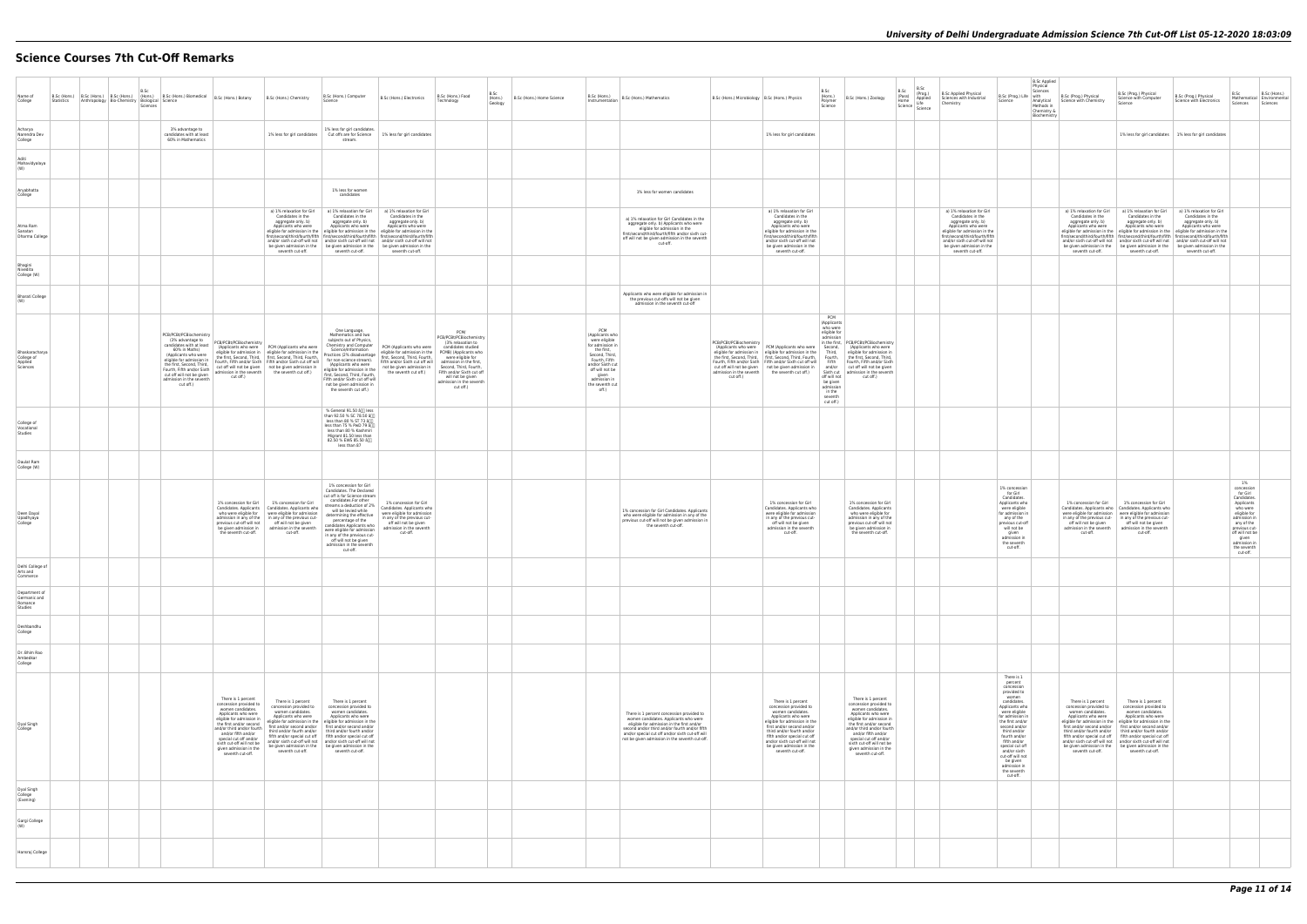# **Science Courses 7th Cut-Off Remarks**

| Name of<br>College<br>Statistics                    | Anthropology Bio-Chemistry Biological Science | B.Sc<br>Sciences |                                                                                                                                                                                                                                                                                | B.Sc (Hons.) B.Sc (Hons.) B.Sc (Hons.) B.Sc (Hons.) B.Sc (Hons.) Biomedical B.Sc (Hons.) Botany B.Sc (Hons.) Chemistry                                                                                                                                                                                                                                                                                                                                   | B.Sc (Hons.) Computer<br>Science                                                                                                                                                                                                                                                                                                                                                                                                                                                              | B.Sc (Hons.) Electronics                                                                                                                                                            | B.Sc<br>B.Sc (Hons.) Food<br>(Hons.)<br>Technology<br>Geology                                                                                                                                                                                                             | B.Sc (Hons.) Home Science | $\begin{array}{ l } \hline \texttt{b.bC (HONS.)} \\ \hline \texttt{Instrumentation} & \texttt{B.SC (Hons.) Mathematics} \end{array}$                                                                                                                                                     | B.Sc (Hons.) Microbiology   B.Sc (Hons.) Physics |                                                                                                                                                                                                                                                                                                                                                | B.Sc<br>(Hons.)<br>Polymer<br>Science                                                                                                                                                     | B.Sc (Hons.) Zoology                                                                                                                                                                                                                                                                                       | B.Sc<br>B.Sc<br>(Prog.)<br>Applied<br>Life<br>(Pass)<br>Home<br>Science Science | B.Sc Applied Physical<br>Sciences with Industrial<br>Chemistry                                                                                                                                                                                    | <b>B.Sc Applied</b><br>Physical<br>Sciences<br>B.Sc (Prog.) Life   with<br>Science<br>Methods in<br>Chemistry &<br>Biochemistry                                                                                                                                                                                                       | B.Sc (Prog.) Physical<br>Analytical Science with Chemistry                                                   | B.Sc (Prog.) Physical<br>Science with Computer<br>Science                                                                                                                                                                                                                                                                                                                                                                                                                                                                   | B.Sc (Prog.) Physical<br>Science with Electronics                                                               | B.Sc<br>Mathematical Environmental<br>Sciences Sciences                                                                                                                                                     | B.Sc (Hons.) |
|-----------------------------------------------------|-----------------------------------------------|------------------|--------------------------------------------------------------------------------------------------------------------------------------------------------------------------------------------------------------------------------------------------------------------------------|----------------------------------------------------------------------------------------------------------------------------------------------------------------------------------------------------------------------------------------------------------------------------------------------------------------------------------------------------------------------------------------------------------------------------------------------------------|-----------------------------------------------------------------------------------------------------------------------------------------------------------------------------------------------------------------------------------------------------------------------------------------------------------------------------------------------------------------------------------------------------------------------------------------------------------------------------------------------|-------------------------------------------------------------------------------------------------------------------------------------------------------------------------------------|---------------------------------------------------------------------------------------------------------------------------------------------------------------------------------------------------------------------------------------------------------------------------|---------------------------|------------------------------------------------------------------------------------------------------------------------------------------------------------------------------------------------------------------------------------------------------------------------------------------|--------------------------------------------------|------------------------------------------------------------------------------------------------------------------------------------------------------------------------------------------------------------------------------------------------------------------------------------------------------------------------------------------------|-------------------------------------------------------------------------------------------------------------------------------------------------------------------------------------------|------------------------------------------------------------------------------------------------------------------------------------------------------------------------------------------------------------------------------------------------------------------------------------------------------------|---------------------------------------------------------------------------------|---------------------------------------------------------------------------------------------------------------------------------------------------------------------------------------------------------------------------------------------------|---------------------------------------------------------------------------------------------------------------------------------------------------------------------------------------------------------------------------------------------------------------------------------------------------------------------------------------|--------------------------------------------------------------------------------------------------------------|-----------------------------------------------------------------------------------------------------------------------------------------------------------------------------------------------------------------------------------------------------------------------------------------------------------------------------------------------------------------------------------------------------------------------------------------------------------------------------------------------------------------------------|-----------------------------------------------------------------------------------------------------------------|-------------------------------------------------------------------------------------------------------------------------------------------------------------------------------------------------------------|--------------|
| Acharya<br>Narendra Dev<br>College                  |                                               |                  | 3% advantage to<br>candidates with at least<br>60% in Mathematics                                                                                                                                                                                                              |                                                                                                                                                                                                                                                                                                                                                                                                                                                          | 1% less for girl candidates.<br>1% less for girl candidates  Cut offs are for Science<br>stream.                                                                                                                                                                                                                                                                                                                                                                                              | 1% less for girl candidates                                                                                                                                                         |                                                                                                                                                                                                                                                                           |                           |                                                                                                                                                                                                                                                                                          |                                                  | 1% less for girl candidates                                                                                                                                                                                                                                                                                                                    |                                                                                                                                                                                           |                                                                                                                                                                                                                                                                                                            |                                                                                 |                                                                                                                                                                                                                                                   |                                                                                                                                                                                                                                                                                                                                       |                                                                                                              |                                                                                                                                                                                                                                                                                                                                                                                                                                                                                                                             | 1% less for girl candidates   1% less for girl candidates                                                       |                                                                                                                                                                                                             |              |
| Aditi<br>Mahavidyalaya<br>(W)                       |                                               |                  |                                                                                                                                                                                                                                                                                |                                                                                                                                                                                                                                                                                                                                                                                                                                                          |                                                                                                                                                                                                                                                                                                                                                                                                                                                                                               |                                                                                                                                                                                     |                                                                                                                                                                                                                                                                           |                           |                                                                                                                                                                                                                                                                                          |                                                  |                                                                                                                                                                                                                                                                                                                                                |                                                                                                                                                                                           |                                                                                                                                                                                                                                                                                                            |                                                                                 |                                                                                                                                                                                                                                                   |                                                                                                                                                                                                                                                                                                                                       |                                                                                                              |                                                                                                                                                                                                                                                                                                                                                                                                                                                                                                                             |                                                                                                                 |                                                                                                                                                                                                             |              |
| Aryabhatta<br>College                               |                                               |                  |                                                                                                                                                                                                                                                                                |                                                                                                                                                                                                                                                                                                                                                                                                                                                          | 1% less for women<br>candidates                                                                                                                                                                                                                                                                                                                                                                                                                                                               |                                                                                                                                                                                     |                                                                                                                                                                                                                                                                           |                           | 1% less for women candidates                                                                                                                                                                                                                                                             |                                                  |                                                                                                                                                                                                                                                                                                                                                |                                                                                                                                                                                           |                                                                                                                                                                                                                                                                                                            |                                                                                 |                                                                                                                                                                                                                                                   |                                                                                                                                                                                                                                                                                                                                       |                                                                                                              |                                                                                                                                                                                                                                                                                                                                                                                                                                                                                                                             |                                                                                                                 |                                                                                                                                                                                                             |              |
| Atma Ram<br>Sanatan<br>Dharma College               |                                               |                  |                                                                                                                                                                                                                                                                                | a) 1% relaxation for Girl<br>Candidates in the<br>aggregate only. b)<br>Applicants who were<br>seventh cut-off.                                                                                                                                                                                                                                                                                                                                          | a) 1% relaxation for Girl<br>Candidates in the<br>aggregate only. b)<br>Applicants who were<br>eligible for admission in the eligible for admission in the eligible for admission in the<br>first/second/third/fourth/fifth first/second/third/fourth/fifth first/second/third/fourth/fifth<br>and/or sixth cut-off will not and/or sixth cut-off will not and/or sixth cut-off will not<br>be given admission in the be given admission in the be given admission in the<br>seventh cut-off. | a) 1% relaxation for Girl<br>Candidates in the<br>aggregate only. b)<br>Applicants who were<br>seventh cut-off.                                                                     |                                                                                                                                                                                                                                                                           |                           | a) 1% relaxation for Girl Candidates in the<br>aggregate only. b) Applicants who were<br>eligible for admission in the<br>first/second/third/fourth/fifth and/or sixth cut-<br>off will not be given admission in the seventh<br>cut-off.                                                |                                                  | a) 1% relaxation for Girl<br>Candidates in the<br>aggregate only. b)<br>Applicants who were<br>eligible for admission in the<br>first/second/third/fourth/fifth<br>and/or sixth cut-off will not<br>be given admission in the<br>seventh cut-off.                                                                                              |                                                                                                                                                                                           |                                                                                                                                                                                                                                                                                                            |                                                                                 | a) 1% relaxation for Girl<br>Candidates in the<br>aggregate only. b)<br>Applicants who were<br>eligible for admission in the<br>first/second/third/fourth/fifth<br>and/or sixth cut-off will not<br>be given admission in the<br>seventh cut-off. |                                                                                                                                                                                                                                                                                                                                       | Candidates in the<br>aggregate only. b)<br>Applicants who were<br>seventh cut-off.                           | a) 1% relaxation for Girl a) 1% relaxation for Girl<br>Candidates in the<br>aggregate only. b)<br>Applicants who were<br>eligible for admission in the eligible for admission in the eligible for admission in the<br>first/second/third/fourth/fifth first/second/third/fourth/fifth first/second/third/fourth/fifth<br>and/or sixth cut-off will not   and/or sixth cut-off will not   and/or sixth cut-off will not<br>be given admission in the be given admission in the be given admission in the<br>seventh cut-off. | a) 1% relaxation for Girl<br>Candidates in the<br>aggregate only. b)<br>Applicants who were<br>seventh cut-off. |                                                                                                                                                                                                             |              |
| Bhagini<br>Nivedita<br>College (W)                  |                                               |                  |                                                                                                                                                                                                                                                                                |                                                                                                                                                                                                                                                                                                                                                                                                                                                          |                                                                                                                                                                                                                                                                                                                                                                                                                                                                                               |                                                                                                                                                                                     |                                                                                                                                                                                                                                                                           |                           |                                                                                                                                                                                                                                                                                          |                                                  |                                                                                                                                                                                                                                                                                                                                                |                                                                                                                                                                                           |                                                                                                                                                                                                                                                                                                            |                                                                                 |                                                                                                                                                                                                                                                   |                                                                                                                                                                                                                                                                                                                                       |                                                                                                              |                                                                                                                                                                                                                                                                                                                                                                                                                                                                                                                             |                                                                                                                 |                                                                                                                                                                                                             |              |
| <b>Bharati College</b>                              |                                               |                  |                                                                                                                                                                                                                                                                                |                                                                                                                                                                                                                                                                                                                                                                                                                                                          |                                                                                                                                                                                                                                                                                                                                                                                                                                                                                               |                                                                                                                                                                                     |                                                                                                                                                                                                                                                                           |                           | Applicants who were eligible for admission in<br>the previous cut-offs will not be given<br>admission in the seventh cut-off                                                                                                                                                             |                                                  |                                                                                                                                                                                                                                                                                                                                                |                                                                                                                                                                                           |                                                                                                                                                                                                                                                                                                            |                                                                                 |                                                                                                                                                                                                                                                   |                                                                                                                                                                                                                                                                                                                                       |                                                                                                              |                                                                                                                                                                                                                                                                                                                                                                                                                                                                                                                             |                                                                                                                 |                                                                                                                                                                                                             |              |
| Bhaskaracharya<br>College of<br>Applied<br>Sciences |                                               |                  | PCB/PCBt/PCBiochemistry<br>(3% advantage to<br>candidates with at least<br>60% in Maths)<br>(Applicants who were<br>eligible for admission in<br>the first. Second. Third.<br>Fourth, Fifth and/or Sixth<br>cut off will not be given<br>admission in the seventh<br>cut off.) | PCB/PCBt/PCBiochemistry<br>(Applicants who were   PCM (Applicants who were<br>eligible for admission in   eligible for admission in the<br>the first, Second, Third,   first, Second, Third, Fourth,<br>Fourth, Fifth and/or Sixth Fifth and/or Sixth cut off will<br>cut off will not be given   not be given admission in<br>admission in the seventh the seventh cut off.)<br>cut off.)                                                               | One Language,<br>Mathematics and two<br>subjects out of Physics,<br>Chemistry and Computer<br>Science/Information<br>Practices (2% disadvantage<br>for non-science stream).<br>(Applicants who were<br>eligible for admission in the<br>first, Second, Third, Fourth,<br>Fifth and/or Sixth cut off will<br>not be given admission in<br>the seventh cut off.)                                                                                                                                | PCM (Applicants who were<br>eligible for admission in the<br>first, Second, Third, Fourth,<br>Fifth and/or Sixth cut off will<br>not be given admission in<br>the seventh cut off.) | PCM/<br>PCB/PCBt/PCBiochemistry<br>(3% relaxation to<br>candidates studied<br>PCMB) (Applicants who<br>were eligible for<br>admission in the first,<br>Second, Third, Fourth,<br>Fifth and/or Sixth cut off<br>will not be given<br>admission in the seventh<br>cut off.) |                           | PCM<br>(Applicants who<br>were eligible<br>for admission in<br>the first.<br>Second, Third.<br>Fourth, Fifth<br>and/or Sixth cut<br>off will not be<br>qiven<br>admission in<br>the seventh cut<br>off.)                                                                                 | PCB/PCBt/PCBiochemistry<br>cut off.)             | (Applicants who were PCM (Applicants who were<br>eligible for admission in eligible for admission in the<br>the first, Second, Third,   first, Second, Third, Fourth,  <br>Fourth, Fifth and/or Sixth Fifth and/or Sixth cut off will<br>cut off will not be given not be given admission in<br>admission in the seventh the seventh cut off.) | PCM<br>(Applicants<br>who were<br>eligible for<br>admission<br>Second,<br>Third,<br>Fourth,<br>Fifth<br>and/or<br>off will not<br>be given<br>admission<br>in the<br>seventh<br>cut off.) | in the first, PCB/PCBt/PCBiochemistry<br>(Applicants who were<br>eligible for admission in<br>the first, Second, Third,<br>Fourth, Fifth and/or Sixth<br>cut off will not be given<br>Sixth cut admission in the seventh<br>cut off.)                                                                      |                                                                                 |                                                                                                                                                                                                                                                   |                                                                                                                                                                                                                                                                                                                                       |                                                                                                              |                                                                                                                                                                                                                                                                                                                                                                                                                                                                                                                             |                                                                                                                 |                                                                                                                                                                                                             |              |
| College of<br>Vocational<br>Studies                 |                                               |                  |                                                                                                                                                                                                                                                                                |                                                                                                                                                                                                                                                                                                                                                                                                                                                          | % General 91.50 å∏ less<br>than 92.50 % SC 78.50 â<br>less than 80 % ST 73 â<br>less than 75 % PwD 79 and<br>less than 80 % Kashmiri<br>Migrant 81.50 less than<br>82.50 % EWS 85.50 â<br>less than 87                                                                                                                                                                                                                                                                                        |                                                                                                                                                                                     |                                                                                                                                                                                                                                                                           |                           |                                                                                                                                                                                                                                                                                          |                                                  |                                                                                                                                                                                                                                                                                                                                                |                                                                                                                                                                                           |                                                                                                                                                                                                                                                                                                            |                                                                                 |                                                                                                                                                                                                                                                   |                                                                                                                                                                                                                                                                                                                                       |                                                                                                              |                                                                                                                                                                                                                                                                                                                                                                                                                                                                                                                             |                                                                                                                 |                                                                                                                                                                                                             |              |
| Daulat Ram<br>College (W)                           |                                               |                  |                                                                                                                                                                                                                                                                                |                                                                                                                                                                                                                                                                                                                                                                                                                                                          |                                                                                                                                                                                                                                                                                                                                                                                                                                                                                               |                                                                                                                                                                                     |                                                                                                                                                                                                                                                                           |                           |                                                                                                                                                                                                                                                                                          |                                                  |                                                                                                                                                                                                                                                                                                                                                |                                                                                                                                                                                           |                                                                                                                                                                                                                                                                                                            |                                                                                 |                                                                                                                                                                                                                                                   |                                                                                                                                                                                                                                                                                                                                       |                                                                                                              |                                                                                                                                                                                                                                                                                                                                                                                                                                                                                                                             |                                                                                                                 |                                                                                                                                                                                                             |              |
| Deen Dayal<br>Upadhyaya<br>College                  |                                               |                  |                                                                                                                                                                                                                                                                                | 1% concession for Girl 1% concession for Girl<br>Candidates. Applicants   Candidates. Applicants who<br>who were eligible for<br>were eligible for admission<br>admission in any of the   in any of the previous cut-<br>previous cut-off will not<br>off will not be given<br>be given admission in<br>admission in the seventh<br>the seventh cut-off.<br>cut-off.                                                                                     | 1% concession for Girl<br>Candidates. The Declared<br>cut off is for Science stream<br>candidates.For other<br>streams a deduction of 2%<br>will be levied while<br>determining the effective<br>percentage of the<br>candidates Applicants who<br>were eligible for admission<br>in any of the previous cut-<br>off will not be given<br>admission in the seventh<br>cut-off.                                                                                                                | 1% concession for Girl<br>Candidates, Applicants who<br>were eligible for admission<br>in any of the previous cut-<br>off will not be given<br>admission in the seventh<br>cut-off. |                                                                                                                                                                                                                                                                           |                           | 1% concession for Girl Candidates. Applicants<br>who were eligible for admission in any of the<br>previous cut-off will not be given admission in<br>the seventh cut-off.                                                                                                                |                                                  | 1% concession for Girl<br>Candidates. Applicants who<br>were eligible for admission<br>in any of the previous cut-<br>off will not be given<br>admission in the seventh<br>cut-off.                                                                                                                                                            |                                                                                                                                                                                           | 1% concession for Girl<br>Candidates. Applicants<br>who were eligible for<br>admission in any of the<br>previous cut-off will not<br>be given admission in<br>the seventh cut-off.                                                                                                                         |                                                                                 |                                                                                                                                                                                                                                                   | 1% concession<br>for Girl<br>Candidates.<br>Applicants who<br>were eligible<br>for admission in<br>any of the<br>previous cut-off<br>will not be<br>given<br>admission in<br>the seventh<br>cut-off.                                                                                                                                  | 1% concession for Girl<br>off will not be given<br>admission in the seventh  <br>cut-off.                    | 1% concession for Girl<br>Candidates. Applicants who   Candidates. Applicants who<br>were eligible for admission   were eligible for admission<br>in any of the previous cut-   in any of the previous cut-<br>off will not be given<br>admission in the seventh<br>cut-off.                                                                                                                                                                                                                                                |                                                                                                                 | 1%<br>concession<br>for Girl<br>Candidates.<br>Applicants<br>who were<br>eligible for<br>admission in<br>any of the<br>previous cut-<br>off will not be<br>given<br>admission in<br>the seventh<br>cut-off. |              |
| Delhi College of<br>Arts and<br>Commerce            |                                               |                  |                                                                                                                                                                                                                                                                                |                                                                                                                                                                                                                                                                                                                                                                                                                                                          |                                                                                                                                                                                                                                                                                                                                                                                                                                                                                               |                                                                                                                                                                                     |                                                                                                                                                                                                                                                                           |                           |                                                                                                                                                                                                                                                                                          |                                                  |                                                                                                                                                                                                                                                                                                                                                |                                                                                                                                                                                           |                                                                                                                                                                                                                                                                                                            |                                                                                 |                                                                                                                                                                                                                                                   |                                                                                                                                                                                                                                                                                                                                       |                                                                                                              |                                                                                                                                                                                                                                                                                                                                                                                                                                                                                                                             |                                                                                                                 |                                                                                                                                                                                                             |              |
| Department of<br>Germanic and<br>Romance<br>Studies |                                               |                  |                                                                                                                                                                                                                                                                                |                                                                                                                                                                                                                                                                                                                                                                                                                                                          |                                                                                                                                                                                                                                                                                                                                                                                                                                                                                               |                                                                                                                                                                                     |                                                                                                                                                                                                                                                                           |                           |                                                                                                                                                                                                                                                                                          |                                                  |                                                                                                                                                                                                                                                                                                                                                |                                                                                                                                                                                           |                                                                                                                                                                                                                                                                                                            |                                                                                 |                                                                                                                                                                                                                                                   |                                                                                                                                                                                                                                                                                                                                       |                                                                                                              |                                                                                                                                                                                                                                                                                                                                                                                                                                                                                                                             |                                                                                                                 |                                                                                                                                                                                                             |              |
| Deshbandhu<br>College                               |                                               |                  |                                                                                                                                                                                                                                                                                |                                                                                                                                                                                                                                                                                                                                                                                                                                                          |                                                                                                                                                                                                                                                                                                                                                                                                                                                                                               |                                                                                                                                                                                     |                                                                                                                                                                                                                                                                           |                           |                                                                                                                                                                                                                                                                                          |                                                  |                                                                                                                                                                                                                                                                                                                                                |                                                                                                                                                                                           |                                                                                                                                                                                                                                                                                                            |                                                                                 |                                                                                                                                                                                                                                                   |                                                                                                                                                                                                                                                                                                                                       |                                                                                                              |                                                                                                                                                                                                                                                                                                                                                                                                                                                                                                                             |                                                                                                                 |                                                                                                                                                                                                             |              |
| Dr. Bhim Rao<br>Ambedkar<br>College                 |                                               |                  |                                                                                                                                                                                                                                                                                |                                                                                                                                                                                                                                                                                                                                                                                                                                                          |                                                                                                                                                                                                                                                                                                                                                                                                                                                                                               |                                                                                                                                                                                     |                                                                                                                                                                                                                                                                           |                           |                                                                                                                                                                                                                                                                                          |                                                  |                                                                                                                                                                                                                                                                                                                                                |                                                                                                                                                                                           |                                                                                                                                                                                                                                                                                                            |                                                                                 |                                                                                                                                                                                                                                                   |                                                                                                                                                                                                                                                                                                                                       |                                                                                                              |                                                                                                                                                                                                                                                                                                                                                                                                                                                                                                                             |                                                                                                                 |                                                                                                                                                                                                             |              |
| Dyal Singh<br>College                               |                                               |                  |                                                                                                                                                                                                                                                                                | There is 1 percent<br>There is 1 percent<br>concession provided to<br>concession provided to<br>women candidates.<br>women candidates.<br>Applicants who were<br>Applicants who were<br>eligible for admission in<br>the first and/or second<br>and/or third and/or fourth<br>third and/or fourth and/or<br>and/or fifth and/or<br>special cut off and/or<br>sixth cut-off will not be<br>given admission in the<br>seventh cut-off.<br>seventh cut-off. | There is 1 percent<br>concession provided to<br>women candidates.<br>Applicants who were<br>eligible for admission in the eligible for admission in the<br>first and/or second and/or first and/or second and/or<br>third and/or fourth and/or<br>fifth and/or special cut off fifth and/or special cut off<br>and/or sixth cut-off will not and/or sixth cut-off will not<br>be given admission in the be given admission in the<br>seventh cut-off.                                         |                                                                                                                                                                                     |                                                                                                                                                                                                                                                                           |                           | There is 1 percent concession provided to<br>women candidates. Applicants who were<br>eligible for admission in the first and/or<br>second and/or third and/or fourth and/or fifth<br>and/or special cut off and/or sixth cut-off will<br>not be given admission in the seventh cut-off. |                                                  | There is 1 percent<br>concession provided to<br>women candidates.<br>Applicants who were<br>eligible for admission in the<br>first and/or second and/or<br>third and/or fourth and/or<br>fifth and/or special cut off<br>and/or sixth cut-off will not<br>be given admission in the<br>seventh cut-off.                                        |                                                                                                                                                                                           | There is 1 percent<br>concession provided to<br>women candidates.<br>Applicants who were<br>eligible for admission in<br>the first and/or second<br>and/or third and/or fourth<br>and/or fifth and/or<br>special cut off and/or<br>sixth cut-off will not be<br>given admission in the<br>seventh cut-off. |                                                                                 |                                                                                                                                                                                                                                                   | There is 1<br>percent<br>concession<br>provided to<br>women<br>candidates.<br>Applicants who<br>were eligible<br>for admission in<br>the first and/or<br>second and/or<br>third and/or<br>fourth and/or<br>fifth and/or<br>special cut off<br>and/or sixth<br>cut-off will not<br>be given<br>admission in<br>the seventh<br>cut-off. | There is 1 percent<br>concession provided to<br>women candidates.<br>Applicants who were<br>seventh cut-off. | There is 1 percent<br>concession provided to<br>women candidates.<br>Applicants who were<br>eligible for admission in the eligible for admission in the<br>first and/or second and/or   first and/or second and/or<br>third and/or fourth and/or   third and/or fourth and/or<br>fifth and/or special cut off   fifth and/or special cut off<br>and/or sixth cut-off will not   and/or sixth cut-off will not<br>be given admission in the be given admission in the<br>seventh cut-off.                                    |                                                                                                                 |                                                                                                                                                                                                             |              |
| Dyal Singh<br>College<br>(Evening)                  |                                               |                  |                                                                                                                                                                                                                                                                                |                                                                                                                                                                                                                                                                                                                                                                                                                                                          |                                                                                                                                                                                                                                                                                                                                                                                                                                                                                               |                                                                                                                                                                                     |                                                                                                                                                                                                                                                                           |                           |                                                                                                                                                                                                                                                                                          |                                                  |                                                                                                                                                                                                                                                                                                                                                |                                                                                                                                                                                           |                                                                                                                                                                                                                                                                                                            |                                                                                 |                                                                                                                                                                                                                                                   |                                                                                                                                                                                                                                                                                                                                       |                                                                                                              |                                                                                                                                                                                                                                                                                                                                                                                                                                                                                                                             |                                                                                                                 |                                                                                                                                                                                                             |              |
| Gargi College<br>(W)                                |                                               |                  |                                                                                                                                                                                                                                                                                |                                                                                                                                                                                                                                                                                                                                                                                                                                                          |                                                                                                                                                                                                                                                                                                                                                                                                                                                                                               |                                                                                                                                                                                     |                                                                                                                                                                                                                                                                           |                           |                                                                                                                                                                                                                                                                                          |                                                  |                                                                                                                                                                                                                                                                                                                                                |                                                                                                                                                                                           |                                                                                                                                                                                                                                                                                                            |                                                                                 |                                                                                                                                                                                                                                                   |                                                                                                                                                                                                                                                                                                                                       |                                                                                                              |                                                                                                                                                                                                                                                                                                                                                                                                                                                                                                                             |                                                                                                                 |                                                                                                                                                                                                             |              |
| Hansraj College                                     |                                               |                  |                                                                                                                                                                                                                                                                                |                                                                                                                                                                                                                                                                                                                                                                                                                                                          |                                                                                                                                                                                                                                                                                                                                                                                                                                                                                               |                                                                                                                                                                                     |                                                                                                                                                                                                                                                                           |                           |                                                                                                                                                                                                                                                                                          |                                                  |                                                                                                                                                                                                                                                                                                                                                |                                                                                                                                                                                           |                                                                                                                                                                                                                                                                                                            |                                                                                 |                                                                                                                                                                                                                                                   |                                                                                                                                                                                                                                                                                                                                       |                                                                                                              |                                                                                                                                                                                                                                                                                                                                                                                                                                                                                                                             |                                                                                                                 |                                                                                                                                                                                                             |              |
|                                                     |                                               |                  |                                                                                                                                                                                                                                                                                |                                                                                                                                                                                                                                                                                                                                                                                                                                                          |                                                                                                                                                                                                                                                                                                                                                                                                                                                                                               |                                                                                                                                                                                     |                                                                                                                                                                                                                                                                           |                           |                                                                                                                                                                                                                                                                                          |                                                  |                                                                                                                                                                                                                                                                                                                                                |                                                                                                                                                                                           |                                                                                                                                                                                                                                                                                                            |                                                                                 |                                                                                                                                                                                                                                                   |                                                                                                                                                                                                                                                                                                                                       |                                                                                                              |                                                                                                                                                                                                                                                                                                                                                                                                                                                                                                                             |                                                                                                                 |                                                                                                                                                                                                             |              |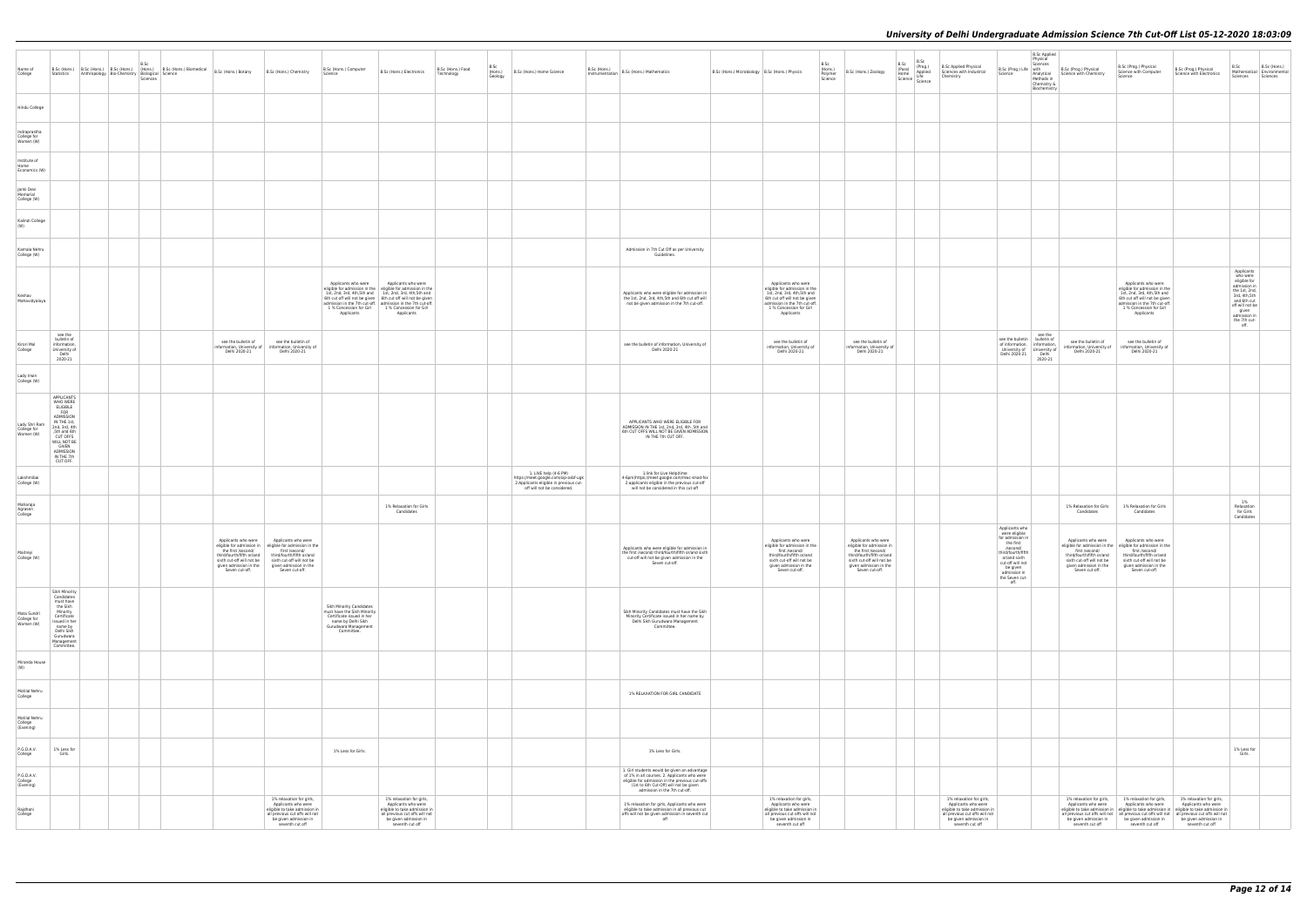| Name of<br>College                        | Statistics                                                                                                                                                                                             | B.Sc<br><b>B.Sc (Hons.)</b> B.Sc (Hons.) B.Sc (Hons.) $\left  \frac{\text{B.Sc}}{\text{R.Br}} \right $ B.Sc (Hons.) Biomedical B.Sc (Hons.) Botany<br>Anthropology Bio-Chemistry Biological Science<br>Sciences |                                                                                                                                                 | B.Sc (Hons.) Computer<br>B.Sc (Hons.) Chemistry<br>Science                                                                                                                                                     | B.Sc (Hons.) Electronics                                                                                                                                                                                                                                                                                                                     | B.Sc (Hons.) Food<br>Technology | B.Sc<br>Geology | (Hons.) B.Sc (Hons.) Home Science                                                                                                      | $\Big \!\!\Big $ p. a. (mons.)<br>Instrumentation $\Big $ B.Sc (Hons.) Mathematics                                                                                                                                         | B.Sc (Hons.) Microbiology   B.Sc (Hons.) Physics                                                                                                                                              | B.Sc<br>(Hons.)<br>Polymer<br>Science | B.Sc (Hons.) Zoology                                                                                                                                                         | B.Sc B.Sc<br>(Pass) (Prog.)<br>Home Applied<br>Science Life<br><b>B.Sc Applied Physical</b><br>Sciences with Industrial<br>Chemistry<br>Science   Life<br>Science   Science | B.Sc (Prog.) Life with<br>Science                                                                                                                                                            | <b>B.Sc Applied</b><br>Physical<br>Sciences<br>Methods in<br>Chemistry &<br>Biochemistry | B.Sc (Prog.) Physical<br>Analytical Science with Chemistry                                                                                  | B.Sc (Prog.) Physical<br>Science with Computer<br>Science                                                                                                                                                  | B.Sc (Prog.) Physical<br>Science with Electronics                                                                                                                                                                                                                                            | B.Sc (Hons.)<br>B.Sc<br>Mathematical Environmental<br>Sciences Sciences                                                                                                    |
|-------------------------------------------|--------------------------------------------------------------------------------------------------------------------------------------------------------------------------------------------------------|-----------------------------------------------------------------------------------------------------------------------------------------------------------------------------------------------------------------|-------------------------------------------------------------------------------------------------------------------------------------------------|----------------------------------------------------------------------------------------------------------------------------------------------------------------------------------------------------------------|----------------------------------------------------------------------------------------------------------------------------------------------------------------------------------------------------------------------------------------------------------------------------------------------------------------------------------------------|---------------------------------|-----------------|----------------------------------------------------------------------------------------------------------------------------------------|----------------------------------------------------------------------------------------------------------------------------------------------------------------------------------------------------------------------------|-----------------------------------------------------------------------------------------------------------------------------------------------------------------------------------------------|---------------------------------------|------------------------------------------------------------------------------------------------------------------------------------------------------------------------------|-----------------------------------------------------------------------------------------------------------------------------------------------------------------------------|----------------------------------------------------------------------------------------------------------------------------------------------------------------------------------------------|------------------------------------------------------------------------------------------|---------------------------------------------------------------------------------------------------------------------------------------------|------------------------------------------------------------------------------------------------------------------------------------------------------------------------------------------------------------|----------------------------------------------------------------------------------------------------------------------------------------------------------------------------------------------------------------------------------------------------------------------------------------------|----------------------------------------------------------------------------------------------------------------------------------------------------------------------------|
| Hindu College                             |                                                                                                                                                                                                        |                                                                                                                                                                                                                 |                                                                                                                                                 |                                                                                                                                                                                                                |                                                                                                                                                                                                                                                                                                                                              |                                 |                 |                                                                                                                                        |                                                                                                                                                                                                                            |                                                                                                                                                                                               |                                       |                                                                                                                                                                              |                                                                                                                                                                             |                                                                                                                                                                                              |                                                                                          |                                                                                                                                             |                                                                                                                                                                                                            |                                                                                                                                                                                                                                                                                              |                                                                                                                                                                            |
| Indraprastha<br>College for<br>Women (W)  |                                                                                                                                                                                                        |                                                                                                                                                                                                                 |                                                                                                                                                 |                                                                                                                                                                                                                |                                                                                                                                                                                                                                                                                                                                              |                                 |                 |                                                                                                                                        |                                                                                                                                                                                                                            |                                                                                                                                                                                               |                                       |                                                                                                                                                                              |                                                                                                                                                                             |                                                                                                                                                                                              |                                                                                          |                                                                                                                                             |                                                                                                                                                                                                            |                                                                                                                                                                                                                                                                                              |                                                                                                                                                                            |
| Institute of<br>Home<br>Economics (W)     |                                                                                                                                                                                                        |                                                                                                                                                                                                                 |                                                                                                                                                 |                                                                                                                                                                                                                |                                                                                                                                                                                                                                                                                                                                              |                                 |                 |                                                                                                                                        |                                                                                                                                                                                                                            |                                                                                                                                                                                               |                                       |                                                                                                                                                                              |                                                                                                                                                                             |                                                                                                                                                                                              |                                                                                          |                                                                                                                                             |                                                                                                                                                                                                            |                                                                                                                                                                                                                                                                                              |                                                                                                                                                                            |
| Janki Devi<br>Memorial<br>College (W)     |                                                                                                                                                                                                        |                                                                                                                                                                                                                 |                                                                                                                                                 |                                                                                                                                                                                                                |                                                                                                                                                                                                                                                                                                                                              |                                 |                 |                                                                                                                                        |                                                                                                                                                                                                                            |                                                                                                                                                                                               |                                       |                                                                                                                                                                              |                                                                                                                                                                             |                                                                                                                                                                                              |                                                                                          |                                                                                                                                             |                                                                                                                                                                                                            |                                                                                                                                                                                                                                                                                              |                                                                                                                                                                            |
| Kalindi College<br>(W)                    |                                                                                                                                                                                                        |                                                                                                                                                                                                                 |                                                                                                                                                 |                                                                                                                                                                                                                |                                                                                                                                                                                                                                                                                                                                              |                                 |                 |                                                                                                                                        |                                                                                                                                                                                                                            |                                                                                                                                                                                               |                                       |                                                                                                                                                                              |                                                                                                                                                                             |                                                                                                                                                                                              |                                                                                          |                                                                                                                                             |                                                                                                                                                                                                            |                                                                                                                                                                                                                                                                                              |                                                                                                                                                                            |
| Kamala Nehru<br>College (W)               |                                                                                                                                                                                                        |                                                                                                                                                                                                                 |                                                                                                                                                 |                                                                                                                                                                                                                |                                                                                                                                                                                                                                                                                                                                              |                                 |                 |                                                                                                                                        | Admission in 7th Cut Off as per University<br>Guidelines.                                                                                                                                                                  |                                                                                                                                                                                               |                                       |                                                                                                                                                                              |                                                                                                                                                                             |                                                                                                                                                                                              |                                                                                          |                                                                                                                                             |                                                                                                                                                                                                            |                                                                                                                                                                                                                                                                                              |                                                                                                                                                                            |
| Keshav<br>Mahavidyalaya                   |                                                                                                                                                                                                        |                                                                                                                                                                                                                 |                                                                                                                                                 | Applicants who were<br>Applicants                                                                                                                                                                              | Applicants who were<br>eligible for admission in the eligible for admission in the<br>1st, 2nd, 3rd, 4th,5th and 1st, 2nd, 3rd, 4th,5th and<br>6th cut off will not be given   6th cut off will not be given<br>admission in the 7th cut-off. admission in the 7th cut-off.<br>1 % Concession for Girl 1 % Concession for Girl<br>Applicants |                                 |                 |                                                                                                                                        | Applicants who were eligible for admission in<br>the 1st, 2nd, 3rd, 4th,5th and 6th cut off will<br>not be given admission in the 7th cut-off.                                                                             | Applicants who were<br>eligible for admission in the<br>1st, 2nd, 3rd, 4th,5th and<br>6th cut off will not be given<br>admission in the 7th cut-off.<br>1 % Concession for Girl<br>Applicants |                                       |                                                                                                                                                                              |                                                                                                                                                                             |                                                                                                                                                                                              |                                                                                          |                                                                                                                                             | Applicants who were<br>eligible for admission in the<br>1st, 2nd, 3rd, 4th,5th and<br>6th cut off will not be given<br>admission in the 7th cut-off.<br>1 % Concession for Girl<br>Applicants              |                                                                                                                                                                                                                                                                                              | Applicants<br>who were<br>eligible for<br>admission in<br>the 1st, 2nd,<br>3rd, 4th,5th<br>and 6th cut<br>off will not be<br>given<br>admission in<br>the 7th cut-<br>off. |
| Kirori Mal<br>College                     | see the<br>bulletin of<br>information.<br>University of<br>Delhi<br>2020-21                                                                                                                            |                                                                                                                                                                                                                 | see the bulletin of<br>Delhi 2020-21                                                                                                            | see the bulletin of<br>information, University of   information, University of<br>Delhi 2020-21                                                                                                                |                                                                                                                                                                                                                                                                                                                                              |                                 |                 |                                                                                                                                        | see the bulletin of information, University of<br>Delhi 2020-21                                                                                                                                                            | see the bulletin of<br>information, University of<br>Delhi 2020-21                                                                                                                            |                                       | see the bulletin of<br>information, University of<br>Delhi 2020-21                                                                                                           |                                                                                                                                                                             | see the bulletin bulletin of<br>of information. information.<br>University of University of<br>Delhi 2020-21 Delhi                                                                           | see the<br>2020-21                                                                       | see the bulletin of<br>information, University of<br>Delhi 2020-21                                                                          | see the bulletin of<br>information, University of<br>Delhi 2020-21                                                                                                                                         |                                                                                                                                                                                                                                                                                              |                                                                                                                                                                            |
| Lady Irwin<br>College (W)                 |                                                                                                                                                                                                        |                                                                                                                                                                                                                 |                                                                                                                                                 |                                                                                                                                                                                                                |                                                                                                                                                                                                                                                                                                                                              |                                 |                 |                                                                                                                                        |                                                                                                                                                                                                                            |                                                                                                                                                                                               |                                       |                                                                                                                                                                              |                                                                                                                                                                             |                                                                                                                                                                                              |                                                                                          |                                                                                                                                             |                                                                                                                                                                                                            |                                                                                                                                                                                                                                                                                              |                                                                                                                                                                            |
| Lady Shri Ram<br>College for<br>Women (W) | APPLICANTS<br>WHO WERE<br><b>ELIGIBLE</b><br><b>FOR</b><br>ADMISSION<br>IN THE 1st,<br>2nd, 3rd, 4th<br>.5th and 6th<br>CUT OFFS<br>WILL NOT BE<br><b>GIVEN</b><br>ADMISSION<br>IN THE 7th<br>CUT OFF. |                                                                                                                                                                                                                 |                                                                                                                                                 |                                                                                                                                                                                                                |                                                                                                                                                                                                                                                                                                                                              |                                 |                 |                                                                                                                                        | APPLICANTS WHO WERE ELIGIBLE FOR<br>ADMISSION IN THE 1st, 2nd, 3rd, 4th ,5th and<br>6th CUT OFFS WILL NOT BE GIVEN ADMISSION<br>IN THE 7th CUT OFF.                                                                        |                                                                                                                                                                                               |                                       |                                                                                                                                                                              |                                                                                                                                                                             |                                                                                                                                                                                              |                                                                                          |                                                                                                                                             |                                                                                                                                                                                                            |                                                                                                                                                                                                                                                                                              |                                                                                                                                                                            |
| Lakshmibai<br>College (W)                 |                                                                                                                                                                                                        |                                                                                                                                                                                                                 |                                                                                                                                                 |                                                                                                                                                                                                                |                                                                                                                                                                                                                                                                                                                                              |                                 |                 | 1. LIVE help (4-6 PM)<br>https://meet.google.com/oip-osbf-ugk<br>2.Applicants eligible in previous cut-<br>off will not be considered. | 1.link for Live Help(time<br>4-6pm)https://meet.google.com/mwc-knod-fsx<br>2.applicants eligible in the previous cut-off<br>will not be considered in this cut-off                                                         |                                                                                                                                                                                               |                                       |                                                                                                                                                                              |                                                                                                                                                                             |                                                                                                                                                                                              |                                                                                          |                                                                                                                                             |                                                                                                                                                                                                            |                                                                                                                                                                                                                                                                                              |                                                                                                                                                                            |
| Maharaja<br>Agrasen<br>College            |                                                                                                                                                                                                        |                                                                                                                                                                                                                 |                                                                                                                                                 |                                                                                                                                                                                                                | 1% Relaxation for Girls<br>Candidates                                                                                                                                                                                                                                                                                                        |                                 |                 |                                                                                                                                        |                                                                                                                                                                                                                            |                                                                                                                                                                                               |                                       |                                                                                                                                                                              |                                                                                                                                                                             |                                                                                                                                                                                              |                                                                                          | 1% Relaxation for Girls<br>Candidates                                                                                                       | 1% Relaxation for Girls<br>Candidates                                                                                                                                                                      |                                                                                                                                                                                                                                                                                              | 1%<br>Relaxation<br>for Girls<br>Candidates                                                                                                                                |
| Maitreyi<br>College (W)                   |                                                                                                                                                                                                        |                                                                                                                                                                                                                 | Applicants who were<br>the first /second/<br>third/fourth/fifth or/and<br>sixth cut-off will not be<br>given admission in the<br>Seven cut-off. | Applicants who were<br>eligible for admission in $\vert$ eligible for admission in the<br>first /second/<br>third/fourth/fifth or/and<br>sixth cut-off will not be<br>given admission in the<br>Seven cut-off. |                                                                                                                                                                                                                                                                                                                                              |                                 |                 |                                                                                                                                        | Applicants who were eligible for admission in<br>the first /second/ third/fourth/fifth or/and sixth<br>cut-off will not be given admission in the<br>Seven cut-off.                                                        | Applicants who were<br>eligible for admission in the<br>first /second/<br>third/fourth/fifth or/and<br>sixth cut-off will not be<br>given admission in the<br>Seven cut-off.                  |                                       | Applicants who were<br>eligible for admission in<br>the first /second/<br>third/fourth/fifth or/and<br>sixth cut-off will not be<br>given admission in the<br>Seven cut-off. |                                                                                                                                                                             | Applicants who<br>were eligible<br>for admission in<br>the first<br>/second/<br>third/fourth/fifth<br>or/and sixth<br>cut-off will not<br>be given<br>admission in<br>the Seven cut-<br>off. |                                                                                          | Applicants who were<br>first /second/<br>third/fourth/fifth or/and<br>sixth cut-off will not be<br>given admission in the<br>Seven cut-off. | Applicants who were<br>eligible for admission in the eligible for admission in the<br>first /second/<br>third/fourth/fifth or/and<br>sixth cut-off will not be<br>given admission in the<br>Seven cut-off. |                                                                                                                                                                                                                                                                                              |                                                                                                                                                                            |
| Mata Sundri<br>College for<br>Women (W)   | Sikh Minority<br>Candidates<br>must have<br>the Sikh<br>Minority<br>Certificate<br>issued in her<br>name by<br>Delhi Sikh<br>Gurudwara<br>Management<br>Committee.                                     |                                                                                                                                                                                                                 |                                                                                                                                                 | Sikh Minority Candidates<br>must have the Sikh Minority<br>Certificate issued in her<br>name by Delhi Sikh<br>Gurudwara Management<br>Committee.                                                               |                                                                                                                                                                                                                                                                                                                                              |                                 |                 |                                                                                                                                        | Sikh Minority Candidates must have the Sikh<br>Minority Certificate issued in her name by<br>Delhi Sikh Gurudwara Management<br>Committee.                                                                                 |                                                                                                                                                                                               |                                       |                                                                                                                                                                              |                                                                                                                                                                             |                                                                                                                                                                                              |                                                                                          |                                                                                                                                             |                                                                                                                                                                                                            |                                                                                                                                                                                                                                                                                              |                                                                                                                                                                            |
| Miranda House<br>(W)                      |                                                                                                                                                                                                        |                                                                                                                                                                                                                 |                                                                                                                                                 |                                                                                                                                                                                                                |                                                                                                                                                                                                                                                                                                                                              |                                 |                 |                                                                                                                                        |                                                                                                                                                                                                                            |                                                                                                                                                                                               |                                       |                                                                                                                                                                              |                                                                                                                                                                             |                                                                                                                                                                                              |                                                                                          |                                                                                                                                             |                                                                                                                                                                                                            |                                                                                                                                                                                                                                                                                              |                                                                                                                                                                            |
| Motilal Nehru<br>College                  |                                                                                                                                                                                                        |                                                                                                                                                                                                                 |                                                                                                                                                 |                                                                                                                                                                                                                |                                                                                                                                                                                                                                                                                                                                              |                                 |                 |                                                                                                                                        | 1% RELAXATION FOR GIRL CANDIDATE                                                                                                                                                                                           |                                                                                                                                                                                               |                                       |                                                                                                                                                                              |                                                                                                                                                                             |                                                                                                                                                                                              |                                                                                          |                                                                                                                                             |                                                                                                                                                                                                            |                                                                                                                                                                                                                                                                                              |                                                                                                                                                                            |
| Motilal Nehru<br>College<br>(Evening)     |                                                                                                                                                                                                        |                                                                                                                                                                                                                 |                                                                                                                                                 |                                                                                                                                                                                                                |                                                                                                                                                                                                                                                                                                                                              |                                 |                 |                                                                                                                                        |                                                                                                                                                                                                                            |                                                                                                                                                                                               |                                       |                                                                                                                                                                              |                                                                                                                                                                             |                                                                                                                                                                                              |                                                                                          |                                                                                                                                             |                                                                                                                                                                                                            |                                                                                                                                                                                                                                                                                              |                                                                                                                                                                            |
| P.G.D.A.V.<br>College                     | 1% Less for<br>Girls.                                                                                                                                                                                  |                                                                                                                                                                                                                 |                                                                                                                                                 | 1% Less for Girls.                                                                                                                                                                                             |                                                                                                                                                                                                                                                                                                                                              |                                 |                 |                                                                                                                                        | 1% Less for Girls.                                                                                                                                                                                                         |                                                                                                                                                                                               |                                       |                                                                                                                                                                              |                                                                                                                                                                             |                                                                                                                                                                                              |                                                                                          |                                                                                                                                             |                                                                                                                                                                                                            |                                                                                                                                                                                                                                                                                              | 1% Less for<br>Girls.                                                                                                                                                      |
| P.G.D.A.V.<br>College<br>(Evening)        |                                                                                                                                                                                                        |                                                                                                                                                                                                                 |                                                                                                                                                 |                                                                                                                                                                                                                |                                                                                                                                                                                                                                                                                                                                              |                                 |                 |                                                                                                                                        | 1. Girl students would be given an advantage<br>of 1% in all courses. 2. Applicants who were<br>eligible for admission in the previous cut-offs<br>(1st to 6th Cut-Off) will not be given<br>admission in the 7th cut-off. |                                                                                                                                                                                               |                                       |                                                                                                                                                                              |                                                                                                                                                                             |                                                                                                                                                                                              |                                                                                          |                                                                                                                                             |                                                                                                                                                                                                            |                                                                                                                                                                                                                                                                                              |                                                                                                                                                                            |
| Rajdhani<br>College                       |                                                                                                                                                                                                        |                                                                                                                                                                                                                 |                                                                                                                                                 | 1% relaxation for girls,<br>Applicants who were<br>eligible to take admission in<br>all previous cut offs will not<br>be given admission in<br>seventh cut off                                                 | 1% relaxation for girls,<br>Applicants who were<br>eligible to take admission in<br>all previous cut offs will not<br>be given admission in<br>seventh cut off                                                                                                                                                                               |                                 |                 |                                                                                                                                        | 1% relaxation for girls, Applicants who were<br>eligible to take admission in all previous cut<br>offs will not be given admission in seventh cut<br>off                                                                   | 1% relaxation for girls,<br>Applicants who were<br>eligible to take admission in<br>all previous cut offs will not<br>be given admission in<br>seventh cut off                                |                                       |                                                                                                                                                                              | 1% relaxation for girls,<br>Applicants who were<br>eligible to take admission in<br>all previous cut offs will not<br>be given admission in<br>seventh cut off              |                                                                                                                                                                                              |                                                                                          | 1% relaxation for girls,<br>Applicants who were<br>be given admission in<br>seventh cut off                                                 | 1% relaxation for girls,<br>Applicants who were<br>be given admission in<br>seventh cut off                                                                                                                | 1% relaxation for girls,<br>Applicants who were<br>eligible to take admission in eligible to take admission in eligible to take admission in<br>all previous cut offs will not   all previous cut offs will not   all previous cut offs will not<br>be given admission in<br>seventh cut off |                                                                                                                                                                            |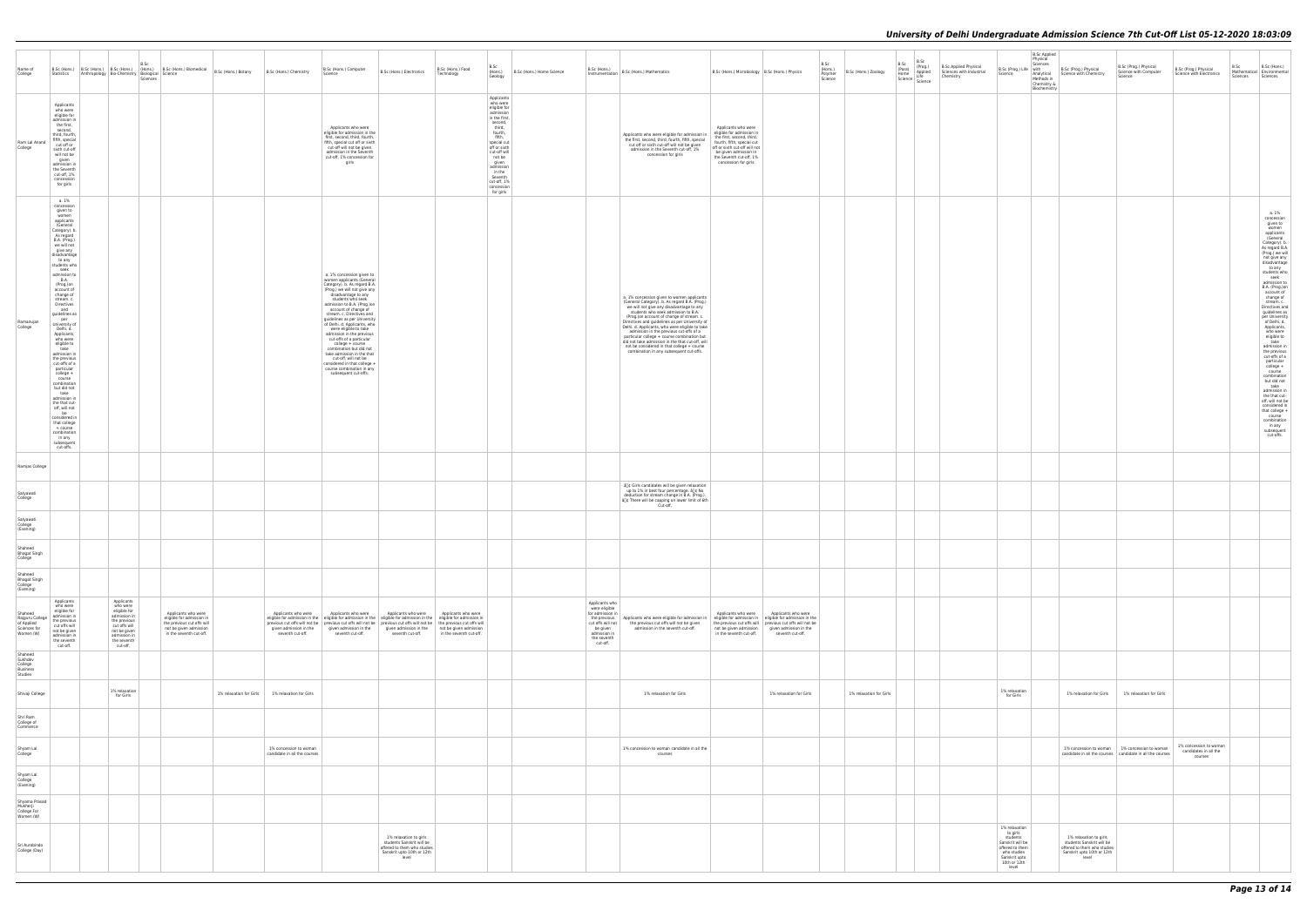| Name of<br>College                                                    | Statistics                                                                                                                                                                                                                                                                                                                                                                                                                                                                                                                                                                                                                                                                                           | Anthropology Bio-Chemistry Biological Science |                                                                                                                                      | B.Sc     | B.Sc (Hons.) B.Sc (Hons.) B.Sc (Hons.) B.Sc (Hons.) Biomedical B.Sc (Hons.) Botany                                                  | B.Sc (Hons.) Chemistry                                 | B.Sc (Hons.) Computer<br>Science                                                                                                                                                                                                                                                                                                                                                                                                                                                                                                                                                                   | B.Sc (Hons.) Electronics                                                                                                  | B.Sc (Hons.) Food<br>Technology                | B.Sc<br>B.Sc (Hons.) Home Science<br>(Hons.)                                                                                                                                                                                                               | D.JL (MONS.)<br>Instrumentation   B.Sc (Hons.) Mathematics                                                                                                                                                                                                                                                                                                                                                                                                                                                                                                              | B.Sc (Hons.) Microbiology   B.Sc (Hons.) Physics                                                                                                                                                                         | B.Sc<br>(Hons.)<br>Polymer | B.Sc (Hons.) Zoology    | B.Sc<br>(Pass)<br>Home | B.Sc<br>(Prog.)<br>Applied | <b>B.Sc Applied Physical</b><br>Sciences with Industrial | Physical<br>B.Sc (Prog.) Life   with<br>Science                                                                                       | <b>B.Sc Applied</b><br>Sciences<br>B.Sc (Prog.) Physical<br>Analytical Science with Chemistry                             | B.Sc (Prog.) Physical<br>Science with Computer                                                               | B.Sc (Prog.) Physical<br>Science with Electronics          | B.Sc (Hons.)<br>B.Sc<br>Mathematical Environmental                                                                                                                                                                                                                                                                                                                                                                                                                                                                                                                                                                                                                             |
|-----------------------------------------------------------------------|------------------------------------------------------------------------------------------------------------------------------------------------------------------------------------------------------------------------------------------------------------------------------------------------------------------------------------------------------------------------------------------------------------------------------------------------------------------------------------------------------------------------------------------------------------------------------------------------------------------------------------------------------------------------------------------------------|-----------------------------------------------|--------------------------------------------------------------------------------------------------------------------------------------|----------|-------------------------------------------------------------------------------------------------------------------------------------|--------------------------------------------------------|----------------------------------------------------------------------------------------------------------------------------------------------------------------------------------------------------------------------------------------------------------------------------------------------------------------------------------------------------------------------------------------------------------------------------------------------------------------------------------------------------------------------------------------------------------------------------------------------------|---------------------------------------------------------------------------------------------------------------------------|------------------------------------------------|------------------------------------------------------------------------------------------------------------------------------------------------------------------------------------------------------------------------------------------------------------|-------------------------------------------------------------------------------------------------------------------------------------------------------------------------------------------------------------------------------------------------------------------------------------------------------------------------------------------------------------------------------------------------------------------------------------------------------------------------------------------------------------------------------------------------------------------------|--------------------------------------------------------------------------------------------------------------------------------------------------------------------------------------------------------------------------|----------------------------|-------------------------|------------------------|----------------------------|----------------------------------------------------------|---------------------------------------------------------------------------------------------------------------------------------------|---------------------------------------------------------------------------------------------------------------------------|--------------------------------------------------------------------------------------------------------------|------------------------------------------------------------|--------------------------------------------------------------------------------------------------------------------------------------------------------------------------------------------------------------------------------------------------------------------------------------------------------------------------------------------------------------------------------------------------------------------------------------------------------------------------------------------------------------------------------------------------------------------------------------------------------------------------------------------------------------------------------|
| Ram Lal Anand<br>College                                              | Applicants<br>who were<br>eligible for<br>admission in<br>the first,<br>second,<br>third, fourth,<br>fifth, special<br>cut off or<br>sixth cut-off<br>will not be<br>given<br>admission in<br>the Seventh<br>cut-off, 1%<br>concession<br>for girls                                                                                                                                                                                                                                                                                                                                                                                                                                                  |                                               |                                                                                                                                      | Sciences |                                                                                                                                     |                                                        | Applicants who were<br>eligible for admission in the<br>first, second, third, fourth,<br>fifth, special cut off or sixth<br>cut-off will not be given<br>admission in the Seventh<br>cut-off, 1% concession for<br>girls                                                                                                                                                                                                                                                                                                                                                                           |                                                                                                                           |                                                | Geology<br>Applicants<br>who were<br>eligible for<br>admission<br>in the first,<br>second,<br>third,<br>fourth,<br>fifth,<br>special cut<br>off or sixth<br>cut-off will<br>not be<br>given<br>admission<br>in the<br>Seventh<br>cut-off, 1%<br>concession | Applicants who were eligible for admission in<br>the first, second, third, fourth, fifth, special<br>cut off or sixth cut-off will not be given<br>admission in the Seventh cut-off, 1%<br>concession for girls                                                                                                                                                                                                                                                                                                                                                         | Applicants who were<br>eligible for admission in<br>the first, second, third,<br>fourth, fifth, special cut<br>off or sixth cut-off will not<br>be given admission in<br>the Seventh cut-off, 1%<br>concession for girls | Science                    |                         |                        | Home<br>Science Science    | Chemistry                                                |                                                                                                                                       | Methods in<br>Chemistry &<br>Biochemistry                                                                                 | Science                                                                                                      |                                                            | Sciences Sciences                                                                                                                                                                                                                                                                                                                                                                                                                                                                                                                                                                                                                                                              |
| Ramanujan<br>College                                                  | a. 1%<br>concession<br>given to<br>women<br>applicants<br>(General<br>Category). b.<br>As regard<br>B.A. (Prog.)<br>we will not<br>give any<br>disadvantage<br>to any<br>students who<br>seek<br>admission to<br><b>B.A.</b><br>(Prog.)on<br>account of<br>change of<br>stream. c.<br>Directives<br>and<br>guidelines as<br>per<br>University of<br>Delhi. d.<br>Applicants,<br>who were<br>eligible to<br>take<br>admission in<br>the previous<br>cut-offs of a<br>particular<br>college +<br>course<br>combination<br>but did not<br>take<br>admission in<br>the that cut-<br>off, will not<br>be<br>considered in<br>that college<br>+ course<br>combination<br>in any<br>subsequent<br>cut-offs. |                                               |                                                                                                                                      |          |                                                                                                                                     |                                                        | a. 1% concession given to<br>women applicants (General<br>Category). b. As regard B.A.<br>(Prog.) we will not give any<br>disadvantage to any<br>students who seek<br>admission to B.A. (Prog.)on<br>account of change of<br>stream. c. Directives and<br>guidelines as per University<br>of Delhi. d. Applicants, who<br>were eligible to take<br>admission in the previous<br>cut-offs of a particular<br>college + course<br>combination but did not<br>take admission in the that<br>cut-off, will not be<br>considered in that college +<br>course combination in any<br>subsequent cut-offs. |                                                                                                                           |                                                | for girls                                                                                                                                                                                                                                                  | a. 1% concession given to women applicants<br>(General Category). b. As regard B.A. (Prog.)<br>we will not give any disadvantage to any<br>students who seek admission to B.A.<br>(Prog.)on account of change of stream. c.<br>Directives and guidelines as per University of<br>Delhi. d. Applicants, who were eligible to take<br>admission in the previous cut-offs of a<br>particular college + course combination but<br>did not take admission in the that cut-off, will<br>not be considered in that college + course<br>combination in any subsequent cut-offs. |                                                                                                                                                                                                                          |                            |                         |                        |                            |                                                          |                                                                                                                                       |                                                                                                                           |                                                                                                              |                                                            | a. 1%<br>concession<br>given to<br>women<br>applicants<br>(General<br>Category). b.<br>As regard B.A.<br>(Prog.) we will<br>not give any<br>disadvantage<br>to any<br>students who<br>seek<br>admission to<br>B.A. (Prog.)on<br>account of<br>change of<br>stream. c.<br>Directives and<br>guidelines as<br>per University<br>of Delhi. d.<br>Applicants,<br>who were<br>eligible to<br>take<br>admission in<br>the previous<br>cut-offs of a<br>particular<br>college +<br>course<br>combination<br>but did not<br>take<br>admission in<br>the that cut-<br>off, will not be<br>considered in<br>that college +<br>course<br>combination<br>in any<br>subsequent<br>cut-offs. |
| Ramjas College                                                        |                                                                                                                                                                                                                                                                                                                                                                                                                                                                                                                                                                                                                                                                                                      |                                               |                                                                                                                                      |          |                                                                                                                                     |                                                        |                                                                                                                                                                                                                                                                                                                                                                                                                                                                                                                                                                                                    |                                                                                                                           |                                                |                                                                                                                                                                                                                                                            |                                                                                                                                                                                                                                                                                                                                                                                                                                                                                                                                                                         |                                                                                                                                                                                                                          |                            |                         |                        |                            |                                                          |                                                                                                                                       |                                                                                                                           |                                                                                                              |                                                            |                                                                                                                                                                                                                                                                                                                                                                                                                                                                                                                                                                                                                                                                                |
| Satyawati<br>College                                                  |                                                                                                                                                                                                                                                                                                                                                                                                                                                                                                                                                                                                                                                                                                      |                                               |                                                                                                                                      |          |                                                                                                                                     |                                                        |                                                                                                                                                                                                                                                                                                                                                                                                                                                                                                                                                                                                    |                                                                                                                           |                                                |                                                                                                                                                                                                                                                            | â <sup>n</sup> g Girls candidates will be given relaxation<br>up to 1% in best four percentage. å∏¢ No<br>deduction for stream change in B.A. (Prog.).<br>a∏¢ There will be capping on lower limit of 6th<br>Cut-off.                                                                                                                                                                                                                                                                                                                                                   |                                                                                                                                                                                                                          |                            |                         |                        |                            |                                                          |                                                                                                                                       |                                                                                                                           |                                                                                                              |                                                            |                                                                                                                                                                                                                                                                                                                                                                                                                                                                                                                                                                                                                                                                                |
| Satyawati<br>College<br>(Evening)                                     |                                                                                                                                                                                                                                                                                                                                                                                                                                                                                                                                                                                                                                                                                                      |                                               |                                                                                                                                      |          |                                                                                                                                     |                                                        |                                                                                                                                                                                                                                                                                                                                                                                                                                                                                                                                                                                                    |                                                                                                                           |                                                |                                                                                                                                                                                                                                                            |                                                                                                                                                                                                                                                                                                                                                                                                                                                                                                                                                                         |                                                                                                                                                                                                                          |                            |                         |                        |                            |                                                          |                                                                                                                                       |                                                                                                                           |                                                                                                              |                                                            |                                                                                                                                                                                                                                                                                                                                                                                                                                                                                                                                                                                                                                                                                |
| Shaheed<br><b>Bhagat Singh</b><br>College                             |                                                                                                                                                                                                                                                                                                                                                                                                                                                                                                                                                                                                                                                                                                      |                                               |                                                                                                                                      |          |                                                                                                                                     |                                                        |                                                                                                                                                                                                                                                                                                                                                                                                                                                                                                                                                                                                    |                                                                                                                           |                                                |                                                                                                                                                                                                                                                            |                                                                                                                                                                                                                                                                                                                                                                                                                                                                                                                                                                         |                                                                                                                                                                                                                          |                            |                         |                        |                            |                                                          |                                                                                                                                       |                                                                                                                           |                                                                                                              |                                                            |                                                                                                                                                                                                                                                                                                                                                                                                                                                                                                                                                                                                                                                                                |
| Shaheed<br><b>Bhagat Singh</b><br>College<br>(Evening)                | Applicants                                                                                                                                                                                                                                                                                                                                                                                                                                                                                                                                                                                                                                                                                           |                                               | Applicants                                                                                                                           |          |                                                                                                                                     |                                                        |                                                                                                                                                                                                                                                                                                                                                                                                                                                                                                                                                                                                    |                                                                                                                           |                                                |                                                                                                                                                                                                                                                            |                                                                                                                                                                                                                                                                                                                                                                                                                                                                                                                                                                         |                                                                                                                                                                                                                          |                            |                         |                        |                            |                                                          |                                                                                                                                       |                                                                                                                           |                                                                                                              |                                                            |                                                                                                                                                                                                                                                                                                                                                                                                                                                                                                                                                                                                                                                                                |
| Shaheed<br>Rajguru College<br>of Applied<br>Sciences for<br>Women (W) | who were<br>eligible for<br>admission in<br>the previous<br>cut offs will<br>not be given<br>admission in<br>the seventh<br>cut-off.                                                                                                                                                                                                                                                                                                                                                                                                                                                                                                                                                                 |                                               | who were<br>eligible for<br>admission in<br>the previous<br>cut offs will<br>not be given<br>admission in<br>the seventh<br>cut-off. |          | Applicants who were<br>eligible for admission in<br>the previous cut offs will<br>not be given admission<br>in the seventh cut-off. | Applicants who were<br>seventh cut-off.                | Applicants who were<br>eligible for admission in the eligible for admission in the eligible for admission in the eligible for admission in<br>previous cut offs will not be   previous cut offs will not be   previous cut offs will not be   the previous cut offs will<br>given admission in the given admission in the<br>seventh cut-off.                                                                                                                                                                                                                                                      | Applicants who were<br>given admission in the not be given admission<br>seventh cut-off.                                  | Applicants who were<br>in the seventh cut-off. |                                                                                                                                                                                                                                                            | Applicants who<br>were eligible<br>for admission in<br>the previous   Applicants who were eligible for admission in   eligible for admission in   eligible for admission in the<br>cut offs will not the previous cut offs will not be given<br>be given<br>admission in the seventh cut-off.<br>admission in<br>the seventh<br>cut-off.                                                                                                                                                                                                                                | Applicants who were<br>Applicants who were<br>the previous cut offs will previous cut offs will not be<br>not be given admission given admission in the<br>in the seventh cut-off.<br>seventh cut-off.                   |                            |                         |                        |                            |                                                          |                                                                                                                                       |                                                                                                                           |                                                                                                              |                                                            |                                                                                                                                                                                                                                                                                                                                                                                                                                                                                                                                                                                                                                                                                |
| Shaheed<br>Sukhdev<br>College<br><b>Business</b><br>Studies           |                                                                                                                                                                                                                                                                                                                                                                                                                                                                                                                                                                                                                                                                                                      |                                               |                                                                                                                                      |          |                                                                                                                                     |                                                        |                                                                                                                                                                                                                                                                                                                                                                                                                                                                                                                                                                                                    |                                                                                                                           |                                                |                                                                                                                                                                                                                                                            |                                                                                                                                                                                                                                                                                                                                                                                                                                                                                                                                                                         |                                                                                                                                                                                                                          |                            |                         |                        |                            |                                                          |                                                                                                                                       |                                                                                                                           |                                                                                                              |                                                            |                                                                                                                                                                                                                                                                                                                                                                                                                                                                                                                                                                                                                                                                                |
| Shivaji College                                                       |                                                                                                                                                                                                                                                                                                                                                                                                                                                                                                                                                                                                                                                                                                      |                                               | 1% relaxation<br>for Girls                                                                                                           |          |                                                                                                                                     | 1% relaxation for Girls 1% relaxation for Girls        |                                                                                                                                                                                                                                                                                                                                                                                                                                                                                                                                                                                                    |                                                                                                                           |                                                |                                                                                                                                                                                                                                                            | 1% relaxation for Girls                                                                                                                                                                                                                                                                                                                                                                                                                                                                                                                                                 | 1% relaxation for Girls                                                                                                                                                                                                  |                            | 1% relaxation for Girls |                        |                            |                                                          | 1% relaxation<br>for Girls                                                                                                            | 1% relaxation for Girls                                                                                                   | 1% relaxation for Girls                                                                                      |                                                            |                                                                                                                                                                                                                                                                                                                                                                                                                                                                                                                                                                                                                                                                                |
| Shri Ram<br>College of<br>Commerce                                    |                                                                                                                                                                                                                                                                                                                                                                                                                                                                                                                                                                                                                                                                                                      |                                               |                                                                                                                                      |          |                                                                                                                                     |                                                        |                                                                                                                                                                                                                                                                                                                                                                                                                                                                                                                                                                                                    |                                                                                                                           |                                                |                                                                                                                                                                                                                                                            |                                                                                                                                                                                                                                                                                                                                                                                                                                                                                                                                                                         |                                                                                                                                                                                                                          |                            |                         |                        |                            |                                                          |                                                                                                                                       |                                                                                                                           |                                                                                                              |                                                            |                                                                                                                                                                                                                                                                                                                                                                                                                                                                                                                                                                                                                                                                                |
| Shyam Lal<br>College                                                  |                                                                                                                                                                                                                                                                                                                                                                                                                                                                                                                                                                                                                                                                                                      |                                               |                                                                                                                                      |          |                                                                                                                                     | 1% concession to woman<br>candidate in all the courses |                                                                                                                                                                                                                                                                                                                                                                                                                                                                                                                                                                                                    |                                                                                                                           |                                                |                                                                                                                                                                                                                                                            | 1% concession to woman candidate in all the<br>courses                                                                                                                                                                                                                                                                                                                                                                                                                                                                                                                  |                                                                                                                                                                                                                          |                            |                         |                        |                            |                                                          |                                                                                                                                       |                                                                                                                           | 1% concession to woman 1% concession to woman<br>candidate in all the courses   candidate in all the courses | 1% concession to woman<br>candidates in all the<br>courses |                                                                                                                                                                                                                                                                                                                                                                                                                                                                                                                                                                                                                                                                                |
| Shyam Lal<br>College<br>(Evening)                                     |                                                                                                                                                                                                                                                                                                                                                                                                                                                                                                                                                                                                                                                                                                      |                                               |                                                                                                                                      |          |                                                                                                                                     |                                                        |                                                                                                                                                                                                                                                                                                                                                                                                                                                                                                                                                                                                    |                                                                                                                           |                                                |                                                                                                                                                                                                                                                            |                                                                                                                                                                                                                                                                                                                                                                                                                                                                                                                                                                         |                                                                                                                                                                                                                          |                            |                         |                        |                            |                                                          |                                                                                                                                       |                                                                                                                           |                                                                                                              |                                                            |                                                                                                                                                                                                                                                                                                                                                                                                                                                                                                                                                                                                                                                                                |
| Shyama Prasad<br>Mukherji<br>College For<br>Women (W)                 |                                                                                                                                                                                                                                                                                                                                                                                                                                                                                                                                                                                                                                                                                                      |                                               |                                                                                                                                      |          |                                                                                                                                     |                                                        |                                                                                                                                                                                                                                                                                                                                                                                                                                                                                                                                                                                                    |                                                                                                                           |                                                |                                                                                                                                                                                                                                                            |                                                                                                                                                                                                                                                                                                                                                                                                                                                                                                                                                                         |                                                                                                                                                                                                                          |                            |                         |                        |                            |                                                          |                                                                                                                                       |                                                                                                                           |                                                                                                              |                                                            |                                                                                                                                                                                                                                                                                                                                                                                                                                                                                                                                                                                                                                                                                |
| Sri Aurobindo<br>College (Day)                                        |                                                                                                                                                                                                                                                                                                                                                                                                                                                                                                                                                                                                                                                                                                      |                                               |                                                                                                                                      |          |                                                                                                                                     |                                                        |                                                                                                                                                                                                                                                                                                                                                                                                                                                                                                                                                                                                    | 1% relaxation to girls<br>students Sanskrit will be<br>offered to them who studies<br>Sanskrit upto 10th or 12th<br>level |                                                |                                                                                                                                                                                                                                                            |                                                                                                                                                                                                                                                                                                                                                                                                                                                                                                                                                                         |                                                                                                                                                                                                                          |                            |                         |                        |                            |                                                          | 1% relaxation<br>to girls<br>students<br>Sanskrit will be<br>offered to them<br>who studies<br>Sanskrit upto<br>10th or 12th<br>level | 1% relaxation to girls<br>students Sanskrit will be<br>offered to them who studies<br>Sanskrit upto 10th or 12th<br>level |                                                                                                              |                                                            |                                                                                                                                                                                                                                                                                                                                                                                                                                                                                                                                                                                                                                                                                |